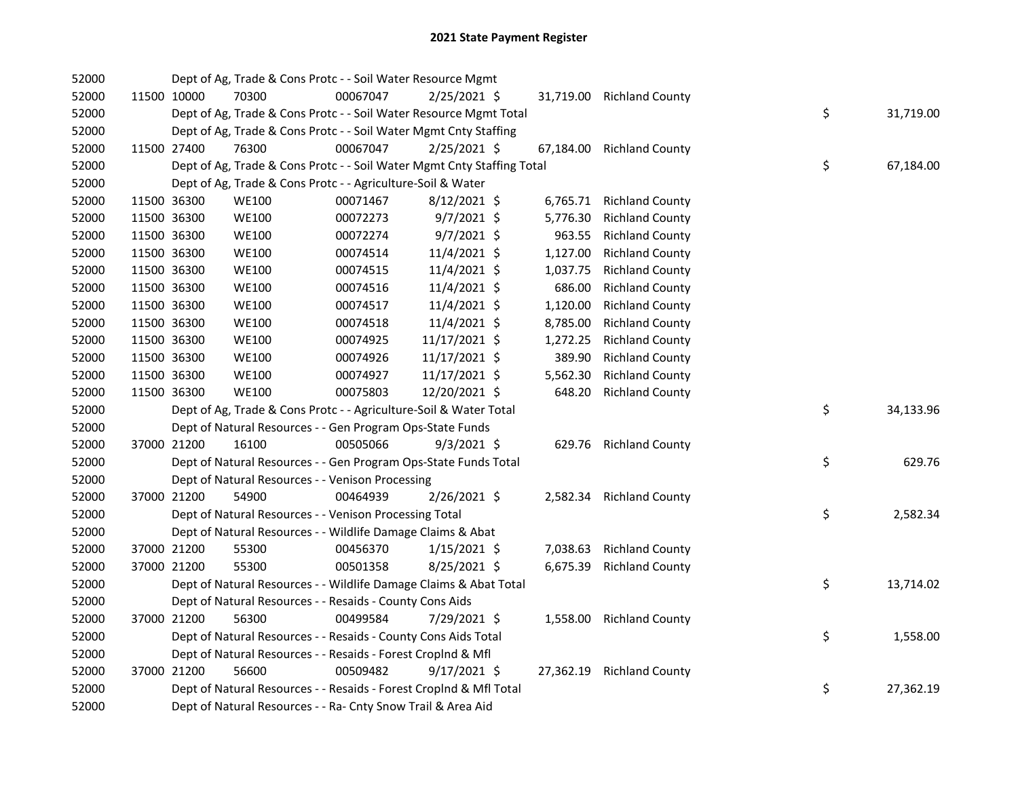| 52000 |             | Dept of Ag, Trade & Cons Protc - - Soil Water Resource Mgmt            |          |                |           |                           |    |           |
|-------|-------------|------------------------------------------------------------------------|----------|----------------|-----------|---------------------------|----|-----------|
| 52000 | 11500 10000 | 70300                                                                  | 00067047 | $2/25/2021$ \$ |           | 31,719.00 Richland County |    |           |
| 52000 |             | Dept of Ag, Trade & Cons Protc - - Soil Water Resource Mgmt Total      |          |                |           |                           | \$ | 31,719.00 |
| 52000 |             | Dept of Ag, Trade & Cons Protc - - Soil Water Mgmt Cnty Staffing       |          |                |           |                           |    |           |
| 52000 | 11500 27400 | 76300                                                                  | 00067047 | 2/25/2021 \$   | 67,184.00 | <b>Richland County</b>    |    |           |
| 52000 |             | Dept of Ag, Trade & Cons Protc - - Soil Water Mgmt Cnty Staffing Total |          |                |           |                           | \$ | 67,184.00 |
| 52000 |             | Dept of Ag, Trade & Cons Protc - - Agriculture-Soil & Water            |          |                |           |                           |    |           |
| 52000 | 11500 36300 | <b>WE100</b>                                                           | 00071467 | 8/12/2021 \$   | 6,765.71  | <b>Richland County</b>    |    |           |
| 52000 | 11500 36300 | <b>WE100</b>                                                           | 00072273 | 9/7/2021 \$    | 5,776.30  | <b>Richland County</b>    |    |           |
| 52000 | 11500 36300 | <b>WE100</b>                                                           | 00072274 | 9/7/2021 \$    | 963.55    | <b>Richland County</b>    |    |           |
| 52000 | 11500 36300 | <b>WE100</b>                                                           | 00074514 | 11/4/2021 \$   | 1,127.00  | <b>Richland County</b>    |    |           |
| 52000 | 11500 36300 | <b>WE100</b>                                                           | 00074515 | 11/4/2021 \$   | 1,037.75  | <b>Richland County</b>    |    |           |
| 52000 | 11500 36300 | <b>WE100</b>                                                           | 00074516 | 11/4/2021 \$   | 686.00    | <b>Richland County</b>    |    |           |
| 52000 | 11500 36300 | <b>WE100</b>                                                           | 00074517 | 11/4/2021 \$   | 1,120.00  | <b>Richland County</b>    |    |           |
| 52000 | 11500 36300 | <b>WE100</b>                                                           | 00074518 | 11/4/2021 \$   | 8,785.00  | <b>Richland County</b>    |    |           |
| 52000 | 11500 36300 | <b>WE100</b>                                                           | 00074925 | 11/17/2021 \$  | 1,272.25  | <b>Richland County</b>    |    |           |
| 52000 | 11500 36300 | <b>WE100</b>                                                           | 00074926 | 11/17/2021 \$  | 389.90    | <b>Richland County</b>    |    |           |
| 52000 | 11500 36300 | <b>WE100</b>                                                           | 00074927 | 11/17/2021 \$  | 5,562.30  | <b>Richland County</b>    |    |           |
| 52000 | 11500 36300 | <b>WE100</b>                                                           | 00075803 | 12/20/2021 \$  | 648.20    | <b>Richland County</b>    |    |           |
| 52000 |             | Dept of Ag, Trade & Cons Protc - - Agriculture-Soil & Water Total      |          |                |           |                           | \$ | 34,133.96 |
| 52000 |             | Dept of Natural Resources - - Gen Program Ops-State Funds              |          |                |           |                           |    |           |
| 52000 | 37000 21200 | 16100                                                                  | 00505066 | $9/3/2021$ \$  | 629.76    | <b>Richland County</b>    |    |           |
| 52000 |             | Dept of Natural Resources - - Gen Program Ops-State Funds Total        |          |                |           |                           | \$ | 629.76    |
| 52000 |             | Dept of Natural Resources - - Venison Processing                       |          |                |           |                           |    |           |
| 52000 | 37000 21200 | 54900                                                                  | 00464939 | 2/26/2021 \$   | 2,582.34  | <b>Richland County</b>    |    |           |
| 52000 |             | Dept of Natural Resources - - Venison Processing Total                 |          |                |           |                           | \$ | 2,582.34  |
| 52000 |             | Dept of Natural Resources - - Wildlife Damage Claims & Abat            |          |                |           |                           |    |           |
| 52000 | 37000 21200 | 55300                                                                  | 00456370 | $1/15/2021$ \$ | 7,038.63  | <b>Richland County</b>    |    |           |
| 52000 | 37000 21200 | 55300                                                                  | 00501358 | 8/25/2021 \$   | 6,675.39  | <b>Richland County</b>    |    |           |
| 52000 |             | Dept of Natural Resources - - Wildlife Damage Claims & Abat Total      |          |                |           |                           | \$ | 13,714.02 |
| 52000 |             | Dept of Natural Resources - - Resaids - County Cons Aids               |          |                |           |                           |    |           |
| 52000 | 37000 21200 | 56300                                                                  | 00499584 | 7/29/2021 \$   | 1,558.00  | <b>Richland County</b>    |    |           |
| 52000 |             | Dept of Natural Resources - - Resaids - County Cons Aids Total         |          |                |           |                           | \$ | 1,558.00  |
| 52000 |             | Dept of Natural Resources - - Resaids - Forest CropInd & Mfl           |          |                |           |                           |    |           |
| 52000 | 37000 21200 | 56600                                                                  | 00509482 | 9/17/2021 \$   | 27,362.19 | <b>Richland County</b>    |    |           |
| 52000 |             | Dept of Natural Resources - - Resaids - Forest CropInd & Mfl Total     |          |                |           |                           | \$ | 27,362.19 |
| 52000 |             | Dept of Natural Resources - - Ra- Cnty Snow Trail & Area Aid           |          |                |           |                           |    |           |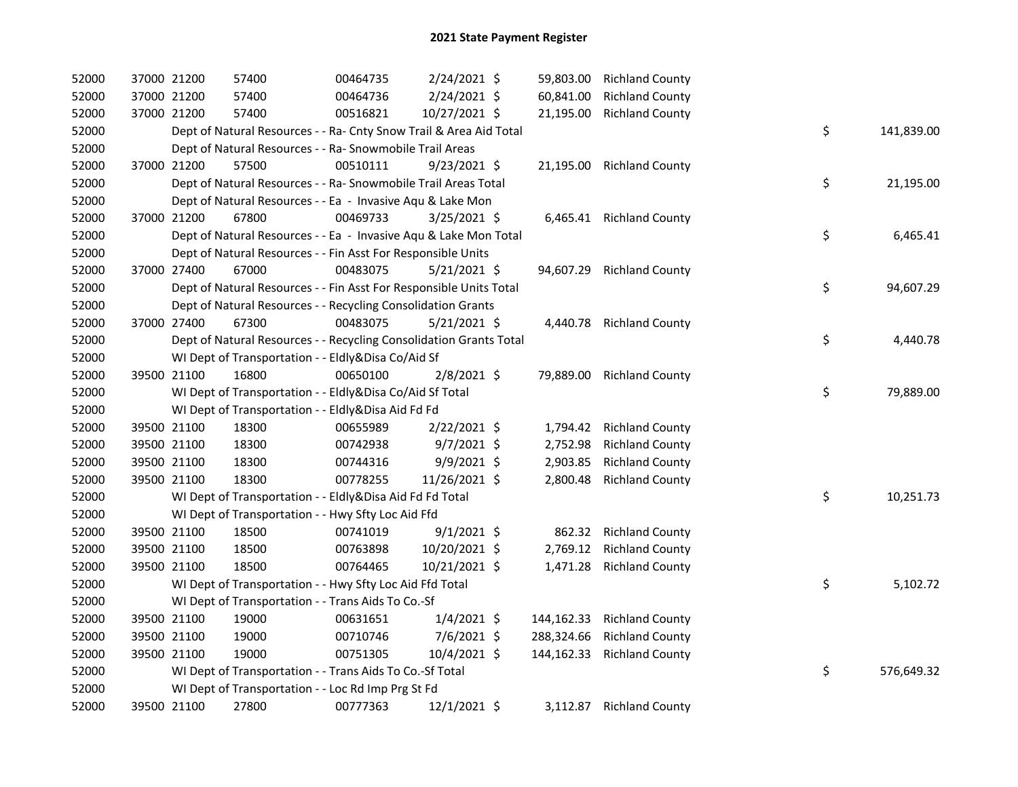| 52000 | 37000 21200 |             | 57400                                                              | 00464735 | 2/24/2021 \$   |            | 59,803.00 Richland County |    |            |
|-------|-------------|-------------|--------------------------------------------------------------------|----------|----------------|------------|---------------------------|----|------------|
| 52000 | 37000 21200 |             | 57400                                                              | 00464736 | 2/24/2021 \$   | 60,841.00  | <b>Richland County</b>    |    |            |
| 52000 | 37000 21200 |             | 57400                                                              | 00516821 | 10/27/2021 \$  | 21,195.00  | <b>Richland County</b>    |    |            |
| 52000 |             |             | Dept of Natural Resources - - Ra- Cnty Snow Trail & Area Aid Total |          |                |            |                           | \$ | 141,839.00 |
| 52000 |             |             | Dept of Natural Resources - - Ra- Snowmobile Trail Areas           |          |                |            |                           |    |            |
| 52000 | 37000 21200 |             | 57500                                                              | 00510111 | $9/23/2021$ \$ | 21,195.00  | <b>Richland County</b>    |    |            |
| 52000 |             |             | Dept of Natural Resources - - Ra- Snowmobile Trail Areas Total     |          |                |            |                           | \$ | 21,195.00  |
| 52000 |             |             | Dept of Natural Resources - - Ea - Invasive Aqu & Lake Mon         |          |                |            |                           |    |            |
| 52000 | 37000 21200 |             | 67800                                                              | 00469733 | $3/25/2021$ \$ |            | 6,465.41 Richland County  |    |            |
| 52000 |             |             | Dept of Natural Resources - - Ea - Invasive Aqu & Lake Mon Total   |          |                |            |                           | \$ | 6,465.41   |
| 52000 |             |             | Dept of Natural Resources - - Fin Asst For Responsible Units       |          |                |            |                           |    |            |
| 52000 |             | 37000 27400 | 67000                                                              | 00483075 | $5/21/2021$ \$ | 94,607.29  | <b>Richland County</b>    |    |            |
| 52000 |             |             | Dept of Natural Resources - - Fin Asst For Responsible Units Total |          |                |            |                           | \$ | 94,607.29  |
| 52000 |             |             | Dept of Natural Resources - - Recycling Consolidation Grants       |          |                |            |                           |    |            |
| 52000 | 37000 27400 |             | 67300                                                              | 00483075 | $5/21/2021$ \$ |            | 4,440.78 Richland County  |    |            |
| 52000 |             |             | Dept of Natural Resources - - Recycling Consolidation Grants Total |          |                |            |                           | \$ | 4,440.78   |
| 52000 |             |             | WI Dept of Transportation - - Eldly&Disa Co/Aid Sf                 |          |                |            |                           |    |            |
| 52000 | 39500 21100 |             | 16800                                                              | 00650100 | $2/8/2021$ \$  |            | 79,889.00 Richland County |    |            |
| 52000 |             |             | WI Dept of Transportation - - Eldly&Disa Co/Aid Sf Total           |          |                |            |                           | \$ | 79,889.00  |
| 52000 |             |             | WI Dept of Transportation - - Eldly&Disa Aid Fd Fd                 |          |                |            |                           |    |            |
| 52000 |             | 39500 21100 | 18300                                                              | 00655989 | $2/22/2021$ \$ | 1,794.42   | <b>Richland County</b>    |    |            |
| 52000 |             | 39500 21100 | 18300                                                              | 00742938 | $9/7/2021$ \$  | 2,752.98   | <b>Richland County</b>    |    |            |
| 52000 |             | 39500 21100 | 18300                                                              | 00744316 | 9/9/2021 \$    | 2,903.85   | <b>Richland County</b>    |    |            |
| 52000 | 39500 21100 |             | 18300                                                              | 00778255 | 11/26/2021 \$  | 2,800.48   | <b>Richland County</b>    |    |            |
| 52000 |             |             | WI Dept of Transportation - - Eldly&Disa Aid Fd Fd Total           |          |                |            |                           | \$ | 10,251.73  |
| 52000 |             |             | WI Dept of Transportation - - Hwy Sfty Loc Aid Ffd                 |          |                |            |                           |    |            |
| 52000 |             | 39500 21100 | 18500                                                              | 00741019 | $9/1/2021$ \$  | 862.32     | <b>Richland County</b>    |    |            |
| 52000 | 39500 21100 |             | 18500                                                              | 00763898 | 10/20/2021 \$  | 2,769.12   | <b>Richland County</b>    |    |            |
| 52000 | 39500 21100 |             | 18500                                                              | 00764465 | 10/21/2021 \$  | 1,471.28   | <b>Richland County</b>    |    |            |
| 52000 |             |             | WI Dept of Transportation - - Hwy Sfty Loc Aid Ffd Total           |          |                |            |                           | \$ | 5,102.72   |
| 52000 |             |             | WI Dept of Transportation - - Trans Aids To Co.-Sf                 |          |                |            |                           |    |            |
| 52000 |             | 39500 21100 | 19000                                                              | 00631651 | $1/4/2021$ \$  | 144,162.33 | <b>Richland County</b>    |    |            |
| 52000 | 39500 21100 |             | 19000                                                              | 00710746 | 7/6/2021 \$    | 288,324.66 | <b>Richland County</b>    |    |            |
| 52000 | 39500 21100 |             | 19000                                                              | 00751305 | 10/4/2021 \$   | 144,162.33 | <b>Richland County</b>    |    |            |
| 52000 |             |             | WI Dept of Transportation - - Trans Aids To Co.-Sf Total           |          |                |            |                           | \$ | 576,649.32 |
| 52000 |             |             | WI Dept of Transportation - - Loc Rd Imp Prg St Fd                 |          |                |            |                           |    |            |
| 52000 | 39500 21100 |             | 27800                                                              | 00777363 | 12/1/2021 \$   | 3,112.87   | <b>Richland County</b>    |    |            |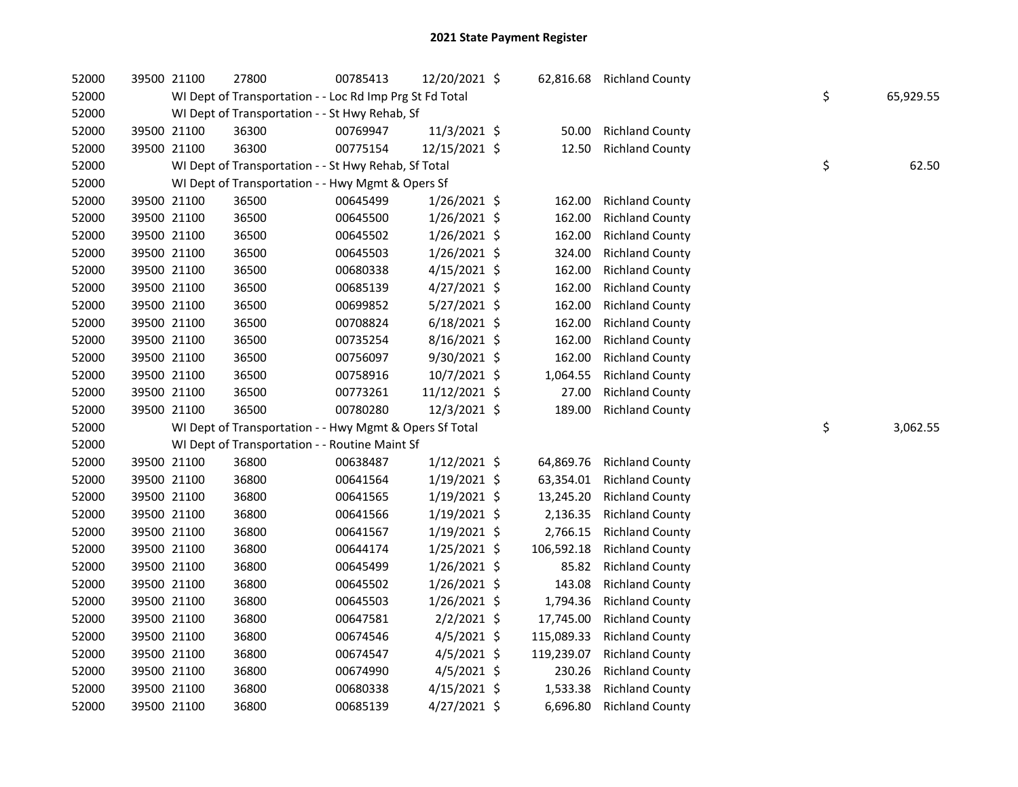| 52000 | 39500 21100 | 27800                                                    | 00785413 | 12/20/2021 \$  |            | 62,816.68 Richland County |    |           |
|-------|-------------|----------------------------------------------------------|----------|----------------|------------|---------------------------|----|-----------|
| 52000 |             | WI Dept of Transportation - - Loc Rd Imp Prg St Fd Total |          |                |            |                           | \$ | 65,929.55 |
| 52000 |             | WI Dept of Transportation - - St Hwy Rehab, Sf           |          |                |            |                           |    |           |
| 52000 | 39500 21100 | 36300                                                    | 00769947 | 11/3/2021 \$   | 50.00      | <b>Richland County</b>    |    |           |
| 52000 | 39500 21100 | 36300                                                    | 00775154 | 12/15/2021 \$  | 12.50      | <b>Richland County</b>    |    |           |
| 52000 |             | WI Dept of Transportation - - St Hwy Rehab, Sf Total     |          |                |            |                           | \$ | 62.50     |
| 52000 |             | WI Dept of Transportation - - Hwy Mgmt & Opers Sf        |          |                |            |                           |    |           |
| 52000 | 39500 21100 | 36500                                                    | 00645499 | $1/26/2021$ \$ | 162.00     | <b>Richland County</b>    |    |           |
| 52000 | 39500 21100 | 36500                                                    | 00645500 | $1/26/2021$ \$ | 162.00     | <b>Richland County</b>    |    |           |
| 52000 | 39500 21100 | 36500                                                    | 00645502 | $1/26/2021$ \$ | 162.00     | <b>Richland County</b>    |    |           |
| 52000 | 39500 21100 | 36500                                                    | 00645503 | $1/26/2021$ \$ | 324.00     | <b>Richland County</b>    |    |           |
| 52000 | 39500 21100 | 36500                                                    | 00680338 | $4/15/2021$ \$ | 162.00     | <b>Richland County</b>    |    |           |
| 52000 | 39500 21100 | 36500                                                    | 00685139 | $4/27/2021$ \$ | 162.00     | <b>Richland County</b>    |    |           |
| 52000 | 39500 21100 | 36500                                                    | 00699852 | 5/27/2021 \$   | 162.00     | <b>Richland County</b>    |    |           |
| 52000 | 39500 21100 | 36500                                                    | 00708824 | $6/18/2021$ \$ | 162.00     | <b>Richland County</b>    |    |           |
| 52000 | 39500 21100 | 36500                                                    | 00735254 | 8/16/2021 \$   | 162.00     | <b>Richland County</b>    |    |           |
| 52000 | 39500 21100 | 36500                                                    | 00756097 | 9/30/2021 \$   | 162.00     | <b>Richland County</b>    |    |           |
| 52000 | 39500 21100 | 36500                                                    | 00758916 | 10/7/2021 \$   | 1,064.55   | <b>Richland County</b>    |    |           |
|       |             |                                                          |          |                |            |                           |    |           |
| 52000 | 39500 21100 | 36500                                                    | 00773261 | 11/12/2021 \$  | 27.00      | <b>Richland County</b>    |    |           |
| 52000 | 39500 21100 | 36500                                                    | 00780280 | 12/3/2021 \$   | 189.00     | <b>Richland County</b>    |    |           |
| 52000 |             | WI Dept of Transportation - - Hwy Mgmt & Opers Sf Total  |          |                |            |                           | \$ | 3,062.55  |
| 52000 |             | WI Dept of Transportation - - Routine Maint Sf           |          |                |            |                           |    |           |
| 52000 | 39500 21100 | 36800                                                    | 00638487 | $1/12/2021$ \$ | 64,869.76  | <b>Richland County</b>    |    |           |
| 52000 | 39500 21100 | 36800                                                    | 00641564 | $1/19/2021$ \$ | 63,354.01  | <b>Richland County</b>    |    |           |
| 52000 | 39500 21100 | 36800                                                    | 00641565 | $1/19/2021$ \$ | 13,245.20  | <b>Richland County</b>    |    |           |
| 52000 | 39500 21100 | 36800                                                    | 00641566 | $1/19/2021$ \$ | 2,136.35   | <b>Richland County</b>    |    |           |
| 52000 | 39500 21100 | 36800                                                    | 00641567 | $1/19/2021$ \$ | 2,766.15   | <b>Richland County</b>    |    |           |
| 52000 | 39500 21100 | 36800                                                    | 00644174 | $1/25/2021$ \$ | 106,592.18 | <b>Richland County</b>    |    |           |
| 52000 | 39500 21100 | 36800                                                    | 00645499 | $1/26/2021$ \$ | 85.82      | <b>Richland County</b>    |    |           |
| 52000 | 39500 21100 | 36800                                                    | 00645502 | 1/26/2021 \$   | 143.08     | <b>Richland County</b>    |    |           |
| 52000 | 39500 21100 | 36800                                                    | 00645503 | $1/26/2021$ \$ | 1,794.36   | <b>Richland County</b>    |    |           |
| 52000 | 39500 21100 | 36800                                                    | 00647581 | $2/2/2021$ \$  | 17,745.00  | <b>Richland County</b>    |    |           |
| 52000 | 39500 21100 | 36800                                                    | 00674546 | $4/5/2021$ \$  | 115,089.33 | <b>Richland County</b>    |    |           |
| 52000 | 39500 21100 | 36800                                                    | 00674547 | $4/5/2021$ \$  | 119,239.07 | <b>Richland County</b>    |    |           |
| 52000 | 39500 21100 | 36800                                                    | 00674990 | $4/5/2021$ \$  | 230.26     | <b>Richland County</b>    |    |           |
| 52000 | 39500 21100 | 36800                                                    | 00680338 | $4/15/2021$ \$ | 1,533.38   | <b>Richland County</b>    |    |           |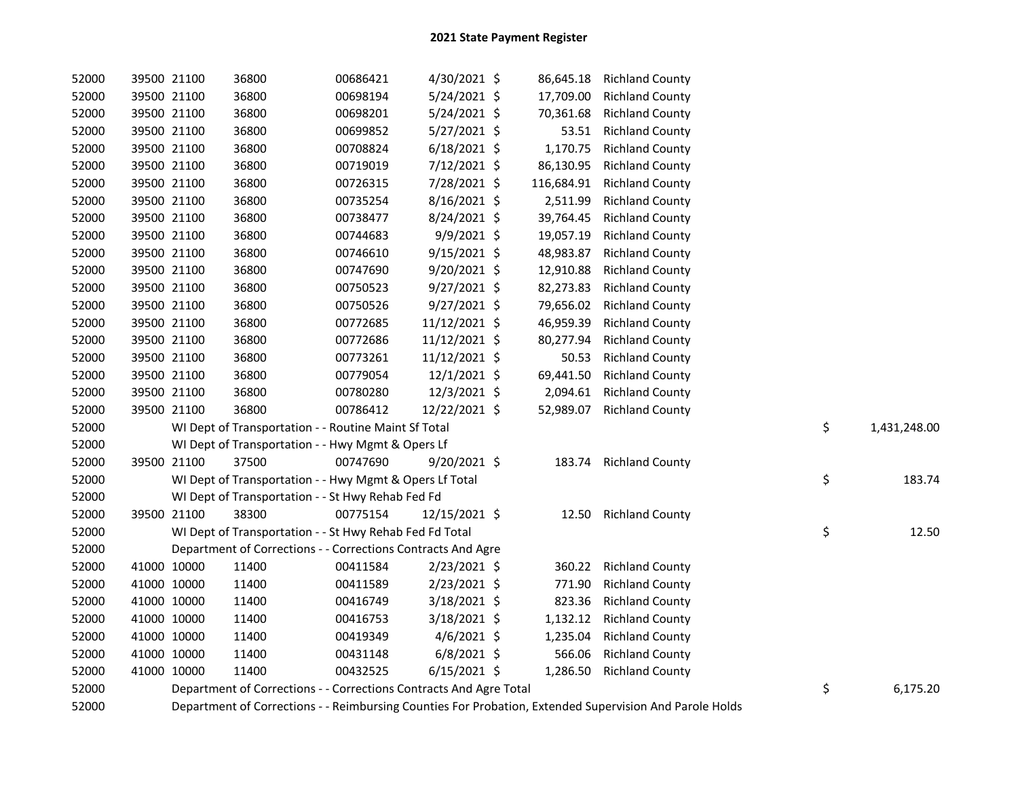| 52000 |             | 39500 21100 | 36800                                                              | 00686421 | 4/30/2021 \$   | 86,645.18  | <b>Richland County</b>                                                                                  |                    |
|-------|-------------|-------------|--------------------------------------------------------------------|----------|----------------|------------|---------------------------------------------------------------------------------------------------------|--------------------|
| 52000 |             | 39500 21100 | 36800                                                              | 00698194 | 5/24/2021 \$   | 17,709.00  | <b>Richland County</b>                                                                                  |                    |
| 52000 |             | 39500 21100 | 36800                                                              | 00698201 | 5/24/2021 \$   | 70,361.68  | <b>Richland County</b>                                                                                  |                    |
| 52000 |             | 39500 21100 | 36800                                                              | 00699852 | 5/27/2021 \$   | 53.51      | <b>Richland County</b>                                                                                  |                    |
| 52000 |             | 39500 21100 | 36800                                                              | 00708824 | $6/18/2021$ \$ | 1,170.75   | <b>Richland County</b>                                                                                  |                    |
| 52000 |             | 39500 21100 | 36800                                                              | 00719019 | 7/12/2021 \$   | 86,130.95  | <b>Richland County</b>                                                                                  |                    |
| 52000 |             | 39500 21100 | 36800                                                              | 00726315 | 7/28/2021 \$   | 116,684.91 | <b>Richland County</b>                                                                                  |                    |
| 52000 |             | 39500 21100 | 36800                                                              | 00735254 | 8/16/2021 \$   | 2,511.99   | <b>Richland County</b>                                                                                  |                    |
| 52000 |             | 39500 21100 | 36800                                                              | 00738477 | 8/24/2021 \$   | 39,764.45  | <b>Richland County</b>                                                                                  |                    |
| 52000 |             | 39500 21100 | 36800                                                              | 00744683 | 9/9/2021 \$    | 19,057.19  | <b>Richland County</b>                                                                                  |                    |
| 52000 |             | 39500 21100 | 36800                                                              | 00746610 | $9/15/2021$ \$ | 48,983.87  | <b>Richland County</b>                                                                                  |                    |
| 52000 |             | 39500 21100 | 36800                                                              | 00747690 | 9/20/2021 \$   | 12,910.88  | <b>Richland County</b>                                                                                  |                    |
| 52000 |             | 39500 21100 | 36800                                                              | 00750523 | $9/27/2021$ \$ | 82,273.83  | <b>Richland County</b>                                                                                  |                    |
| 52000 |             | 39500 21100 | 36800                                                              | 00750526 | 9/27/2021 \$   | 79,656.02  | <b>Richland County</b>                                                                                  |                    |
| 52000 |             | 39500 21100 | 36800                                                              | 00772685 | 11/12/2021 \$  | 46,959.39  | <b>Richland County</b>                                                                                  |                    |
| 52000 |             | 39500 21100 | 36800                                                              | 00772686 | 11/12/2021 \$  | 80,277.94  | <b>Richland County</b>                                                                                  |                    |
| 52000 |             | 39500 21100 | 36800                                                              | 00773261 | 11/12/2021 \$  | 50.53      | <b>Richland County</b>                                                                                  |                    |
| 52000 |             | 39500 21100 | 36800                                                              | 00779054 | 12/1/2021 \$   | 69,441.50  | <b>Richland County</b>                                                                                  |                    |
| 52000 |             | 39500 21100 | 36800                                                              | 00780280 | 12/3/2021 \$   | 2,094.61   | <b>Richland County</b>                                                                                  |                    |
| 52000 |             | 39500 21100 | 36800                                                              | 00786412 | 12/22/2021 \$  | 52,989.07  | <b>Richland County</b>                                                                                  |                    |
| 52000 |             |             | WI Dept of Transportation - - Routine Maint Sf Total               |          |                |            |                                                                                                         | \$<br>1,431,248.00 |
| 52000 |             |             | WI Dept of Transportation - - Hwy Mgmt & Opers Lf                  |          |                |            |                                                                                                         |                    |
| 52000 |             | 39500 21100 | 37500                                                              | 00747690 | 9/20/2021 \$   |            | 183.74 Richland County                                                                                  |                    |
| 52000 |             |             | WI Dept of Transportation - - Hwy Mgmt & Opers Lf Total            |          |                |            |                                                                                                         | \$<br>183.74       |
| 52000 |             |             | WI Dept of Transportation - - St Hwy Rehab Fed Fd                  |          |                |            |                                                                                                         |                    |
| 52000 |             | 39500 21100 | 38300                                                              | 00775154 | 12/15/2021 \$  |            | 12.50 Richland County                                                                                   |                    |
| 52000 |             |             | WI Dept of Transportation - - St Hwy Rehab Fed Fd Total            |          |                |            |                                                                                                         | \$<br>12.50        |
| 52000 |             |             | Department of Corrections - - Corrections Contracts And Agre       |          |                |            |                                                                                                         |                    |
| 52000 |             | 41000 10000 | 11400                                                              | 00411584 | $2/23/2021$ \$ | 360.22     | <b>Richland County</b>                                                                                  |                    |
| 52000 |             | 41000 10000 | 11400                                                              | 00411589 | 2/23/2021 \$   | 771.90     | <b>Richland County</b>                                                                                  |                    |
| 52000 |             | 41000 10000 | 11400                                                              | 00416749 | 3/18/2021 \$   | 823.36     | <b>Richland County</b>                                                                                  |                    |
| 52000 |             | 41000 10000 | 11400                                                              | 00416753 | 3/18/2021 \$   | 1,132.12   | <b>Richland County</b>                                                                                  |                    |
| 52000 | 41000 10000 |             | 11400                                                              | 00419349 | $4/6/2021$ \$  | 1,235.04   | <b>Richland County</b>                                                                                  |                    |
| 52000 | 41000 10000 |             | 11400                                                              | 00431148 | $6/8/2021$ \$  | 566.06     | <b>Richland County</b>                                                                                  |                    |
| 52000 |             | 41000 10000 | 11400                                                              | 00432525 | $6/15/2021$ \$ | 1,286.50   | <b>Richland County</b>                                                                                  |                    |
| 52000 |             |             | Department of Corrections - - Corrections Contracts And Agre Total |          |                |            |                                                                                                         | \$<br>6,175.20     |
| 52000 |             |             |                                                                    |          |                |            | Department of Corrections - - Reimbursing Counties For Probation, Extended Supervision And Parole Holds |                    |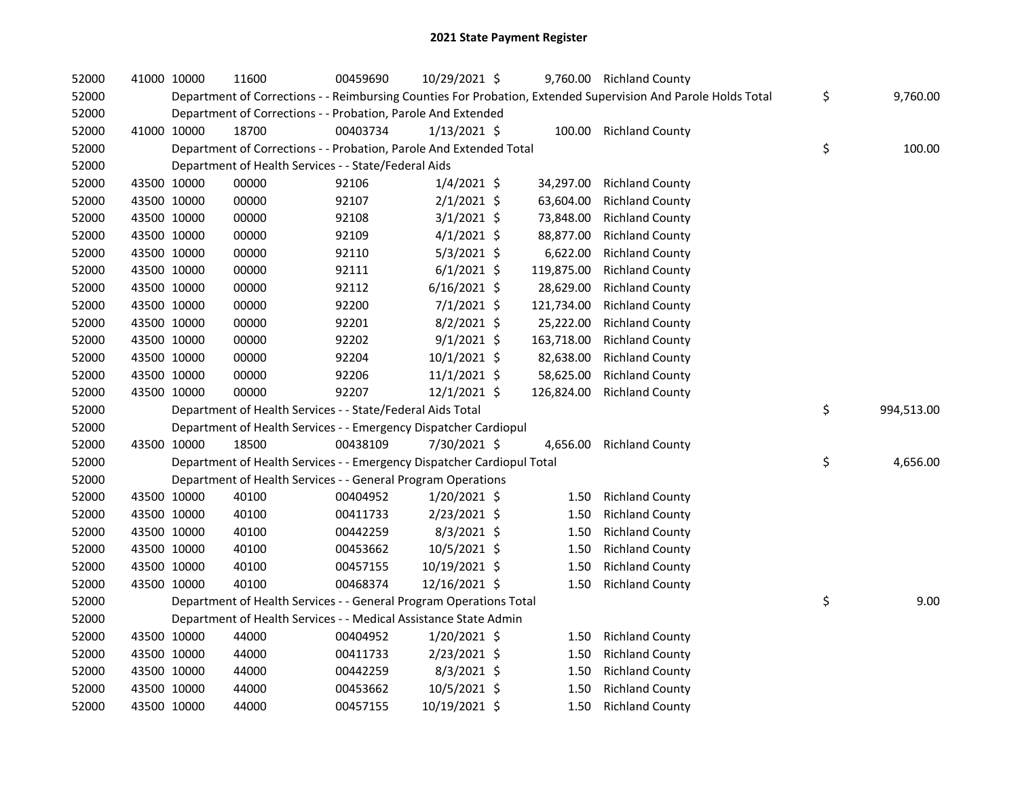| 52000 |             | 41000 10000 | 11600                                                                  | 00459690 | 10/29/2021 \$  |            | 9,760.00 Richland County                                                                                      |                  |
|-------|-------------|-------------|------------------------------------------------------------------------|----------|----------------|------------|---------------------------------------------------------------------------------------------------------------|------------------|
| 52000 |             |             |                                                                        |          |                |            | Department of Corrections - - Reimbursing Counties For Probation, Extended Supervision And Parole Holds Total | \$<br>9,760.00   |
| 52000 |             |             | Department of Corrections - - Probation, Parole And Extended           |          |                |            |                                                                                                               |                  |
| 52000 |             | 41000 10000 | 18700                                                                  | 00403734 | $1/13/2021$ \$ |            | 100.00 Richland County                                                                                        |                  |
| 52000 |             |             | Department of Corrections - - Probation, Parole And Extended Total     |          |                |            |                                                                                                               | \$<br>100.00     |
| 52000 |             |             | Department of Health Services - - State/Federal Aids                   |          |                |            |                                                                                                               |                  |
| 52000 |             | 43500 10000 | 00000                                                                  | 92106    | $1/4/2021$ \$  | 34,297.00  | <b>Richland County</b>                                                                                        |                  |
| 52000 | 43500 10000 |             | 00000                                                                  | 92107    | $2/1/2021$ \$  | 63,604.00  | <b>Richland County</b>                                                                                        |                  |
| 52000 |             | 43500 10000 | 00000                                                                  | 92108    | $3/1/2021$ \$  | 73,848.00  | <b>Richland County</b>                                                                                        |                  |
| 52000 |             | 43500 10000 | 00000                                                                  | 92109    | $4/1/2021$ \$  | 88,877.00  | <b>Richland County</b>                                                                                        |                  |
| 52000 |             | 43500 10000 | 00000                                                                  | 92110    | $5/3/2021$ \$  | 6,622.00   | <b>Richland County</b>                                                                                        |                  |
| 52000 |             | 43500 10000 | 00000                                                                  | 92111    | $6/1/2021$ \$  | 119,875.00 | <b>Richland County</b>                                                                                        |                  |
| 52000 |             | 43500 10000 | 00000                                                                  | 92112    | $6/16/2021$ \$ | 28,629.00  | <b>Richland County</b>                                                                                        |                  |
| 52000 |             | 43500 10000 | 00000                                                                  | 92200    | $7/1/2021$ \$  | 121,734.00 | <b>Richland County</b>                                                                                        |                  |
| 52000 |             | 43500 10000 | 00000                                                                  | 92201    | $8/2/2021$ \$  | 25,222.00  | <b>Richland County</b>                                                                                        |                  |
| 52000 |             | 43500 10000 | 00000                                                                  | 92202    | $9/1/2021$ \$  | 163,718.00 | <b>Richland County</b>                                                                                        |                  |
| 52000 |             | 43500 10000 | 00000                                                                  | 92204    | 10/1/2021 \$   | 82,638.00  | <b>Richland County</b>                                                                                        |                  |
| 52000 |             | 43500 10000 | 00000                                                                  | 92206    | 11/1/2021 \$   | 58,625.00  | <b>Richland County</b>                                                                                        |                  |
| 52000 |             | 43500 10000 | 00000                                                                  | 92207    | 12/1/2021 \$   | 126,824.00 | <b>Richland County</b>                                                                                        |                  |
| 52000 |             |             | Department of Health Services - - State/Federal Aids Total             |          |                |            |                                                                                                               | \$<br>994,513.00 |
| 52000 |             |             | Department of Health Services - - Emergency Dispatcher Cardiopul       |          |                |            |                                                                                                               |                  |
| 52000 |             | 43500 10000 | 18500                                                                  | 00438109 | 7/30/2021 \$   | 4,656.00   | <b>Richland County</b>                                                                                        |                  |
| 52000 |             |             | Department of Health Services - - Emergency Dispatcher Cardiopul Total |          |                |            |                                                                                                               | \$<br>4,656.00   |
| 52000 |             |             | Department of Health Services - - General Program Operations           |          |                |            |                                                                                                               |                  |
| 52000 |             | 43500 10000 | 40100                                                                  | 00404952 | $1/20/2021$ \$ | 1.50       | <b>Richland County</b>                                                                                        |                  |
| 52000 |             | 43500 10000 | 40100                                                                  | 00411733 | 2/23/2021 \$   | 1.50       | <b>Richland County</b>                                                                                        |                  |
| 52000 | 43500 10000 |             | 40100                                                                  | 00442259 | 8/3/2021 \$    | 1.50       | <b>Richland County</b>                                                                                        |                  |
| 52000 | 43500 10000 |             | 40100                                                                  | 00453662 | 10/5/2021 \$   | 1.50       | <b>Richland County</b>                                                                                        |                  |
| 52000 | 43500 10000 |             | 40100                                                                  | 00457155 | 10/19/2021 \$  | 1.50       | <b>Richland County</b>                                                                                        |                  |
| 52000 |             | 43500 10000 | 40100                                                                  | 00468374 | 12/16/2021 \$  | 1.50       | <b>Richland County</b>                                                                                        |                  |
| 52000 |             |             | Department of Health Services - - General Program Operations Total     |          |                |            |                                                                                                               | \$<br>9.00       |
| 52000 |             |             | Department of Health Services - - Medical Assistance State Admin       |          |                |            |                                                                                                               |                  |
| 52000 |             | 43500 10000 | 44000                                                                  | 00404952 | $1/20/2021$ \$ | 1.50       | <b>Richland County</b>                                                                                        |                  |
| 52000 |             | 43500 10000 | 44000                                                                  | 00411733 | 2/23/2021 \$   | 1.50       | <b>Richland County</b>                                                                                        |                  |
| 52000 |             | 43500 10000 | 44000                                                                  | 00442259 | 8/3/2021 \$    | 1.50       | <b>Richland County</b>                                                                                        |                  |
| 52000 |             | 43500 10000 | 44000                                                                  | 00453662 | 10/5/2021 \$   | 1.50       | <b>Richland County</b>                                                                                        |                  |
| 52000 | 43500 10000 |             | 44000                                                                  | 00457155 | 10/19/2021 \$  | 1.50       | <b>Richland County</b>                                                                                        |                  |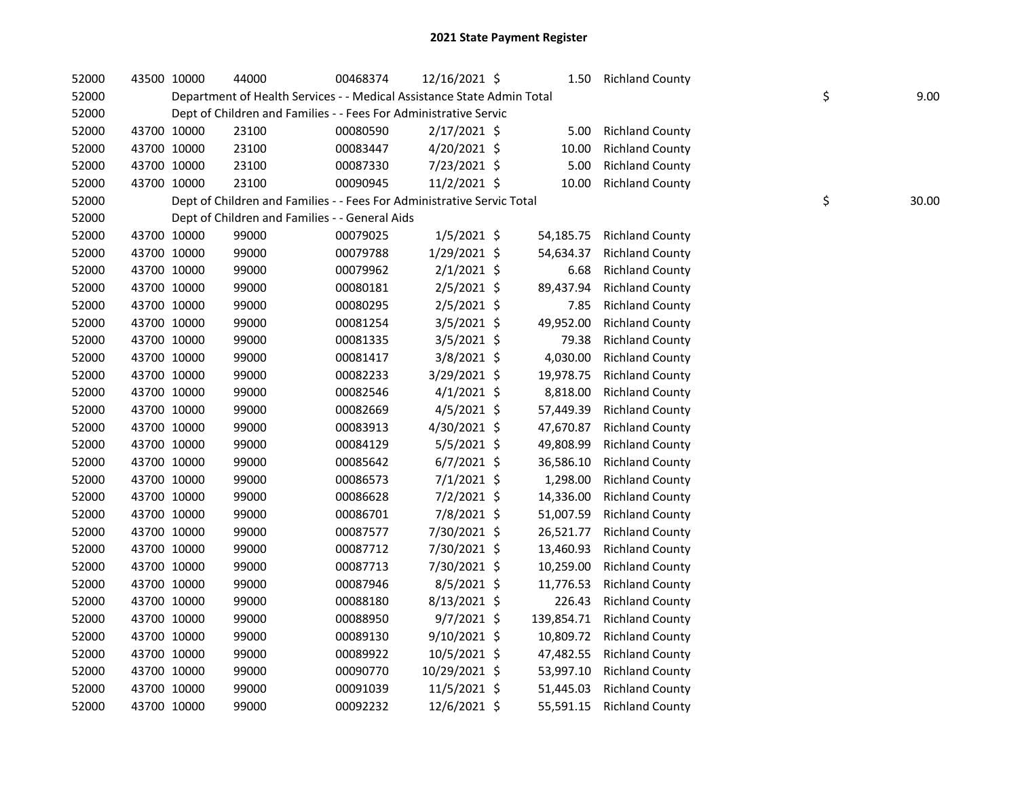| 52000 |             | 43500 10000 | 44000                                                                  | 00468374 | 12/16/2021 \$  | 1.50       | <b>Richland County</b> |    |       |
|-------|-------------|-------------|------------------------------------------------------------------------|----------|----------------|------------|------------------------|----|-------|
| 52000 |             |             | Department of Health Services - - Medical Assistance State Admin Total |          |                |            |                        | \$ | 9.00  |
| 52000 |             |             | Dept of Children and Families - - Fees For Administrative Servic       |          |                |            |                        |    |       |
| 52000 | 43700 10000 |             | 23100                                                                  | 00080590 | 2/17/2021 \$   | 5.00       | <b>Richland County</b> |    |       |
| 52000 | 43700 10000 |             | 23100                                                                  | 00083447 | 4/20/2021 \$   | 10.00      | <b>Richland County</b> |    |       |
| 52000 | 43700 10000 |             | 23100                                                                  | 00087330 | 7/23/2021 \$   | 5.00       | <b>Richland County</b> |    |       |
| 52000 | 43700 10000 |             | 23100                                                                  | 00090945 | 11/2/2021 \$   | 10.00      | <b>Richland County</b> |    |       |
| 52000 |             |             | Dept of Children and Families - - Fees For Administrative Servic Total |          |                |            |                        | \$ | 30.00 |
| 52000 |             |             | Dept of Children and Families - - General Aids                         |          |                |            |                        |    |       |
| 52000 | 43700 10000 |             | 99000                                                                  | 00079025 | $1/5/2021$ \$  | 54,185.75  | <b>Richland County</b> |    |       |
| 52000 | 43700 10000 |             | 99000                                                                  | 00079788 | 1/29/2021 \$   | 54,634.37  | <b>Richland County</b> |    |       |
| 52000 | 43700 10000 |             | 99000                                                                  | 00079962 | $2/1/2021$ \$  | 6.68       | <b>Richland County</b> |    |       |
| 52000 | 43700 10000 |             | 99000                                                                  | 00080181 | 2/5/2021 \$    | 89,437.94  | <b>Richland County</b> |    |       |
| 52000 | 43700 10000 |             | 99000                                                                  | 00080295 | $2/5/2021$ \$  | 7.85       | <b>Richland County</b> |    |       |
| 52000 | 43700 10000 |             | 99000                                                                  | 00081254 | $3/5/2021$ \$  | 49,952.00  | <b>Richland County</b> |    |       |
| 52000 | 43700 10000 |             | 99000                                                                  | 00081335 | 3/5/2021 \$    | 79.38      | <b>Richland County</b> |    |       |
| 52000 | 43700 10000 |             | 99000                                                                  | 00081417 | 3/8/2021 \$    | 4,030.00   | <b>Richland County</b> |    |       |
| 52000 | 43700 10000 |             | 99000                                                                  | 00082233 | 3/29/2021 \$   | 19,978.75  | <b>Richland County</b> |    |       |
| 52000 | 43700 10000 |             | 99000                                                                  | 00082546 | $4/1/2021$ \$  | 8,818.00   | <b>Richland County</b> |    |       |
| 52000 | 43700 10000 |             | 99000                                                                  | 00082669 | $4/5/2021$ \$  | 57,449.39  | <b>Richland County</b> |    |       |
| 52000 | 43700 10000 |             | 99000                                                                  | 00083913 | 4/30/2021 \$   | 47,670.87  | <b>Richland County</b> |    |       |
| 52000 | 43700 10000 |             | 99000                                                                  | 00084129 | 5/5/2021 \$    | 49,808.99  | <b>Richland County</b> |    |       |
| 52000 | 43700 10000 |             | 99000                                                                  | 00085642 | $6/7/2021$ \$  | 36,586.10  | <b>Richland County</b> |    |       |
| 52000 | 43700 10000 |             | 99000                                                                  | 00086573 | 7/1/2021 \$    | 1,298.00   | <b>Richland County</b> |    |       |
| 52000 | 43700 10000 |             | 99000                                                                  | 00086628 | 7/2/2021 \$    | 14,336.00  | <b>Richland County</b> |    |       |
| 52000 | 43700 10000 |             | 99000                                                                  | 00086701 | 7/8/2021 \$    | 51,007.59  | <b>Richland County</b> |    |       |
| 52000 | 43700 10000 |             | 99000                                                                  | 00087577 | 7/30/2021 \$   | 26,521.77  | <b>Richland County</b> |    |       |
| 52000 | 43700 10000 |             | 99000                                                                  | 00087712 | 7/30/2021 \$   | 13,460.93  | <b>Richland County</b> |    |       |
| 52000 | 43700 10000 |             | 99000                                                                  | 00087713 | 7/30/2021 \$   | 10,259.00  | <b>Richland County</b> |    |       |
| 52000 | 43700 10000 |             | 99000                                                                  | 00087946 | $8/5/2021$ \$  | 11,776.53  | <b>Richland County</b> |    |       |
| 52000 | 43700 10000 |             | 99000                                                                  | 00088180 | $8/13/2021$ \$ | 226.43     | <b>Richland County</b> |    |       |
| 52000 | 43700 10000 |             | 99000                                                                  | 00088950 | $9/7/2021$ \$  | 139,854.71 | <b>Richland County</b> |    |       |
| 52000 | 43700 10000 |             | 99000                                                                  | 00089130 | 9/10/2021 \$   | 10,809.72  | <b>Richland County</b> |    |       |
| 52000 | 43700 10000 |             | 99000                                                                  | 00089922 | 10/5/2021 \$   | 47,482.55  | <b>Richland County</b> |    |       |
| 52000 | 43700 10000 |             | 99000                                                                  | 00090770 | 10/29/2021 \$  | 53,997.10  | <b>Richland County</b> |    |       |
| 52000 |             | 43700 10000 | 99000                                                                  | 00091039 | 11/5/2021 \$   | 51,445.03  | <b>Richland County</b> |    |       |
| 52000 |             | 43700 10000 | 99000                                                                  | 00092232 | 12/6/2021 \$   | 55,591.15  | <b>Richland County</b> |    |       |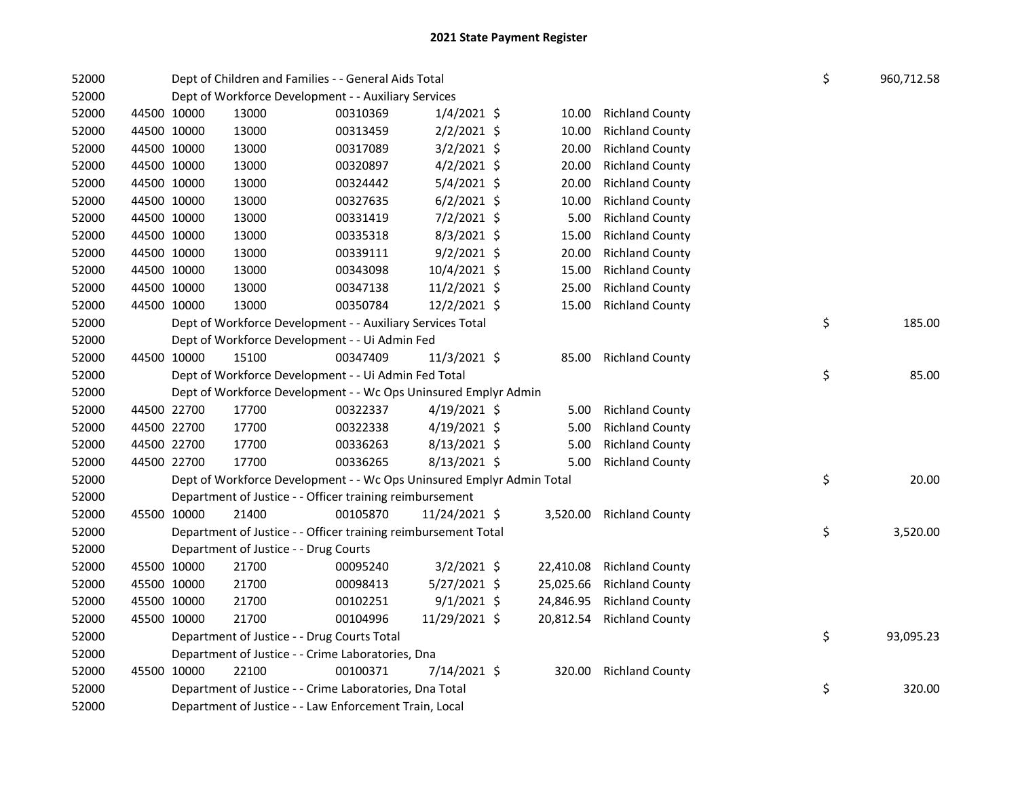| 52000 | Dept of Children and Families - - General Aids Total |                                                                       |          |                |  |           |                          |  | \$<br>960,712.58 |
|-------|------------------------------------------------------|-----------------------------------------------------------------------|----------|----------------|--|-----------|--------------------------|--|------------------|
| 52000 |                                                      | Dept of Workforce Development - - Auxiliary Services                  |          |                |  |           |                          |  |                  |
| 52000 | 44500 10000                                          | 13000                                                                 | 00310369 | $1/4/2021$ \$  |  | 10.00     | <b>Richland County</b>   |  |                  |
| 52000 | 44500 10000                                          | 13000                                                                 | 00313459 | $2/2/2021$ \$  |  | 10.00     | <b>Richland County</b>   |  |                  |
| 52000 | 44500 10000                                          | 13000                                                                 | 00317089 | $3/2/2021$ \$  |  | 20.00     | <b>Richland County</b>   |  |                  |
| 52000 | 44500 10000                                          | 13000                                                                 | 00320897 | $4/2/2021$ \$  |  | 20.00     | <b>Richland County</b>   |  |                  |
| 52000 | 44500 10000                                          | 13000                                                                 | 00324442 | 5/4/2021 \$    |  | 20.00     | <b>Richland County</b>   |  |                  |
| 52000 | 44500 10000                                          | 13000                                                                 | 00327635 | $6/2/2021$ \$  |  | 10.00     | <b>Richland County</b>   |  |                  |
| 52000 | 44500 10000                                          | 13000                                                                 | 00331419 | $7/2/2021$ \$  |  | 5.00      | <b>Richland County</b>   |  |                  |
| 52000 | 44500 10000                                          | 13000                                                                 | 00335318 | $8/3/2021$ \$  |  | 15.00     | <b>Richland County</b>   |  |                  |
| 52000 | 44500 10000                                          | 13000                                                                 | 00339111 | $9/2/2021$ \$  |  | 20.00     | <b>Richland County</b>   |  |                  |
| 52000 | 44500 10000                                          | 13000                                                                 | 00343098 | 10/4/2021 \$   |  | 15.00     | <b>Richland County</b>   |  |                  |
| 52000 | 44500 10000                                          | 13000                                                                 | 00347138 | $11/2/2021$ \$ |  | 25.00     | <b>Richland County</b>   |  |                  |
| 52000 | 44500 10000                                          | 13000                                                                 | 00350784 | 12/2/2021 \$   |  | 15.00     | <b>Richland County</b>   |  |                  |
| 52000 |                                                      | Dept of Workforce Development - - Auxiliary Services Total            |          |                |  |           |                          |  | \$<br>185.00     |
| 52000 |                                                      | Dept of Workforce Development - - Ui Admin Fed                        |          |                |  |           |                          |  |                  |
| 52000 | 44500 10000                                          | 15100                                                                 | 00347409 | 11/3/2021 \$   |  | 85.00     | <b>Richland County</b>   |  |                  |
| 52000 |                                                      | Dept of Workforce Development - - Ui Admin Fed Total                  |          |                |  |           |                          |  | \$<br>85.00      |
| 52000 |                                                      | Dept of Workforce Development - - Wc Ops Uninsured Emplyr Admin       |          |                |  |           |                          |  |                  |
| 52000 | 44500 22700                                          | 17700                                                                 | 00322337 | 4/19/2021 \$   |  | 5.00      | <b>Richland County</b>   |  |                  |
| 52000 | 44500 22700                                          | 17700                                                                 | 00322338 | $4/19/2021$ \$ |  | 5.00      | <b>Richland County</b>   |  |                  |
| 52000 | 44500 22700                                          | 17700                                                                 | 00336263 | 8/13/2021 \$   |  | 5.00      | <b>Richland County</b>   |  |                  |
| 52000 | 44500 22700                                          | 17700                                                                 | 00336265 | 8/13/2021 \$   |  | 5.00      | <b>Richland County</b>   |  |                  |
| 52000 |                                                      | Dept of Workforce Development - - Wc Ops Uninsured Emplyr Admin Total |          |                |  |           |                          |  | \$<br>20.00      |
| 52000 |                                                      | Department of Justice - - Officer training reimbursement              |          |                |  |           |                          |  |                  |
| 52000 | 45500 10000                                          | 21400                                                                 | 00105870 | 11/24/2021 \$  |  |           | 3,520.00 Richland County |  |                  |
| 52000 |                                                      | Department of Justice - - Officer training reimbursement Total        |          |                |  |           |                          |  | \$<br>3,520.00   |
| 52000 |                                                      | Department of Justice - - Drug Courts                                 |          |                |  |           |                          |  |                  |
| 52000 | 45500 10000                                          | 21700                                                                 | 00095240 | $3/2/2021$ \$  |  | 22,410.08 | <b>Richland County</b>   |  |                  |
| 52000 | 45500 10000                                          | 21700                                                                 | 00098413 | $5/27/2021$ \$ |  | 25,025.66 | <b>Richland County</b>   |  |                  |
| 52000 | 45500 10000                                          | 21700                                                                 | 00102251 | $9/1/2021$ \$  |  | 24,846.95 | <b>Richland County</b>   |  |                  |
| 52000 | 45500 10000                                          | 21700                                                                 | 00104996 | 11/29/2021 \$  |  | 20,812.54 | <b>Richland County</b>   |  |                  |
| 52000 |                                                      | Department of Justice - - Drug Courts Total                           |          |                |  |           |                          |  | \$<br>93,095.23  |
| 52000 |                                                      | Department of Justice - - Crime Laboratories, Dna                     |          |                |  |           |                          |  |                  |
| 52000 | 45500 10000                                          | 22100                                                                 | 00100371 | 7/14/2021 \$   |  | 320.00    | <b>Richland County</b>   |  |                  |
| 52000 |                                                      | Department of Justice - - Crime Laboratories, Dna Total               |          |                |  |           |                          |  | \$<br>320.00     |
| 52000 |                                                      | Department of Justice - - Law Enforcement Train, Local                |          |                |  |           |                          |  |                  |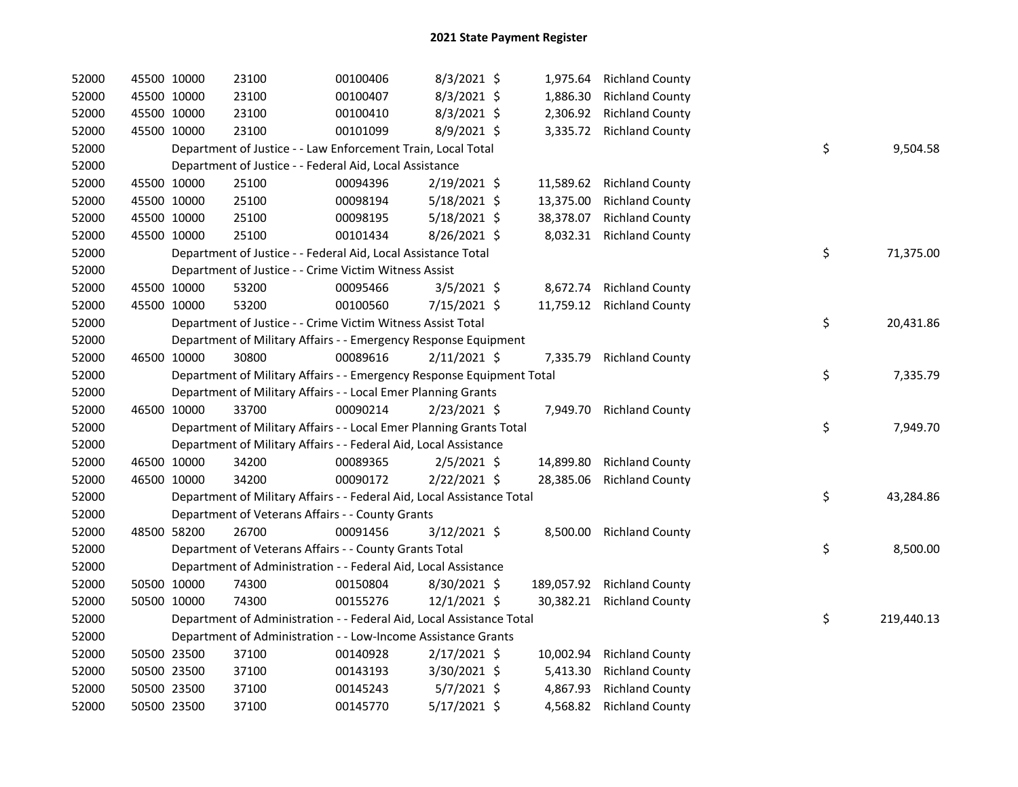| 52000 |             | 45500 10000 | 23100                                                                  | 00100406 | 8/3/2021 \$    | 1,975.64  | <b>Richland County</b>     |    |            |
|-------|-------------|-------------|------------------------------------------------------------------------|----------|----------------|-----------|----------------------------|----|------------|
| 52000 |             | 45500 10000 | 23100                                                                  | 00100407 | 8/3/2021 \$    | 1,886.30  | <b>Richland County</b>     |    |            |
| 52000 |             | 45500 10000 | 23100                                                                  | 00100410 | $8/3/2021$ \$  | 2,306.92  | <b>Richland County</b>     |    |            |
| 52000 | 45500 10000 |             | 23100                                                                  | 00101099 | 8/9/2021 \$    |           | 3,335.72 Richland County   |    |            |
| 52000 |             |             | Department of Justice - - Law Enforcement Train, Local Total           |          |                |           |                            | \$ | 9,504.58   |
| 52000 |             |             | Department of Justice - - Federal Aid, Local Assistance                |          |                |           |                            |    |            |
| 52000 |             | 45500 10000 | 25100                                                                  | 00094396 | 2/19/2021 \$   | 11,589.62 | <b>Richland County</b>     |    |            |
| 52000 |             | 45500 10000 | 25100                                                                  | 00098194 | $5/18/2021$ \$ | 13,375.00 | <b>Richland County</b>     |    |            |
| 52000 |             | 45500 10000 | 25100                                                                  | 00098195 | $5/18/2021$ \$ | 38,378.07 | <b>Richland County</b>     |    |            |
| 52000 |             | 45500 10000 | 25100                                                                  | 00101434 | 8/26/2021 \$   | 8,032.31  | <b>Richland County</b>     |    |            |
| 52000 |             |             | Department of Justice - - Federal Aid, Local Assistance Total          |          |                |           |                            | \$ | 71,375.00  |
| 52000 |             |             | Department of Justice - - Crime Victim Witness Assist                  |          |                |           |                            |    |            |
| 52000 |             | 45500 10000 | 53200                                                                  | 00095466 | $3/5/2021$ \$  | 8,672.74  | <b>Richland County</b>     |    |            |
| 52000 |             | 45500 10000 | 53200                                                                  | 00100560 | 7/15/2021 \$   | 11,759.12 | <b>Richland County</b>     |    |            |
| 52000 |             |             | Department of Justice - - Crime Victim Witness Assist Total            |          |                |           |                            | \$ | 20,431.86  |
| 52000 |             |             | Department of Military Affairs - - Emergency Response Equipment        |          |                |           |                            |    |            |
| 52000 |             | 46500 10000 | 30800                                                                  | 00089616 | $2/11/2021$ \$ | 7,335.79  | <b>Richland County</b>     |    |            |
| 52000 |             |             | Department of Military Affairs - - Emergency Response Equipment Total  |          |                |           |                            | \$ | 7,335.79   |
| 52000 |             |             | Department of Military Affairs - - Local Emer Planning Grants          |          |                |           |                            |    |            |
| 52000 |             | 46500 10000 | 33700                                                                  | 00090214 | 2/23/2021 \$   |           | 7,949.70 Richland County   |    |            |
| 52000 |             |             | Department of Military Affairs - - Local Emer Planning Grants Total    |          |                |           |                            | \$ | 7,949.70   |
| 52000 |             |             | Department of Military Affairs - - Federal Aid, Local Assistance       |          |                |           |                            |    |            |
| 52000 |             | 46500 10000 | 34200                                                                  | 00089365 | $2/5/2021$ \$  | 14,899.80 | <b>Richland County</b>     |    |            |
| 52000 |             | 46500 10000 | 34200                                                                  | 00090172 | 2/22/2021 \$   | 28,385.06 | <b>Richland County</b>     |    |            |
| 52000 |             |             | Department of Military Affairs - - Federal Aid, Local Assistance Total |          |                |           |                            | \$ | 43,284.86  |
| 52000 |             |             | Department of Veterans Affairs - - County Grants                       |          |                |           |                            |    |            |
| 52000 |             | 48500 58200 | 26700                                                                  | 00091456 | 3/12/2021 \$   |           | 8,500.00 Richland County   |    |            |
| 52000 |             |             | Department of Veterans Affairs - - County Grants Total                 |          |                |           |                            | \$ | 8,500.00   |
| 52000 |             |             | Department of Administration - - Federal Aid, Local Assistance         |          |                |           |                            |    |            |
| 52000 |             | 50500 10000 | 74300                                                                  | 00150804 | 8/30/2021 \$   |           | 189,057.92 Richland County |    |            |
| 52000 |             | 50500 10000 | 74300                                                                  | 00155276 | 12/1/2021 \$   | 30,382.21 | <b>Richland County</b>     |    |            |
| 52000 |             |             | Department of Administration - - Federal Aid, Local Assistance Total   |          |                |           |                            | \$ | 219,440.13 |
| 52000 |             |             | Department of Administration - - Low-Income Assistance Grants          |          |                |           |                            |    |            |
| 52000 |             | 50500 23500 | 37100                                                                  | 00140928 | 2/17/2021 \$   | 10,002.94 | <b>Richland County</b>     |    |            |
| 52000 |             | 50500 23500 | 37100                                                                  | 00143193 | 3/30/2021 \$   | 5,413.30  | <b>Richland County</b>     |    |            |
| 52000 |             | 50500 23500 | 37100                                                                  | 00145243 | $5/7/2021$ \$  | 4,867.93  | <b>Richland County</b>     |    |            |
| 52000 |             | 50500 23500 | 37100                                                                  | 00145770 | 5/17/2021 \$   | 4,568.82  | <b>Richland County</b>     |    |            |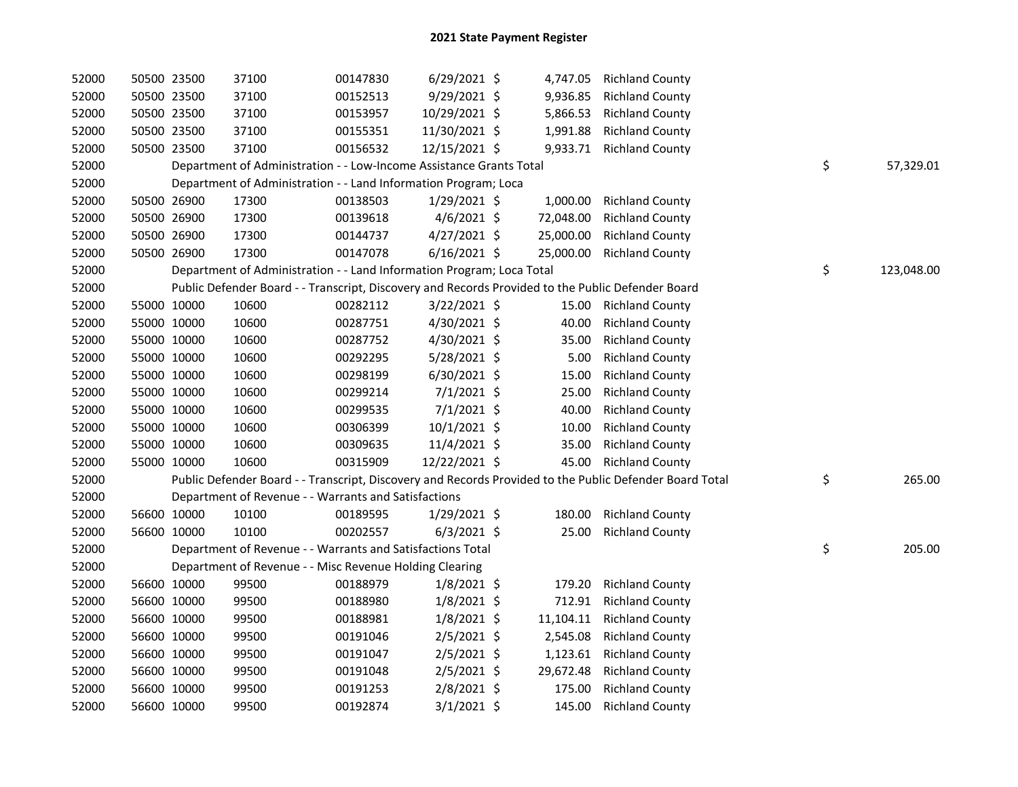| 52000 | 50500 23500 |             | 37100                                                                                             | 00147830 | $6/29/2021$ \$ |           | 4,747.05 Richland County                                                                                |                  |
|-------|-------------|-------------|---------------------------------------------------------------------------------------------------|----------|----------------|-----------|---------------------------------------------------------------------------------------------------------|------------------|
| 52000 |             | 50500 23500 | 37100                                                                                             | 00152513 | 9/29/2021 \$   | 9,936.85  | <b>Richland County</b>                                                                                  |                  |
| 52000 |             | 50500 23500 | 37100                                                                                             | 00153957 | 10/29/2021 \$  | 5,866.53  | <b>Richland County</b>                                                                                  |                  |
| 52000 | 50500 23500 |             | 37100                                                                                             | 00155351 | 11/30/2021 \$  | 1,991.88  | <b>Richland County</b>                                                                                  |                  |
| 52000 | 50500 23500 |             | 37100                                                                                             | 00156532 | 12/15/2021 \$  | 9,933.71  | <b>Richland County</b>                                                                                  |                  |
| 52000 |             |             | Department of Administration - - Low-Income Assistance Grants Total                               |          |                |           |                                                                                                         | \$<br>57,329.01  |
| 52000 |             |             | Department of Administration - - Land Information Program; Loca                                   |          |                |           |                                                                                                         |                  |
| 52000 |             | 50500 26900 | 17300                                                                                             | 00138503 | $1/29/2021$ \$ | 1,000.00  | <b>Richland County</b>                                                                                  |                  |
| 52000 |             | 50500 26900 | 17300                                                                                             | 00139618 | $4/6/2021$ \$  | 72,048.00 | <b>Richland County</b>                                                                                  |                  |
| 52000 |             | 50500 26900 | 17300                                                                                             | 00144737 | $4/27/2021$ \$ | 25,000.00 | <b>Richland County</b>                                                                                  |                  |
| 52000 | 50500 26900 |             | 17300                                                                                             | 00147078 | $6/16/2021$ \$ | 25,000.00 | <b>Richland County</b>                                                                                  |                  |
| 52000 |             |             | Department of Administration - - Land Information Program; Loca Total                             |          |                |           |                                                                                                         | \$<br>123,048.00 |
| 52000 |             |             | Public Defender Board - - Transcript, Discovery and Records Provided to the Public Defender Board |          |                |           |                                                                                                         |                  |
| 52000 |             | 55000 10000 | 10600                                                                                             | 00282112 | 3/22/2021 \$   | 15.00     | <b>Richland County</b>                                                                                  |                  |
| 52000 | 55000 10000 |             | 10600                                                                                             | 00287751 | 4/30/2021 \$   | 40.00     | <b>Richland County</b>                                                                                  |                  |
| 52000 |             | 55000 10000 | 10600                                                                                             | 00287752 | 4/30/2021 \$   | 35.00     | <b>Richland County</b>                                                                                  |                  |
| 52000 |             | 55000 10000 | 10600                                                                                             | 00292295 | 5/28/2021 \$   | 5.00      | <b>Richland County</b>                                                                                  |                  |
| 52000 |             | 55000 10000 | 10600                                                                                             | 00298199 | 6/30/2021 \$   | 15.00     | <b>Richland County</b>                                                                                  |                  |
| 52000 |             | 55000 10000 | 10600                                                                                             | 00299214 | $7/1/2021$ \$  | 25.00     | <b>Richland County</b>                                                                                  |                  |
| 52000 | 55000 10000 |             | 10600                                                                                             | 00299535 | $7/1/2021$ \$  | 40.00     | <b>Richland County</b>                                                                                  |                  |
| 52000 | 55000 10000 |             | 10600                                                                                             | 00306399 | $10/1/2021$ \$ | 10.00     | <b>Richland County</b>                                                                                  |                  |
| 52000 | 55000 10000 |             | 10600                                                                                             | 00309635 | 11/4/2021 \$   | 35.00     | <b>Richland County</b>                                                                                  |                  |
| 52000 | 55000 10000 |             | 10600                                                                                             | 00315909 | 12/22/2021 \$  | 45.00     | <b>Richland County</b>                                                                                  |                  |
| 52000 |             |             |                                                                                                   |          |                |           | Public Defender Board - - Transcript, Discovery and Records Provided to the Public Defender Board Total | \$<br>265.00     |
| 52000 |             |             | Department of Revenue - - Warrants and Satisfactions                                              |          |                |           |                                                                                                         |                  |
| 52000 | 56600 10000 |             | 10100                                                                                             | 00189595 | 1/29/2021 \$   | 180.00    | <b>Richland County</b>                                                                                  |                  |
| 52000 | 56600 10000 |             | 10100                                                                                             | 00202557 | $6/3/2021$ \$  | 25.00     | <b>Richland County</b>                                                                                  |                  |
| 52000 |             |             | Department of Revenue - - Warrants and Satisfactions Total                                        |          |                |           |                                                                                                         | \$<br>205.00     |
| 52000 |             |             | Department of Revenue - - Misc Revenue Holding Clearing                                           |          |                |           |                                                                                                         |                  |
| 52000 | 56600 10000 |             | 99500                                                                                             | 00188979 | $1/8/2021$ \$  | 179.20    | <b>Richland County</b>                                                                                  |                  |
| 52000 | 56600 10000 |             | 99500                                                                                             | 00188980 | $1/8/2021$ \$  | 712.91    | <b>Richland County</b>                                                                                  |                  |
| 52000 |             | 56600 10000 | 99500                                                                                             | 00188981 | $1/8/2021$ \$  | 11,104.11 | <b>Richland County</b>                                                                                  |                  |
| 52000 |             | 56600 10000 | 99500                                                                                             | 00191046 | 2/5/2021 \$    | 2,545.08  | <b>Richland County</b>                                                                                  |                  |
| 52000 | 56600 10000 |             | 99500                                                                                             | 00191047 | 2/5/2021 \$    | 1,123.61  | <b>Richland County</b>                                                                                  |                  |
| 52000 | 56600 10000 |             | 99500                                                                                             | 00191048 | 2/5/2021 \$    | 29,672.48 | <b>Richland County</b>                                                                                  |                  |
| 52000 | 56600 10000 |             | 99500                                                                                             | 00191253 | 2/8/2021 \$    | 175.00    | <b>Richland County</b>                                                                                  |                  |
| 52000 | 56600 10000 |             | 99500                                                                                             | 00192874 | $3/1/2021$ \$  | 145.00    | <b>Richland County</b>                                                                                  |                  |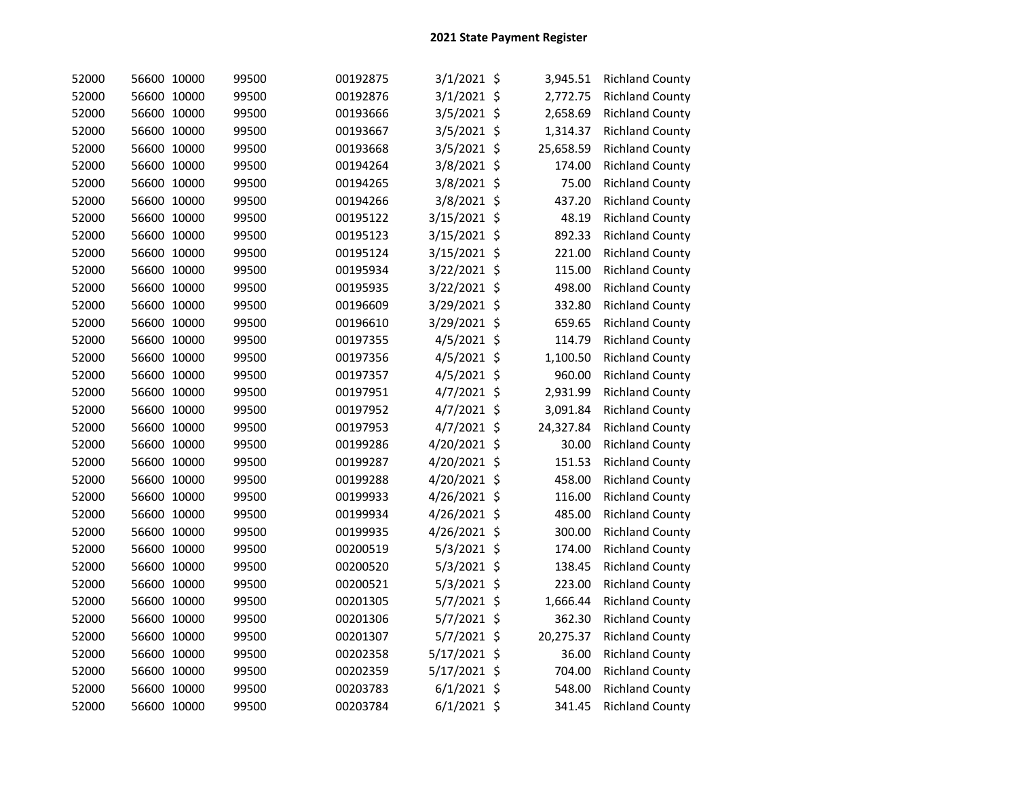| 52000 | 56600 10000 | 99500 | 00192875 | $3/1/2021$ \$ | 3,945.51  | <b>Richland County</b> |
|-------|-------------|-------|----------|---------------|-----------|------------------------|
| 52000 | 56600 10000 | 99500 | 00192876 | $3/1/2021$ \$ | 2,772.75  | <b>Richland County</b> |
| 52000 | 56600 10000 | 99500 | 00193666 | 3/5/2021 \$   | 2,658.69  | <b>Richland County</b> |
| 52000 | 56600 10000 | 99500 | 00193667 | 3/5/2021 \$   | 1,314.37  | <b>Richland County</b> |
| 52000 | 56600 10000 | 99500 | 00193668 | 3/5/2021 \$   | 25,658.59 | <b>Richland County</b> |
| 52000 | 56600 10000 | 99500 | 00194264 | 3/8/2021 \$   | 174.00    | <b>Richland County</b> |
| 52000 | 56600 10000 | 99500 | 00194265 | 3/8/2021 \$   | 75.00     | <b>Richland County</b> |
| 52000 | 56600 10000 | 99500 | 00194266 | 3/8/2021 \$   | 437.20    | <b>Richland County</b> |
| 52000 | 56600 10000 | 99500 | 00195122 | 3/15/2021 \$  | 48.19     | <b>Richland County</b> |
| 52000 | 56600 10000 | 99500 | 00195123 | 3/15/2021 \$  | 892.33    | <b>Richland County</b> |
| 52000 | 56600 10000 | 99500 | 00195124 | 3/15/2021 \$  | 221.00    | <b>Richland County</b> |
| 52000 | 56600 10000 | 99500 | 00195934 | 3/22/2021 \$  | 115.00    | <b>Richland County</b> |
| 52000 | 56600 10000 | 99500 | 00195935 | 3/22/2021 \$  | 498.00    | <b>Richland County</b> |
| 52000 | 56600 10000 | 99500 | 00196609 | 3/29/2021 \$  | 332.80    | <b>Richland County</b> |
| 52000 | 56600 10000 | 99500 | 00196610 | 3/29/2021 \$  | 659.65    | <b>Richland County</b> |
| 52000 | 56600 10000 | 99500 | 00197355 | 4/5/2021 \$   | 114.79    | <b>Richland County</b> |
| 52000 | 56600 10000 | 99500 | 00197356 | 4/5/2021 \$   | 1,100.50  | <b>Richland County</b> |
| 52000 | 56600 10000 | 99500 | 00197357 | $4/5/2021$ \$ | 960.00    | <b>Richland County</b> |
| 52000 | 56600 10000 | 99500 | 00197951 | 4/7/2021 \$   | 2,931.99  | <b>Richland County</b> |
| 52000 | 56600 10000 | 99500 | 00197952 | 4/7/2021 \$   | 3,091.84  | <b>Richland County</b> |
| 52000 | 56600 10000 | 99500 | 00197953 | $4/7/2021$ \$ | 24,327.84 | <b>Richland County</b> |
| 52000 | 56600 10000 | 99500 | 00199286 | 4/20/2021 \$  | 30.00     | <b>Richland County</b> |
| 52000 | 56600 10000 | 99500 | 00199287 | 4/20/2021 \$  | 151.53    | <b>Richland County</b> |
| 52000 | 56600 10000 | 99500 | 00199288 | 4/20/2021 \$  | 458.00    | <b>Richland County</b> |
| 52000 | 56600 10000 | 99500 | 00199933 | 4/26/2021 \$  | 116.00    | <b>Richland County</b> |
| 52000 | 56600 10000 | 99500 | 00199934 | 4/26/2021 \$  | 485.00    | <b>Richland County</b> |
| 52000 | 56600 10000 | 99500 | 00199935 | 4/26/2021 \$  | 300.00    | <b>Richland County</b> |
| 52000 | 56600 10000 | 99500 | 00200519 | $5/3/2021$ \$ | 174.00    | <b>Richland County</b> |
| 52000 | 56600 10000 | 99500 | 00200520 | 5/3/2021 \$   | 138.45    | <b>Richland County</b> |
| 52000 | 56600 10000 | 99500 | 00200521 | $5/3/2021$ \$ | 223.00    | <b>Richland County</b> |
| 52000 | 56600 10000 | 99500 | 00201305 | 5/7/2021 \$   | 1,666.44  | <b>Richland County</b> |
| 52000 | 56600 10000 | 99500 | 00201306 | 5/7/2021 \$   | 362.30    | <b>Richland County</b> |
| 52000 | 56600 10000 | 99500 | 00201307 | 5/7/2021 \$   | 20,275.37 | <b>Richland County</b> |
| 52000 | 56600 10000 | 99500 | 00202358 | 5/17/2021 \$  | 36.00     | <b>Richland County</b> |
| 52000 | 56600 10000 | 99500 | 00202359 | 5/17/2021 \$  | 704.00    | <b>Richland County</b> |
| 52000 | 56600 10000 | 99500 | 00203783 | $6/1/2021$ \$ | 548.00    | <b>Richland County</b> |
| 52000 | 56600 10000 | 99500 | 00203784 | $6/1/2021$ \$ | 341.45    | <b>Richland County</b> |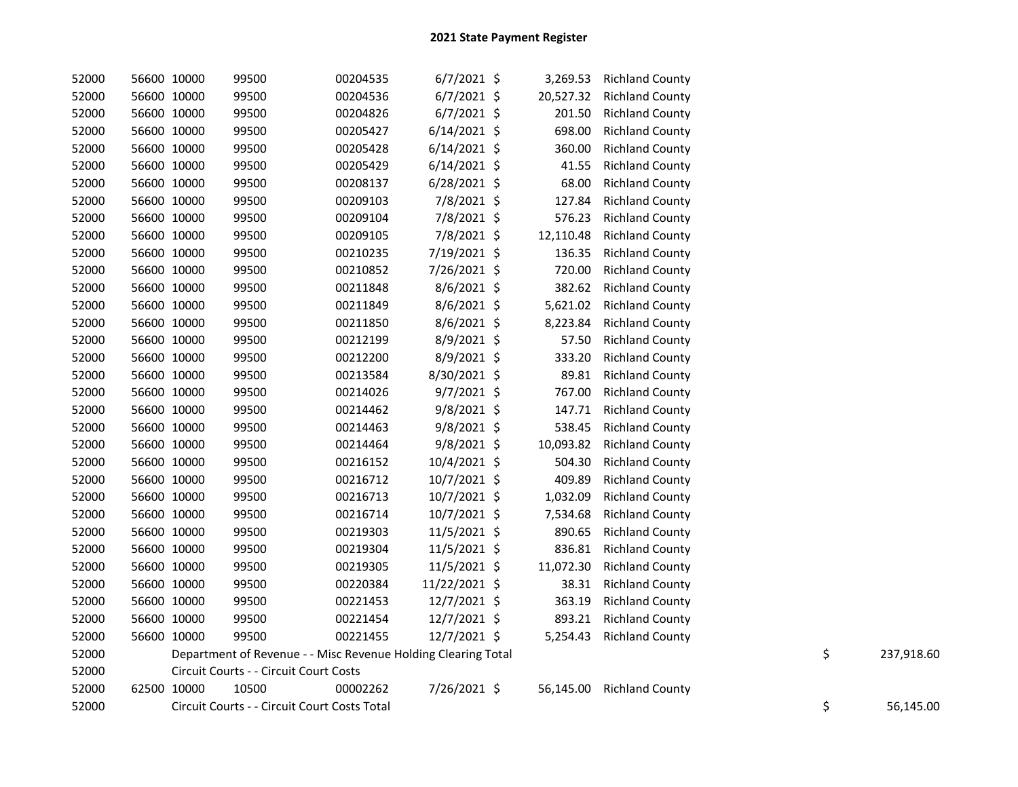| 52000 | 56600 10000 | 99500                                                         | 00204535 | $6/7/2021$ \$  | 3,269.53  | <b>Richland County</b> |    |            |
|-------|-------------|---------------------------------------------------------------|----------|----------------|-----------|------------------------|----|------------|
| 52000 | 56600 10000 | 99500                                                         | 00204536 | $6/7/2021$ \$  | 20,527.32 | <b>Richland County</b> |    |            |
| 52000 | 56600 10000 | 99500                                                         | 00204826 | $6/7/2021$ \$  | 201.50    | <b>Richland County</b> |    |            |
| 52000 | 56600 10000 | 99500                                                         | 00205427 | $6/14/2021$ \$ | 698.00    | <b>Richland County</b> |    |            |
| 52000 | 56600 10000 | 99500                                                         | 00205428 | $6/14/2021$ \$ | 360.00    | <b>Richland County</b> |    |            |
| 52000 | 56600 10000 | 99500                                                         | 00205429 | $6/14/2021$ \$ | 41.55     | <b>Richland County</b> |    |            |
| 52000 | 56600 10000 | 99500                                                         | 00208137 | 6/28/2021 \$   | 68.00     | <b>Richland County</b> |    |            |
| 52000 | 56600 10000 | 99500                                                         | 00209103 | 7/8/2021 \$    | 127.84    | <b>Richland County</b> |    |            |
| 52000 | 56600 10000 | 99500                                                         | 00209104 | 7/8/2021 \$    | 576.23    | <b>Richland County</b> |    |            |
| 52000 | 56600 10000 | 99500                                                         | 00209105 | 7/8/2021 \$    | 12,110.48 | <b>Richland County</b> |    |            |
| 52000 | 56600 10000 | 99500                                                         | 00210235 | 7/19/2021 \$   | 136.35    | <b>Richland County</b> |    |            |
| 52000 | 56600 10000 | 99500                                                         | 00210852 | 7/26/2021 \$   | 720.00    | <b>Richland County</b> |    |            |
| 52000 | 56600 10000 | 99500                                                         | 00211848 | 8/6/2021 \$    | 382.62    | <b>Richland County</b> |    |            |
| 52000 | 56600 10000 | 99500                                                         | 00211849 | 8/6/2021 \$    | 5,621.02  | <b>Richland County</b> |    |            |
| 52000 | 56600 10000 | 99500                                                         | 00211850 | 8/6/2021 \$    | 8,223.84  | <b>Richland County</b> |    |            |
| 52000 | 56600 10000 | 99500                                                         | 00212199 | 8/9/2021 \$    | 57.50     | <b>Richland County</b> |    |            |
| 52000 | 56600 10000 | 99500                                                         | 00212200 | 8/9/2021 \$    | 333.20    | <b>Richland County</b> |    |            |
| 52000 | 56600 10000 | 99500                                                         | 00213584 | 8/30/2021 \$   | 89.81     | <b>Richland County</b> |    |            |
| 52000 | 56600 10000 | 99500                                                         | 00214026 | 9/7/2021 \$    | 767.00    | <b>Richland County</b> |    |            |
| 52000 | 56600 10000 | 99500                                                         | 00214462 | 9/8/2021 \$    | 147.71    | <b>Richland County</b> |    |            |
| 52000 | 56600 10000 | 99500                                                         | 00214463 | 9/8/2021 \$    | 538.45    | <b>Richland County</b> |    |            |
| 52000 | 56600 10000 | 99500                                                         | 00214464 | 9/8/2021 \$    | 10,093.82 | <b>Richland County</b> |    |            |
| 52000 | 56600 10000 | 99500                                                         | 00216152 | 10/4/2021 \$   | 504.30    | <b>Richland County</b> |    |            |
| 52000 | 56600 10000 | 99500                                                         | 00216712 | 10/7/2021 \$   | 409.89    | <b>Richland County</b> |    |            |
| 52000 | 56600 10000 | 99500                                                         | 00216713 | 10/7/2021 \$   | 1,032.09  | <b>Richland County</b> |    |            |
| 52000 | 56600 10000 | 99500                                                         | 00216714 | 10/7/2021 \$   | 7,534.68  | <b>Richland County</b> |    |            |
| 52000 | 56600 10000 | 99500                                                         | 00219303 | 11/5/2021 \$   | 890.65    | <b>Richland County</b> |    |            |
| 52000 | 56600 10000 | 99500                                                         | 00219304 | 11/5/2021 \$   | 836.81    | <b>Richland County</b> |    |            |
| 52000 | 56600 10000 | 99500                                                         | 00219305 | 11/5/2021 \$   | 11,072.30 | <b>Richland County</b> |    |            |
| 52000 | 56600 10000 | 99500                                                         | 00220384 | 11/22/2021 \$  | 38.31     | <b>Richland County</b> |    |            |
| 52000 | 56600 10000 | 99500                                                         | 00221453 | 12/7/2021 \$   | 363.19    | <b>Richland County</b> |    |            |
| 52000 | 56600 10000 | 99500                                                         | 00221454 | 12/7/2021 \$   | 893.21    | <b>Richland County</b> |    |            |
| 52000 | 56600 10000 | 99500                                                         | 00221455 | 12/7/2021 \$   | 5,254.43  | <b>Richland County</b> |    |            |
| 52000 |             | Department of Revenue - - Misc Revenue Holding Clearing Total |          |                |           |                        | \$ | 237,918.60 |
| 52000 |             | Circuit Courts - - Circuit Court Costs                        |          |                |           |                        |    |            |
| 52000 | 62500 10000 | 10500                                                         | 00002262 | 7/26/2021 \$   | 56,145.00 | <b>Richland County</b> |    |            |
| 52000 |             | Circuit Courts - - Circuit Court Costs Total                  |          |                |           |                        | \$ | 56,145.00  |
|       |             |                                                               |          |                |           |                        |    |            |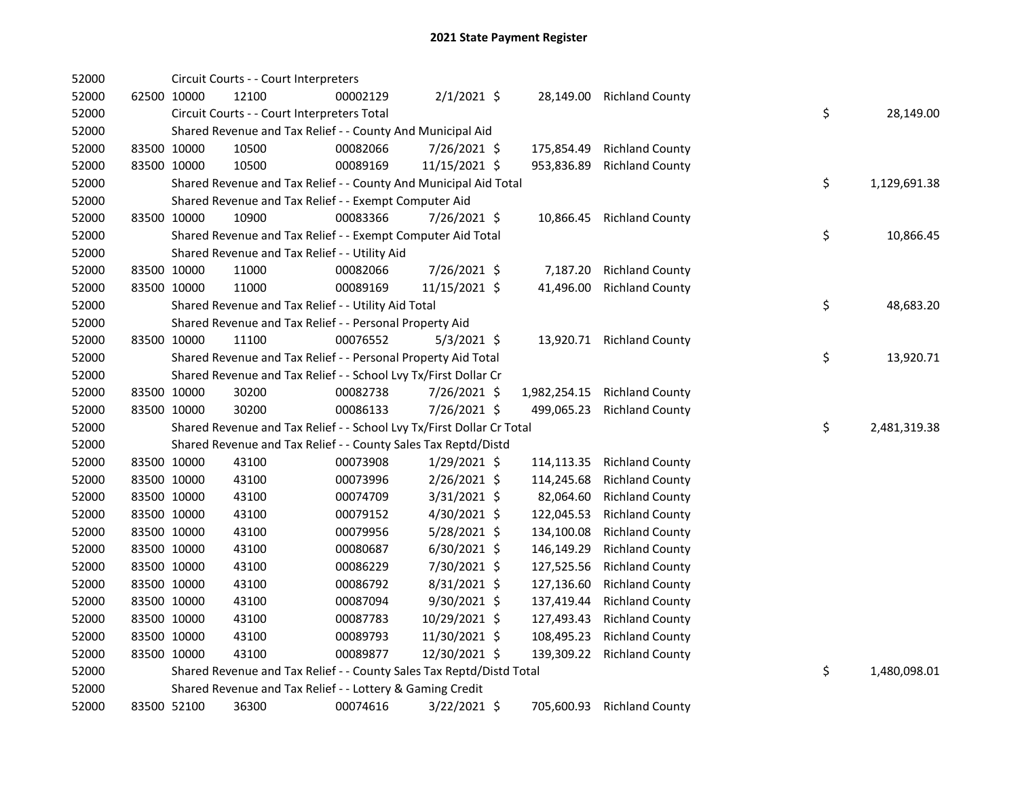| 52000 |             | Circuit Courts - - Court Interpreters                                 |          |                |              |                        |    |              |
|-------|-------------|-----------------------------------------------------------------------|----------|----------------|--------------|------------------------|----|--------------|
| 52000 | 62500 10000 | 12100                                                                 | 00002129 | $2/1/2021$ \$  | 28,149.00    | <b>Richland County</b> |    |              |
| 52000 |             | Circuit Courts - - Court Interpreters Total                           |          |                |              |                        | \$ | 28,149.00    |
| 52000 |             | Shared Revenue and Tax Relief - - County And Municipal Aid            |          |                |              |                        |    |              |
| 52000 | 83500 10000 | 10500                                                                 | 00082066 | 7/26/2021 \$   | 175,854.49   | <b>Richland County</b> |    |              |
| 52000 | 83500 10000 | 10500                                                                 | 00089169 | 11/15/2021 \$  | 953,836.89   | <b>Richland County</b> |    |              |
| 52000 |             | Shared Revenue and Tax Relief - - County And Municipal Aid Total      |          |                |              |                        | \$ | 1,129,691.38 |
| 52000 |             | Shared Revenue and Tax Relief - - Exempt Computer Aid                 |          |                |              |                        |    |              |
| 52000 | 83500 10000 | 10900                                                                 | 00083366 | 7/26/2021 \$   | 10,866.45    | <b>Richland County</b> |    |              |
| 52000 |             | Shared Revenue and Tax Relief - - Exempt Computer Aid Total           |          |                |              |                        | \$ | 10,866.45    |
| 52000 |             | Shared Revenue and Tax Relief - - Utility Aid                         |          |                |              |                        |    |              |
| 52000 | 83500 10000 | 11000                                                                 | 00082066 | 7/26/2021 \$   | 7,187.20     | <b>Richland County</b> |    |              |
| 52000 | 83500 10000 | 11000                                                                 | 00089169 | 11/15/2021 \$  | 41,496.00    | <b>Richland County</b> |    |              |
| 52000 |             | Shared Revenue and Tax Relief - - Utility Aid Total                   |          |                |              |                        | \$ | 48,683.20    |
| 52000 |             | Shared Revenue and Tax Relief - - Personal Property Aid               |          |                |              |                        |    |              |
| 52000 | 83500 10000 | 11100                                                                 | 00076552 | $5/3/2021$ \$  | 13,920.71    | <b>Richland County</b> |    |              |
| 52000 |             | Shared Revenue and Tax Relief - - Personal Property Aid Total         |          |                |              |                        | \$ | 13,920.71    |
| 52000 |             | Shared Revenue and Tax Relief - - School Lvy Tx/First Dollar Cr       |          |                |              |                        |    |              |
| 52000 | 83500 10000 | 30200                                                                 | 00082738 | 7/26/2021 \$   | 1,982,254.15 | <b>Richland County</b> |    |              |
| 52000 | 83500 10000 | 30200                                                                 | 00086133 | 7/26/2021 \$   | 499,065.23   | <b>Richland County</b> |    |              |
| 52000 |             | Shared Revenue and Tax Relief - - School Lvy Tx/First Dollar Cr Total |          |                |              |                        | \$ | 2,481,319.38 |
| 52000 |             | Shared Revenue and Tax Relief - - County Sales Tax Reptd/Distd        |          |                |              |                        |    |              |
| 52000 | 83500 10000 | 43100                                                                 | 00073908 | $1/29/2021$ \$ | 114,113.35   | <b>Richland County</b> |    |              |
| 52000 | 83500 10000 | 43100                                                                 | 00073996 | $2/26/2021$ \$ | 114,245.68   | <b>Richland County</b> |    |              |
| 52000 | 83500 10000 | 43100                                                                 | 00074709 | $3/31/2021$ \$ | 82,064.60    | <b>Richland County</b> |    |              |
| 52000 | 83500 10000 | 43100                                                                 | 00079152 | 4/30/2021 \$   | 122,045.53   | <b>Richland County</b> |    |              |
| 52000 | 83500 10000 | 43100                                                                 | 00079956 | 5/28/2021 \$   | 134,100.08   | <b>Richland County</b> |    |              |
| 52000 | 83500 10000 | 43100                                                                 | 00080687 | $6/30/2021$ \$ | 146,149.29   | <b>Richland County</b> |    |              |
| 52000 | 83500 10000 | 43100                                                                 | 00086229 | 7/30/2021 \$   | 127,525.56   | <b>Richland County</b> |    |              |
| 52000 | 83500 10000 | 43100                                                                 | 00086792 | $8/31/2021$ \$ | 127,136.60   | <b>Richland County</b> |    |              |
| 52000 | 83500 10000 | 43100                                                                 | 00087094 | $9/30/2021$ \$ | 137,419.44   | <b>Richland County</b> |    |              |
| 52000 | 83500 10000 | 43100                                                                 | 00087783 | 10/29/2021 \$  | 127,493.43   | <b>Richland County</b> |    |              |
| 52000 | 83500 10000 | 43100                                                                 | 00089793 | 11/30/2021 \$  | 108,495.23   | <b>Richland County</b> |    |              |
| 52000 | 83500 10000 | 43100                                                                 | 00089877 | 12/30/2021 \$  | 139,309.22   | <b>Richland County</b> |    |              |
| 52000 |             | Shared Revenue and Tax Relief - - County Sales Tax Reptd/Distd Total  |          |                |              |                        | \$ | 1,480,098.01 |
| 52000 |             | Shared Revenue and Tax Relief - - Lottery & Gaming Credit             |          |                |              |                        |    |              |
| 52000 | 83500 52100 | 36300                                                                 | 00074616 | 3/22/2021 \$   | 705,600.93   | <b>Richland County</b> |    |              |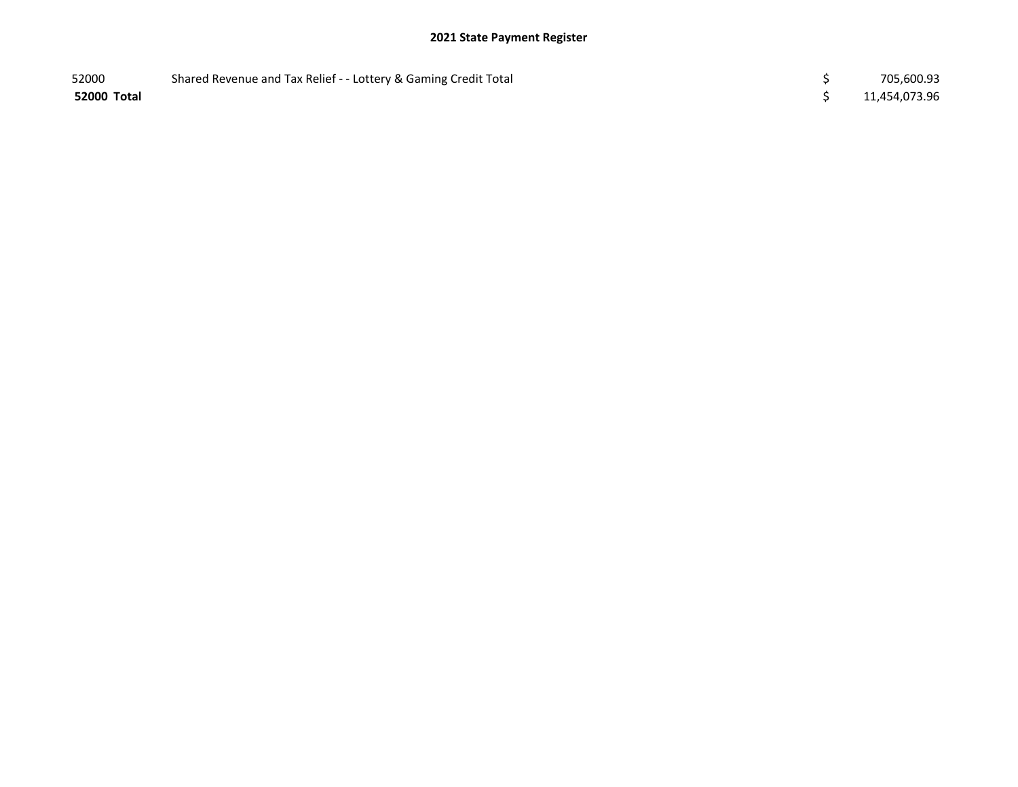| 52000       | Shared Revenue and Tax Relief - - Lottery & Gaming Credit Total | 705,600.93    |
|-------------|-----------------------------------------------------------------|---------------|
| 52000 Total |                                                                 | 11,454,073.96 |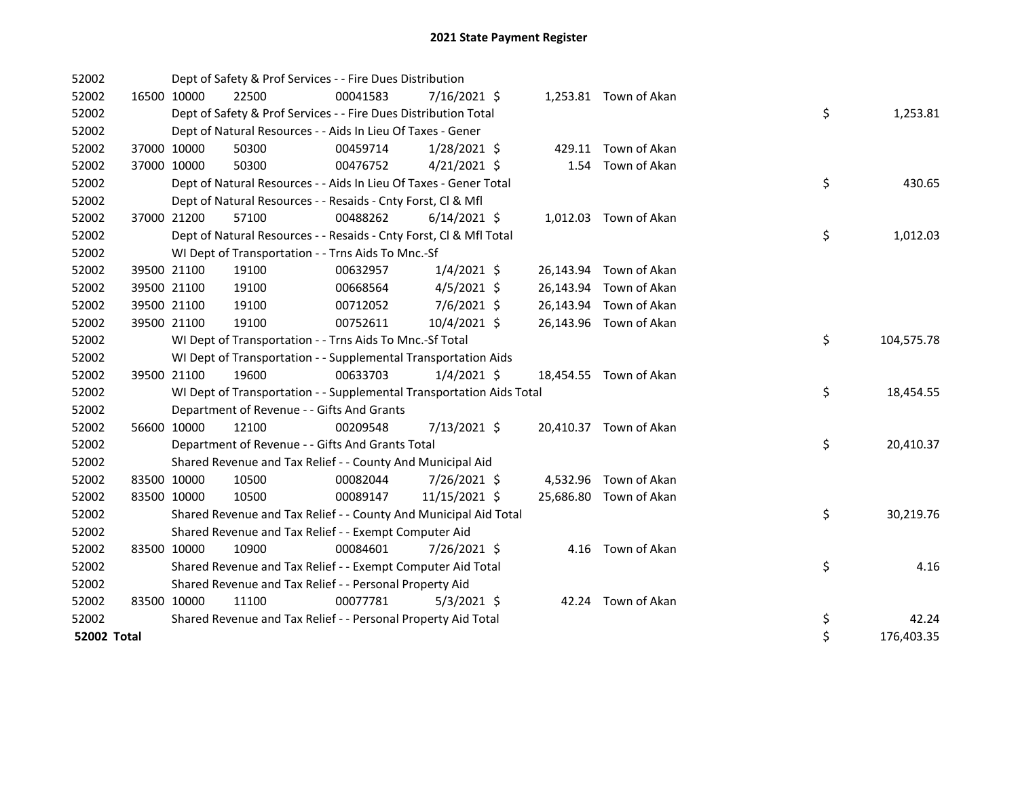| 52002       |             | Dept of Safety & Prof Services - - Fire Dues Distribution            |          |                |  |                        |    |            |
|-------------|-------------|----------------------------------------------------------------------|----------|----------------|--|------------------------|----|------------|
| 52002       | 16500 10000 | 22500                                                                | 00041583 | 7/16/2021 \$   |  | 1,253.81 Town of Akan  |    |            |
| 52002       |             | Dept of Safety & Prof Services - - Fire Dues Distribution Total      |          |                |  |                        | \$ | 1,253.81   |
| 52002       |             | Dept of Natural Resources - - Aids In Lieu Of Taxes - Gener          |          |                |  |                        |    |            |
| 52002       | 37000 10000 | 50300                                                                | 00459714 | $1/28/2021$ \$ |  | 429.11 Town of Akan    |    |            |
| 52002       | 37000 10000 | 50300                                                                | 00476752 | $4/21/2021$ \$ |  | 1.54 Town of Akan      |    |            |
| 52002       |             | Dept of Natural Resources - - Aids In Lieu Of Taxes - Gener Total    |          |                |  |                        | \$ | 430.65     |
| 52002       |             | Dept of Natural Resources - - Resaids - Cnty Forst, Cl & Mfl         |          |                |  |                        |    |            |
| 52002       | 37000 21200 | 57100                                                                | 00488262 | $6/14/2021$ \$ |  | 1,012.03 Town of Akan  |    |            |
| 52002       |             | Dept of Natural Resources - - Resaids - Cnty Forst, CI & Mfl Total   |          |                |  |                        | \$ | 1,012.03   |
| 52002       |             | WI Dept of Transportation - - Trns Aids To Mnc.-Sf                   |          |                |  |                        |    |            |
| 52002       | 39500 21100 | 19100                                                                | 00632957 | $1/4/2021$ \$  |  | 26,143.94 Town of Akan |    |            |
| 52002       | 39500 21100 | 19100                                                                | 00668564 | $4/5/2021$ \$  |  | 26,143.94 Town of Akan |    |            |
| 52002       | 39500 21100 | 19100                                                                | 00712052 | 7/6/2021 \$    |  | 26,143.94 Town of Akan |    |            |
| 52002       | 39500 21100 | 19100                                                                | 00752611 | 10/4/2021 \$   |  | 26,143.96 Town of Akan |    |            |
| 52002       |             | WI Dept of Transportation - - Trns Aids To Mnc.-Sf Total             |          |                |  |                        | \$ | 104,575.78 |
| 52002       |             | WI Dept of Transportation - - Supplemental Transportation Aids       |          |                |  |                        |    |            |
| 52002       | 39500 21100 | 19600                                                                | 00633703 | $1/4/2021$ \$  |  | 18,454.55 Town of Akan |    |            |
| 52002       |             | WI Dept of Transportation - - Supplemental Transportation Aids Total |          |                |  |                        | \$ | 18,454.55  |
| 52002       |             | Department of Revenue - - Gifts And Grants                           |          |                |  |                        |    |            |
| 52002       | 56600 10000 | 12100                                                                | 00209548 | 7/13/2021 \$   |  | 20,410.37 Town of Akan |    |            |
| 52002       |             | Department of Revenue - - Gifts And Grants Total                     |          |                |  |                        | \$ | 20,410.37  |
| 52002       |             | Shared Revenue and Tax Relief - - County And Municipal Aid           |          |                |  |                        |    |            |
| 52002       | 83500 10000 | 10500                                                                | 00082044 | 7/26/2021 \$   |  | 4,532.96 Town of Akan  |    |            |
| 52002       | 83500 10000 | 10500                                                                | 00089147 | 11/15/2021 \$  |  | 25,686.80 Town of Akan |    |            |
| 52002       |             | Shared Revenue and Tax Relief - - County And Municipal Aid Total     |          |                |  |                        | \$ | 30,219.76  |
| 52002       |             | Shared Revenue and Tax Relief - - Exempt Computer Aid                |          |                |  |                        |    |            |
| 52002       | 83500 10000 | 10900                                                                | 00084601 | 7/26/2021 \$   |  | 4.16 Town of Akan      |    |            |
| 52002       |             | Shared Revenue and Tax Relief - - Exempt Computer Aid Total          |          |                |  |                        | \$ | 4.16       |
| 52002       |             | Shared Revenue and Tax Relief - - Personal Property Aid              |          |                |  |                        |    |            |
| 52002       | 83500 10000 | 11100                                                                | 00077781 | $5/3/2021$ \$  |  | 42.24 Town of Akan     |    |            |
| 52002       |             | Shared Revenue and Tax Relief - - Personal Property Aid Total        |          |                |  |                        | \$ | 42.24      |
| 52002 Total |             |                                                                      |          |                |  |                        | \$ | 176,403.35 |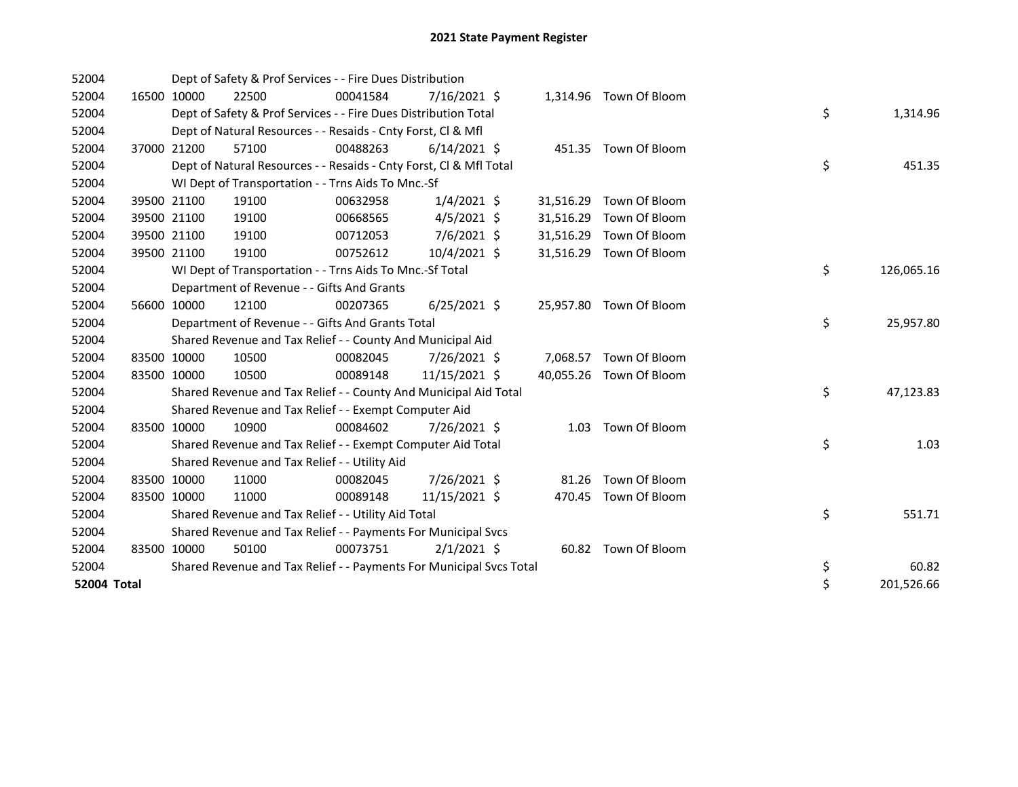| 52004       |             |             | Dept of Safety & Prof Services - - Fire Dues Distribution           |          |                |           |                         |    |            |
|-------------|-------------|-------------|---------------------------------------------------------------------|----------|----------------|-----------|-------------------------|----|------------|
| 52004       |             | 16500 10000 | 22500                                                               | 00041584 | $7/16/2021$ \$ |           | 1,314.96 Town Of Bloom  |    |            |
| 52004       |             |             | Dept of Safety & Prof Services - - Fire Dues Distribution Total     |          |                |           |                         | \$ | 1,314.96   |
| 52004       |             |             | Dept of Natural Resources - - Resaids - Cnty Forst, Cl & Mfl        |          |                |           |                         |    |            |
| 52004       |             | 37000 21200 | 57100                                                               | 00488263 | $6/14/2021$ \$ |           | 451.35 Town Of Bloom    |    |            |
| 52004       |             |             | Dept of Natural Resources - - Resaids - Cnty Forst, Cl & Mfl Total  |          |                |           |                         | \$ | 451.35     |
| 52004       |             |             | WI Dept of Transportation - - Trns Aids To Mnc.-Sf                  |          |                |           |                         |    |            |
| 52004       |             | 39500 21100 | 19100                                                               | 00632958 | $1/4/2021$ \$  | 31,516.29 | Town Of Bloom           |    |            |
| 52004       |             | 39500 21100 | 19100                                                               | 00668565 | $4/5/2021$ \$  | 31,516.29 | Town Of Bloom           |    |            |
| 52004       |             | 39500 21100 | 19100                                                               | 00712053 | 7/6/2021 \$    | 31,516.29 | Town Of Bloom           |    |            |
| 52004       |             | 39500 21100 | 19100                                                               | 00752612 | 10/4/2021 \$   | 31,516.29 | Town Of Bloom           |    |            |
| 52004       |             |             | WI Dept of Transportation - - Trns Aids To Mnc.-Sf Total            |          |                |           |                         | \$ | 126,065.16 |
| 52004       |             |             | Department of Revenue - - Gifts And Grants                          |          |                |           |                         |    |            |
| 52004       |             | 56600 10000 | 12100                                                               | 00207365 | $6/25/2021$ \$ |           | 25,957.80 Town Of Bloom |    |            |
| 52004       |             |             | Department of Revenue - - Gifts And Grants Total                    |          |                |           |                         | \$ | 25,957.80  |
| 52004       |             |             | Shared Revenue and Tax Relief - - County And Municipal Aid          |          |                |           |                         |    |            |
| 52004       |             | 83500 10000 | 10500                                                               | 00082045 | 7/26/2021 \$   |           | 7,068.57 Town Of Bloom  |    |            |
| 52004       |             | 83500 10000 | 10500                                                               | 00089148 | 11/15/2021 \$  |           | 40,055.26 Town Of Bloom |    |            |
| 52004       |             |             | Shared Revenue and Tax Relief - - County And Municipal Aid Total    |          |                |           |                         | \$ | 47,123.83  |
| 52004       |             |             | Shared Revenue and Tax Relief - - Exempt Computer Aid               |          |                |           |                         |    |            |
| 52004       |             | 83500 10000 | 10900                                                               | 00084602 | 7/26/2021 \$   |           | 1.03 Town Of Bloom      |    |            |
| 52004       |             |             | Shared Revenue and Tax Relief - - Exempt Computer Aid Total         |          |                |           |                         | \$ | 1.03       |
| 52004       |             |             | Shared Revenue and Tax Relief - - Utility Aid                       |          |                |           |                         |    |            |
| 52004       |             | 83500 10000 | 11000                                                               | 00082045 | 7/26/2021 \$   | 81.26     | Town Of Bloom           |    |            |
| 52004       | 83500 10000 |             | 11000                                                               | 00089148 | 11/15/2021 \$  | 470.45    | Town Of Bloom           |    |            |
| 52004       |             |             | Shared Revenue and Tax Relief - - Utility Aid Total                 |          |                |           |                         | \$ | 551.71     |
| 52004       |             |             | Shared Revenue and Tax Relief - - Payments For Municipal Svcs       |          |                |           |                         |    |            |
| 52004       |             | 83500 10000 | 50100                                                               | 00073751 | $2/1/2021$ \$  |           | 60.82 Town Of Bloom     |    |            |
| 52004       |             |             | Shared Revenue and Tax Relief - - Payments For Municipal Svcs Total |          |                |           |                         | \$ | 60.82      |
| 52004 Total |             |             |                                                                     |          |                |           |                         | \$ | 201,526.66 |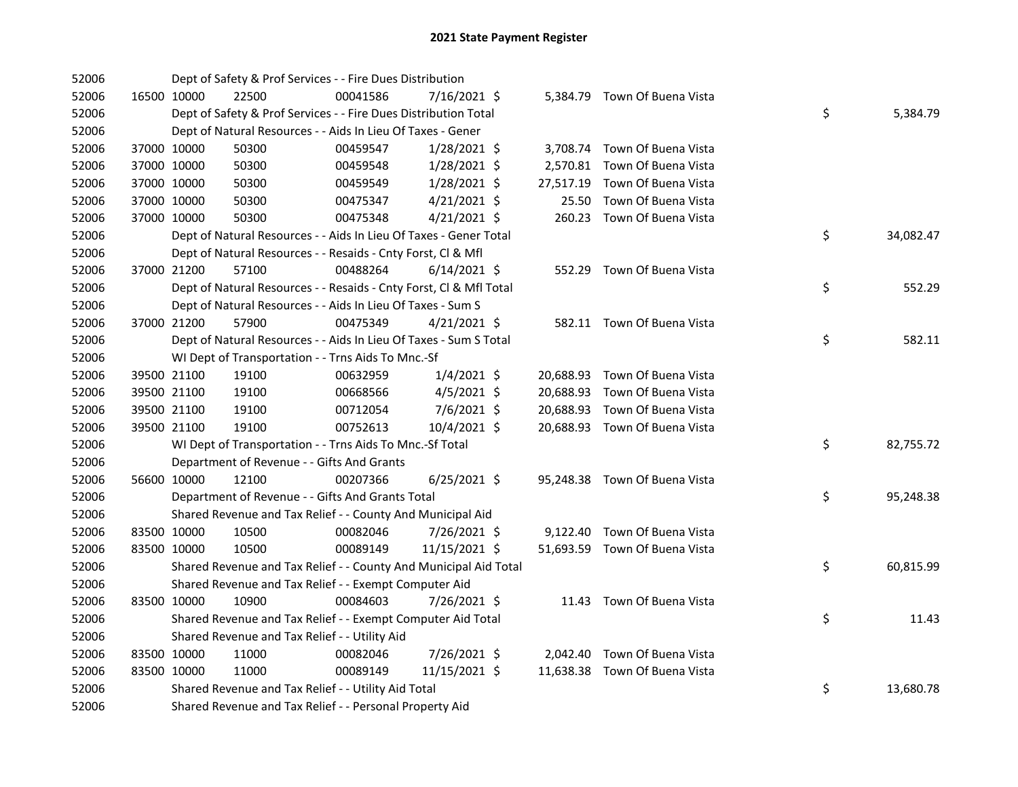| 52006 |             | Dept of Safety & Prof Services - - Fire Dues Distribution          |          |                |       |                               |    |           |
|-------|-------------|--------------------------------------------------------------------|----------|----------------|-------|-------------------------------|----|-----------|
| 52006 | 16500 10000 | 22500                                                              | 00041586 | 7/16/2021 \$   |       | 5,384.79 Town Of Buena Vista  |    |           |
| 52006 |             | Dept of Safety & Prof Services - - Fire Dues Distribution Total    |          |                |       |                               | \$ | 5,384.79  |
| 52006 |             | Dept of Natural Resources - - Aids In Lieu Of Taxes - Gener        |          |                |       |                               |    |           |
| 52006 | 37000 10000 | 50300                                                              | 00459547 | $1/28/2021$ \$ |       | 3,708.74 Town Of Buena Vista  |    |           |
| 52006 | 37000 10000 | 50300                                                              | 00459548 | 1/28/2021 \$   |       | 2,570.81 Town Of Buena Vista  |    |           |
| 52006 | 37000 10000 | 50300                                                              | 00459549 | 1/28/2021 \$   |       | 27,517.19 Town Of Buena Vista |    |           |
| 52006 | 37000 10000 | 50300                                                              | 00475347 | $4/21/2021$ \$ | 25.50 | Town Of Buena Vista           |    |           |
| 52006 | 37000 10000 | 50300                                                              | 00475348 | $4/21/2021$ \$ |       | 260.23 Town Of Buena Vista    |    |           |
| 52006 |             | Dept of Natural Resources - - Aids In Lieu Of Taxes - Gener Total  |          |                |       |                               | \$ | 34,082.47 |
| 52006 |             | Dept of Natural Resources - - Resaids - Cnty Forst, Cl & Mfl       |          |                |       |                               |    |           |
| 52006 | 37000 21200 | 57100                                                              | 00488264 | $6/14/2021$ \$ |       | 552.29 Town Of Buena Vista    |    |           |
| 52006 |             | Dept of Natural Resources - - Resaids - Cnty Forst, CI & Mfl Total |          |                |       |                               | \$ | 552.29    |
| 52006 |             | Dept of Natural Resources - - Aids In Lieu Of Taxes - Sum S        |          |                |       |                               |    |           |
| 52006 | 37000 21200 | 57900                                                              | 00475349 | $4/21/2021$ \$ |       | 582.11 Town Of Buena Vista    |    |           |
| 52006 |             | Dept of Natural Resources - - Aids In Lieu Of Taxes - Sum S Total  |          |                |       |                               | \$ | 582.11    |
| 52006 |             | WI Dept of Transportation - - Trns Aids To Mnc.-Sf                 |          |                |       |                               |    |           |
| 52006 | 39500 21100 | 19100                                                              | 00632959 | $1/4/2021$ \$  |       | 20,688.93 Town Of Buena Vista |    |           |
| 52006 | 39500 21100 | 19100                                                              | 00668566 | $4/5/2021$ \$  |       | 20,688.93 Town Of Buena Vista |    |           |
| 52006 | 39500 21100 | 19100                                                              | 00712054 | 7/6/2021 \$    |       | 20,688.93 Town Of Buena Vista |    |           |
| 52006 | 39500 21100 | 19100                                                              | 00752613 | 10/4/2021 \$   |       | 20,688.93 Town Of Buena Vista |    |           |
| 52006 |             | WI Dept of Transportation - - Trns Aids To Mnc.-Sf Total           |          |                |       |                               | \$ | 82,755.72 |
| 52006 |             | Department of Revenue - - Gifts And Grants                         |          |                |       |                               |    |           |
| 52006 | 56600 10000 | 12100                                                              | 00207366 | $6/25/2021$ \$ |       | 95,248.38 Town Of Buena Vista |    |           |
| 52006 |             | Department of Revenue - - Gifts And Grants Total                   |          |                |       |                               | \$ | 95,248.38 |
| 52006 |             | Shared Revenue and Tax Relief - - County And Municipal Aid         |          |                |       |                               |    |           |
| 52006 | 83500 10000 | 10500                                                              | 00082046 | 7/26/2021 \$   |       | 9,122.40 Town Of Buena Vista  |    |           |
| 52006 | 83500 10000 | 10500                                                              | 00089149 | 11/15/2021 \$  |       | 51,693.59 Town Of Buena Vista |    |           |
| 52006 |             | Shared Revenue and Tax Relief - - County And Municipal Aid Total   |          |                |       |                               | \$ | 60,815.99 |
| 52006 |             | Shared Revenue and Tax Relief - - Exempt Computer Aid              |          |                |       |                               |    |           |
| 52006 | 83500 10000 | 10900                                                              | 00084603 | 7/26/2021 \$   |       | 11.43 Town Of Buena Vista     |    |           |
| 52006 |             | Shared Revenue and Tax Relief - - Exempt Computer Aid Total        |          |                |       |                               | \$ | 11.43     |
| 52006 |             | Shared Revenue and Tax Relief - - Utility Aid                      |          |                |       |                               |    |           |
| 52006 | 83500 10000 | 11000                                                              | 00082046 | 7/26/2021 \$   |       | 2,042.40 Town Of Buena Vista  |    |           |
| 52006 | 83500 10000 | 11000                                                              | 00089149 | 11/15/2021 \$  |       | 11,638.38 Town Of Buena Vista |    |           |
| 52006 |             | Shared Revenue and Tax Relief - - Utility Aid Total                |          |                |       |                               | \$ | 13,680.78 |
| 52006 |             | Shared Revenue and Tax Relief - - Personal Property Aid            |          |                |       |                               |    |           |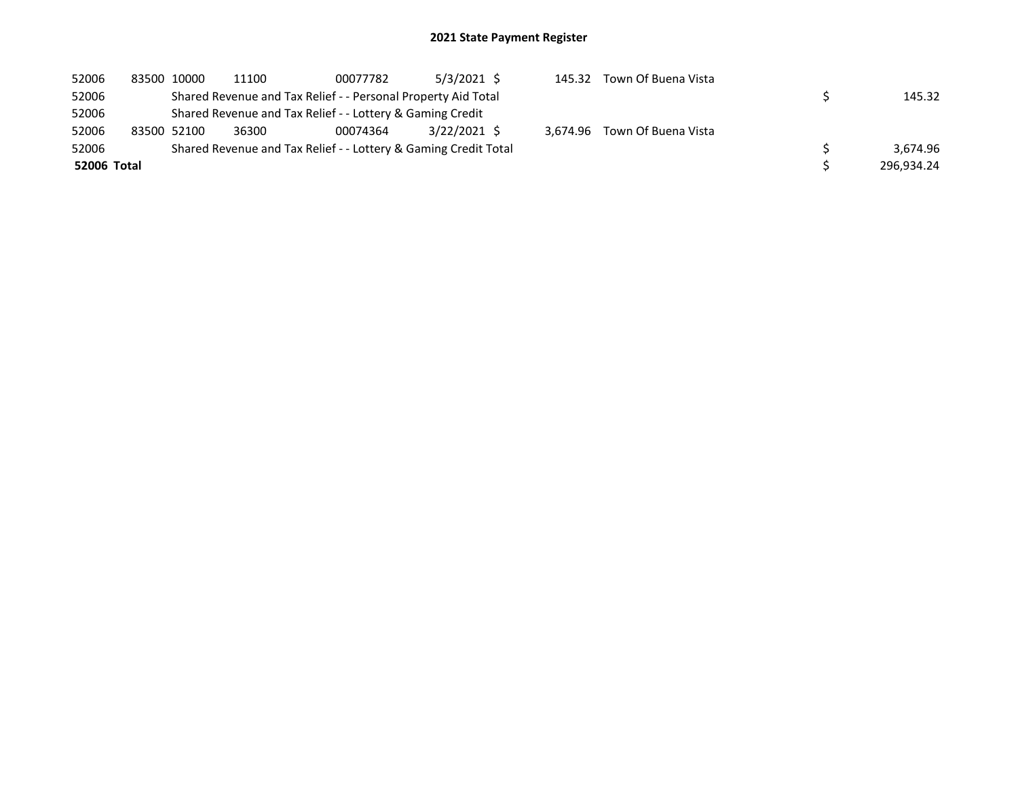| 52006       | 83500 10000 | 11100 | 00077782                                                        | $5/3/2021$ \$ | 145.32 Town Of Buena Vista   |            |
|-------------|-------------|-------|-----------------------------------------------------------------|---------------|------------------------------|------------|
| 52006       |             |       | Shared Revenue and Tax Relief - - Personal Property Aid Total   |               |                              | 145.32     |
| 52006       |             |       | Shared Revenue and Tax Relief - - Lottery & Gaming Credit       |               |                              |            |
| 52006       | 83500 52100 | 36300 | 00074364                                                        | 3/22/2021 \$  | 3.674.96 Town Of Buena Vista |            |
| 52006       |             |       | Shared Revenue and Tax Relief - - Lottery & Gaming Credit Total |               |                              | 3.674.96   |
| 52006 Total |             |       |                                                                 |               |                              | 296.934.24 |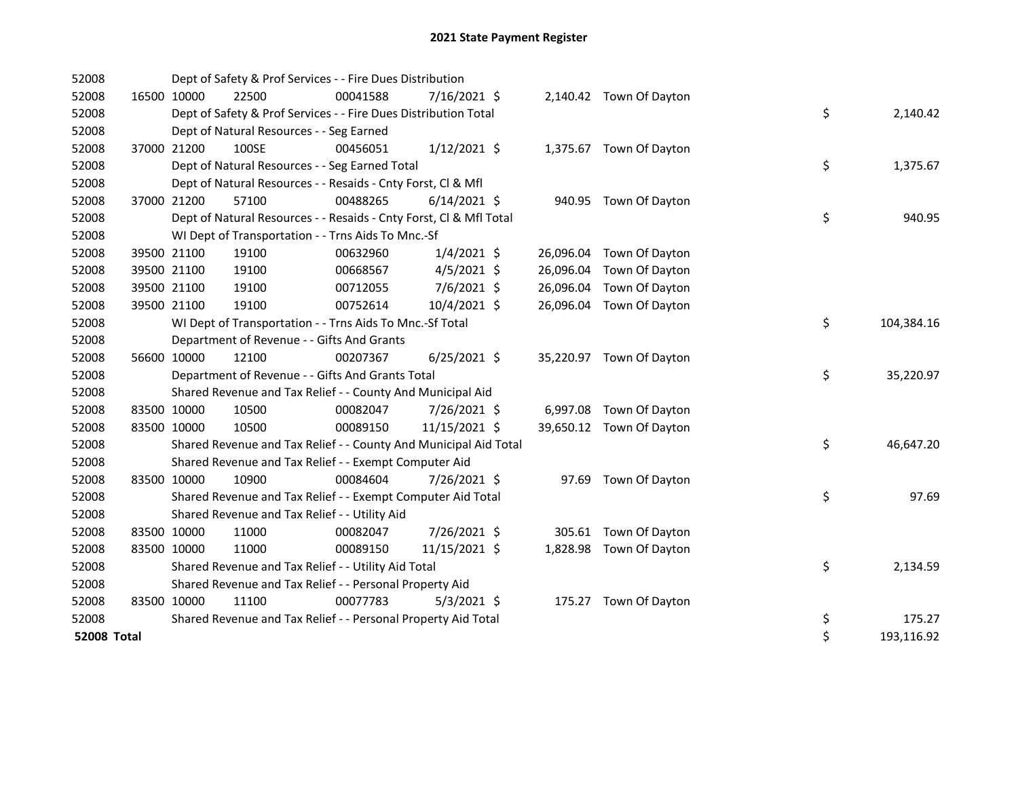| 52008              |             | Dept of Safety & Prof Services - - Fire Dues Distribution          |          |                |           |                          |    |            |
|--------------------|-------------|--------------------------------------------------------------------|----------|----------------|-----------|--------------------------|----|------------|
| 52008              | 16500 10000 | 22500                                                              | 00041588 | 7/16/2021 \$   |           | 2,140.42 Town Of Dayton  |    |            |
| 52008              |             | Dept of Safety & Prof Services - - Fire Dues Distribution Total    |          |                |           |                          | \$ | 2,140.42   |
| 52008              |             | Dept of Natural Resources - - Seg Earned                           |          |                |           |                          |    |            |
| 52008              | 37000 21200 | 100SE                                                              | 00456051 | $1/12/2021$ \$ |           | 1,375.67 Town Of Dayton  |    |            |
| 52008              |             | Dept of Natural Resources - - Seg Earned Total                     |          |                |           |                          | \$ | 1,375.67   |
| 52008              |             | Dept of Natural Resources - - Resaids - Cnty Forst, Cl & Mfl       |          |                |           |                          |    |            |
| 52008              | 37000 21200 | 57100                                                              | 00488265 | $6/14/2021$ \$ |           | 940.95 Town Of Dayton    |    |            |
| 52008              |             | Dept of Natural Resources - - Resaids - Cnty Forst, Cl & Mfl Total |          |                |           |                          | \$ | 940.95     |
| 52008              |             | WI Dept of Transportation - - Trns Aids To Mnc.-Sf                 |          |                |           |                          |    |            |
| 52008              | 39500 21100 | 19100                                                              | 00632960 | $1/4/2021$ \$  |           | 26,096.04 Town Of Dayton |    |            |
| 52008              | 39500 21100 | 19100                                                              | 00668567 | $4/5/2021$ \$  |           | 26,096.04 Town Of Dayton |    |            |
| 52008              | 39500 21100 | 19100                                                              | 00712055 | 7/6/2021 \$    | 26,096.04 | Town Of Dayton           |    |            |
| 52008              | 39500 21100 | 19100                                                              | 00752614 | 10/4/2021 \$   |           | 26,096.04 Town Of Dayton |    |            |
| 52008              |             | WI Dept of Transportation - - Trns Aids To Mnc.-Sf Total           |          |                |           |                          | \$ | 104,384.16 |
| 52008              |             | Department of Revenue - - Gifts And Grants                         |          |                |           |                          |    |            |
| 52008              | 56600 10000 | 12100                                                              | 00207367 | $6/25/2021$ \$ |           | 35,220.97 Town Of Dayton |    |            |
| 52008              |             | Department of Revenue - - Gifts And Grants Total                   |          |                |           |                          | \$ | 35,220.97  |
| 52008              |             | Shared Revenue and Tax Relief - - County And Municipal Aid         |          |                |           |                          |    |            |
| 52008              | 83500 10000 | 10500                                                              | 00082047 | 7/26/2021 \$   |           | 6,997.08 Town Of Dayton  |    |            |
| 52008              | 83500 10000 | 10500                                                              | 00089150 | 11/15/2021 \$  |           | 39,650.12 Town Of Dayton |    |            |
| 52008              |             | Shared Revenue and Tax Relief - - County And Municipal Aid Total   |          |                |           |                          | \$ | 46,647.20  |
| 52008              |             | Shared Revenue and Tax Relief - - Exempt Computer Aid              |          |                |           |                          |    |            |
| 52008              | 83500 10000 | 10900                                                              | 00084604 | 7/26/2021 \$   |           | 97.69 Town Of Dayton     |    |            |
| 52008              |             | Shared Revenue and Tax Relief - - Exempt Computer Aid Total        |          |                |           |                          | \$ | 97.69      |
| 52008              |             | Shared Revenue and Tax Relief - - Utility Aid                      |          |                |           |                          |    |            |
| 52008              | 83500 10000 | 11000                                                              | 00082047 | 7/26/2021 \$   |           | 305.61 Town Of Dayton    |    |            |
| 52008              | 83500 10000 | 11000                                                              | 00089150 | 11/15/2021 \$  |           | 1,828.98 Town Of Dayton  |    |            |
| 52008              |             | Shared Revenue and Tax Relief - - Utility Aid Total                |          |                |           |                          | \$ | 2,134.59   |
| 52008              |             | Shared Revenue and Tax Relief - - Personal Property Aid            |          |                |           |                          |    |            |
| 52008              | 83500 10000 | 11100                                                              | 00077783 | $5/3/2021$ \$  |           | 175.27 Town Of Dayton    |    |            |
| 52008              |             | Shared Revenue and Tax Relief - - Personal Property Aid Total      |          |                |           |                          | \$ | 175.27     |
| <b>52008 Total</b> |             |                                                                    |          |                |           |                          | \$ | 193,116.92 |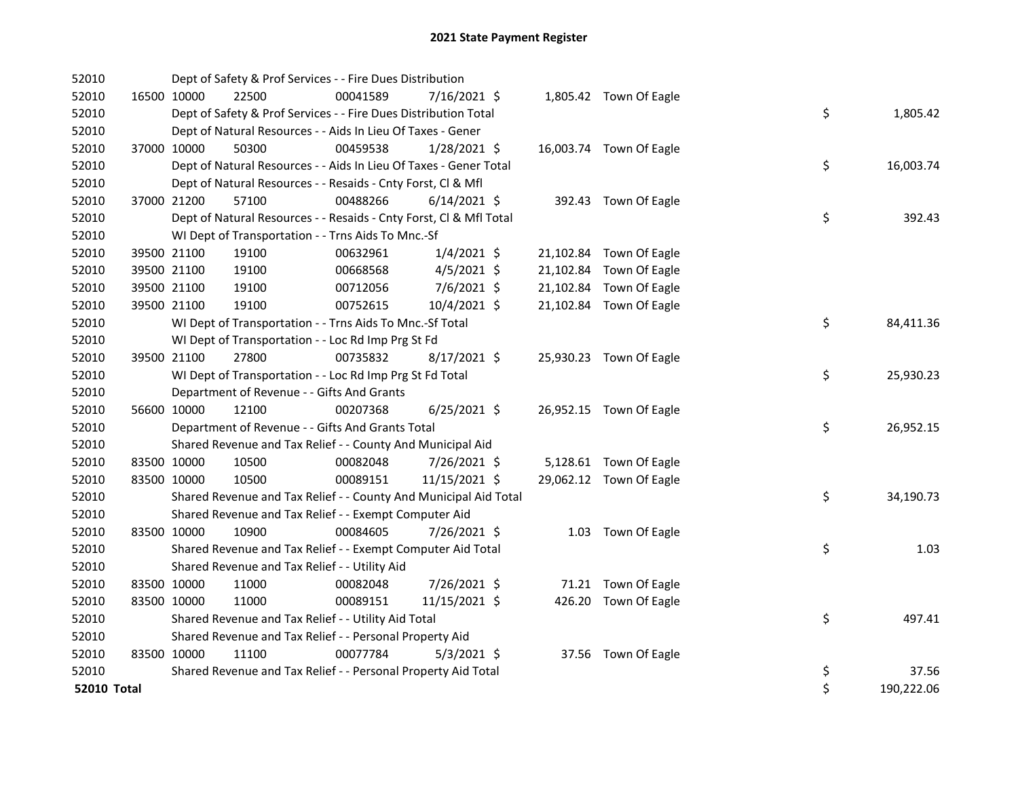| 52010       |             |             | Dept of Safety & Prof Services - - Fire Dues Distribution          |          |                |  |                         |    |            |
|-------------|-------------|-------------|--------------------------------------------------------------------|----------|----------------|--|-------------------------|----|------------|
| 52010       |             | 16500 10000 | 22500                                                              | 00041589 | 7/16/2021 \$   |  | 1,805.42 Town Of Eagle  |    |            |
| 52010       |             |             | Dept of Safety & Prof Services - - Fire Dues Distribution Total    |          |                |  |                         | \$ | 1,805.42   |
| 52010       |             |             | Dept of Natural Resources - - Aids In Lieu Of Taxes - Gener        |          |                |  |                         |    |            |
| 52010       |             | 37000 10000 | 50300                                                              | 00459538 | $1/28/2021$ \$ |  | 16,003.74 Town Of Eagle |    |            |
| 52010       |             |             | Dept of Natural Resources - - Aids In Lieu Of Taxes - Gener Total  |          |                |  |                         | \$ | 16,003.74  |
| 52010       |             |             | Dept of Natural Resources - - Resaids - Cnty Forst, Cl & Mfl       |          |                |  |                         |    |            |
| 52010       |             | 37000 21200 | 57100                                                              | 00488266 | $6/14/2021$ \$ |  | 392.43 Town Of Eagle    |    |            |
| 52010       |             |             | Dept of Natural Resources - - Resaids - Cnty Forst, Cl & Mfl Total |          |                |  |                         | \$ | 392.43     |
| 52010       |             |             | WI Dept of Transportation - - Trns Aids To Mnc.-Sf                 |          |                |  |                         |    |            |
| 52010       |             | 39500 21100 | 19100                                                              | 00632961 | $1/4/2021$ \$  |  | 21,102.84 Town Of Eagle |    |            |
| 52010       |             | 39500 21100 | 19100                                                              | 00668568 | $4/5/2021$ \$  |  | 21,102.84 Town Of Eagle |    |            |
| 52010       |             | 39500 21100 | 19100                                                              | 00712056 | 7/6/2021 \$    |  | 21,102.84 Town Of Eagle |    |            |
| 52010       |             | 39500 21100 | 19100                                                              | 00752615 | 10/4/2021 \$   |  | 21,102.84 Town Of Eagle |    |            |
| 52010       |             |             | WI Dept of Transportation - - Trns Aids To Mnc.-Sf Total           |          |                |  |                         | \$ | 84,411.36  |
| 52010       |             |             | WI Dept of Transportation - - Loc Rd Imp Prg St Fd                 |          |                |  |                         |    |            |
| 52010       |             | 39500 21100 | 27800                                                              | 00735832 | $8/17/2021$ \$ |  | 25,930.23 Town Of Eagle |    |            |
| 52010       |             |             | WI Dept of Transportation - - Loc Rd Imp Prg St Fd Total           |          |                |  |                         | \$ | 25,930.23  |
| 52010       |             |             | Department of Revenue - - Gifts And Grants                         |          |                |  |                         |    |            |
| 52010       |             | 56600 10000 | 12100                                                              | 00207368 | $6/25/2021$ \$ |  | 26,952.15 Town Of Eagle |    |            |
| 52010       |             |             | Department of Revenue - - Gifts And Grants Total                   |          |                |  |                         | \$ | 26,952.15  |
| 52010       |             |             | Shared Revenue and Tax Relief - - County And Municipal Aid         |          |                |  |                         |    |            |
| 52010       | 83500 10000 |             | 10500                                                              | 00082048 | 7/26/2021 \$   |  | 5,128.61 Town Of Eagle  |    |            |
| 52010       | 83500 10000 |             | 10500                                                              | 00089151 | 11/15/2021 \$  |  | 29,062.12 Town Of Eagle |    |            |
| 52010       |             |             | Shared Revenue and Tax Relief - - County And Municipal Aid Total   |          |                |  |                         | \$ | 34,190.73  |
| 52010       |             |             | Shared Revenue and Tax Relief - - Exempt Computer Aid              |          |                |  |                         |    |            |
| 52010       | 83500 10000 |             | 10900                                                              | 00084605 | 7/26/2021 \$   |  | 1.03 Town Of Eagle      |    |            |
| 52010       |             |             | Shared Revenue and Tax Relief - - Exempt Computer Aid Total        |          |                |  |                         | \$ | 1.03       |
| 52010       |             |             | Shared Revenue and Tax Relief - - Utility Aid                      |          |                |  |                         |    |            |
| 52010       |             | 83500 10000 | 11000                                                              | 00082048 | 7/26/2021 \$   |  | 71.21 Town Of Eagle     |    |            |
| 52010       | 83500 10000 |             | 11000                                                              | 00089151 | 11/15/2021 \$  |  | 426.20 Town Of Eagle    |    |            |
| 52010       |             |             | Shared Revenue and Tax Relief - - Utility Aid Total                |          |                |  |                         | \$ | 497.41     |
| 52010       |             |             | Shared Revenue and Tax Relief - - Personal Property Aid            |          |                |  |                         |    |            |
| 52010       |             | 83500 10000 | 11100                                                              | 00077784 | $5/3/2021$ \$  |  | 37.56 Town Of Eagle     |    |            |
| 52010       |             |             | Shared Revenue and Tax Relief - - Personal Property Aid Total      |          |                |  |                         | \$ | 37.56      |
| 52010 Total |             |             |                                                                    |          |                |  |                         | \$ | 190,222.06 |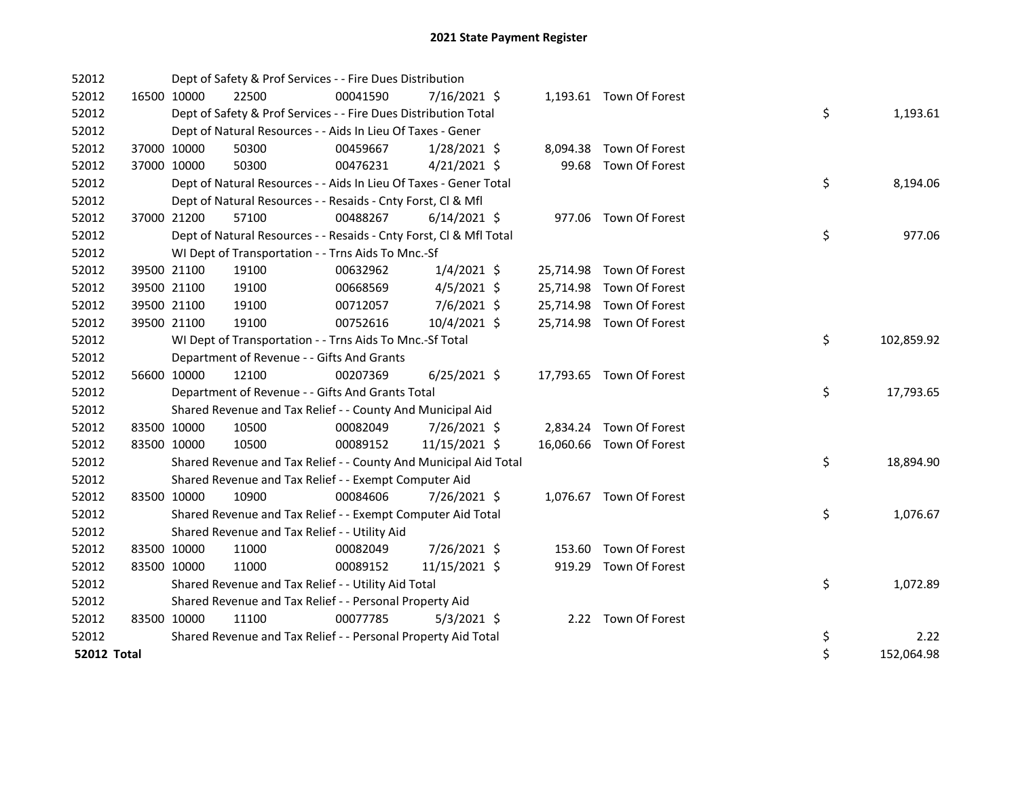| 52012              |             |             | Dept of Safety & Prof Services - - Fire Dues Distribution          |          |                |       |                          |    |            |
|--------------------|-------------|-------------|--------------------------------------------------------------------|----------|----------------|-------|--------------------------|----|------------|
| 52012              |             | 16500 10000 | 22500                                                              | 00041590 | $7/16/2021$ \$ |       | 1,193.61 Town Of Forest  |    |            |
| 52012              |             |             | Dept of Safety & Prof Services - - Fire Dues Distribution Total    |          |                |       |                          | \$ | 1,193.61   |
| 52012              |             |             | Dept of Natural Resources - - Aids In Lieu Of Taxes - Gener        |          |                |       |                          |    |            |
| 52012              |             | 37000 10000 | 50300                                                              | 00459667 | 1/28/2021 \$   |       | 8,094.38 Town Of Forest  |    |            |
| 52012              |             | 37000 10000 | 50300                                                              | 00476231 | $4/21/2021$ \$ | 99.68 | Town Of Forest           |    |            |
| 52012              |             |             | Dept of Natural Resources - - Aids In Lieu Of Taxes - Gener Total  |          |                |       |                          | \$ | 8,194.06   |
| 52012              |             |             | Dept of Natural Resources - - Resaids - Cnty Forst, Cl & Mfl       |          |                |       |                          |    |            |
| 52012              |             | 37000 21200 | 57100                                                              | 00488267 | $6/14/2021$ \$ |       | 977.06 Town Of Forest    |    |            |
| 52012              |             |             | Dept of Natural Resources - - Resaids - Cnty Forst, Cl & Mfl Total |          |                |       |                          | \$ | 977.06     |
| 52012              |             |             | WI Dept of Transportation - - Trns Aids To Mnc.-Sf                 |          |                |       |                          |    |            |
| 52012              |             | 39500 21100 | 19100                                                              | 00632962 | $1/4/2021$ \$  |       | 25,714.98 Town Of Forest |    |            |
| 52012              |             | 39500 21100 | 19100                                                              | 00668569 | $4/5/2021$ \$  |       | 25,714.98 Town Of Forest |    |            |
| 52012              |             | 39500 21100 | 19100                                                              | 00712057 | 7/6/2021 \$    |       | 25,714.98 Town Of Forest |    |            |
| 52012              | 39500 21100 |             | 19100                                                              | 00752616 | 10/4/2021 \$   |       | 25,714.98 Town Of Forest |    |            |
| 52012              |             |             | WI Dept of Transportation - - Trns Aids To Mnc .- Sf Total         |          |                |       |                          | \$ | 102,859.92 |
| 52012              |             |             | Department of Revenue - - Gifts And Grants                         |          |                |       |                          |    |            |
| 52012              |             | 56600 10000 | 12100                                                              | 00207369 | $6/25/2021$ \$ |       | 17,793.65 Town Of Forest |    |            |
| 52012              |             |             | Department of Revenue - - Gifts And Grants Total                   |          |                |       |                          | \$ | 17,793.65  |
| 52012              |             |             | Shared Revenue and Tax Relief - - County And Municipal Aid         |          |                |       |                          |    |            |
| 52012              | 83500 10000 |             | 10500                                                              | 00082049 | 7/26/2021 \$   |       | 2,834.24 Town Of Forest  |    |            |
| 52012              | 83500 10000 |             | 10500                                                              | 00089152 | 11/15/2021 \$  |       | 16,060.66 Town Of Forest |    |            |
| 52012              |             |             | Shared Revenue and Tax Relief - - County And Municipal Aid Total   |          |                |       |                          | \$ | 18,894.90  |
| 52012              |             |             | Shared Revenue and Tax Relief - - Exempt Computer Aid              |          |                |       |                          |    |            |
| 52012              | 83500 10000 |             | 10900                                                              | 00084606 | 7/26/2021 \$   |       | 1,076.67 Town Of Forest  |    |            |
| 52012              |             |             | Shared Revenue and Tax Relief - - Exempt Computer Aid Total        |          |                |       |                          | \$ | 1,076.67   |
| 52012              |             |             | Shared Revenue and Tax Relief - - Utility Aid                      |          |                |       |                          |    |            |
| 52012              | 83500 10000 |             | 11000                                                              | 00082049 | 7/26/2021 \$   |       | 153.60 Town Of Forest    |    |            |
| 52012              | 83500 10000 |             | 11000                                                              | 00089152 | 11/15/2021 \$  |       | 919.29 Town Of Forest    |    |            |
| 52012              |             |             | Shared Revenue and Tax Relief - - Utility Aid Total                |          |                |       |                          | \$ | 1,072.89   |
| 52012              |             |             | Shared Revenue and Tax Relief - - Personal Property Aid            |          |                |       |                          |    |            |
| 52012              | 83500 10000 |             | 11100                                                              | 00077785 | $5/3/2021$ \$  |       | 2.22 Town Of Forest      |    |            |
| 52012              |             |             | Shared Revenue and Tax Relief - - Personal Property Aid Total      |          |                |       |                          | \$ | 2.22       |
| <b>52012 Total</b> |             |             |                                                                    |          |                |       |                          | \$ | 152,064.98 |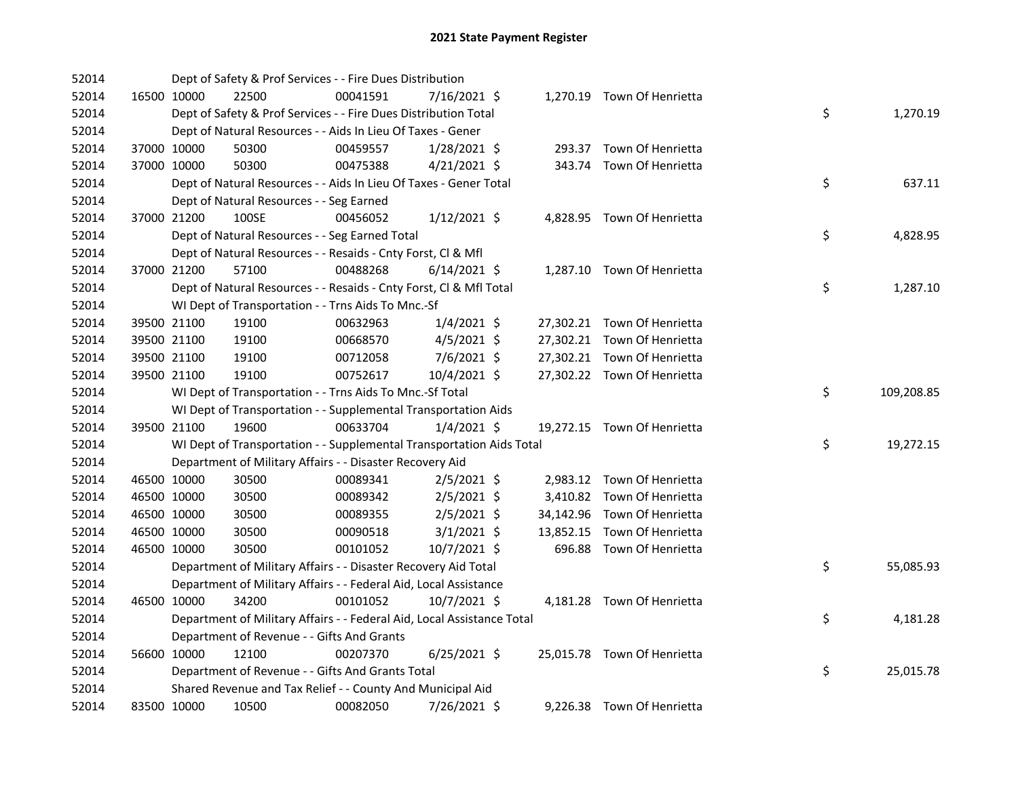| 52014 |             | Dept of Safety & Prof Services - - Fire Dues Distribution              |          |                |  |                             |    |            |
|-------|-------------|------------------------------------------------------------------------|----------|----------------|--|-----------------------------|----|------------|
| 52014 | 16500 10000 | 22500                                                                  | 00041591 | 7/16/2021 \$   |  | 1,270.19 Town Of Henrietta  |    |            |
| 52014 |             | Dept of Safety & Prof Services - - Fire Dues Distribution Total        |          |                |  |                             | \$ | 1,270.19   |
| 52014 |             | Dept of Natural Resources - - Aids In Lieu Of Taxes - Gener            |          |                |  |                             |    |            |
| 52014 | 37000 10000 | 50300                                                                  | 00459557 | $1/28/2021$ \$ |  | 293.37 Town Of Henrietta    |    |            |
| 52014 | 37000 10000 | 50300                                                                  | 00475388 | $4/21/2021$ \$ |  | 343.74 Town Of Henrietta    |    |            |
| 52014 |             | Dept of Natural Resources - - Aids In Lieu Of Taxes - Gener Total      |          |                |  |                             | \$ | 637.11     |
| 52014 |             | Dept of Natural Resources - - Seg Earned                               |          |                |  |                             |    |            |
| 52014 | 37000 21200 | 100SE                                                                  | 00456052 | $1/12/2021$ \$ |  | 4,828.95 Town Of Henrietta  |    |            |
| 52014 |             | Dept of Natural Resources - - Seg Earned Total                         |          |                |  |                             | \$ | 4,828.95   |
| 52014 |             | Dept of Natural Resources - - Resaids - Cnty Forst, Cl & Mfl           |          |                |  |                             |    |            |
| 52014 | 37000 21200 | 57100                                                                  | 00488268 | $6/14/2021$ \$ |  | 1,287.10 Town Of Henrietta  |    |            |
| 52014 |             | Dept of Natural Resources - - Resaids - Cnty Forst, Cl & Mfl Total     |          |                |  |                             | \$ | 1,287.10   |
| 52014 |             | WI Dept of Transportation - - Trns Aids To Mnc.-Sf                     |          |                |  |                             |    |            |
| 52014 | 39500 21100 | 19100                                                                  | 00632963 | $1/4/2021$ \$  |  | 27,302.21 Town Of Henrietta |    |            |
| 52014 | 39500 21100 | 19100                                                                  | 00668570 | $4/5/2021$ \$  |  | 27,302.21 Town Of Henrietta |    |            |
| 52014 | 39500 21100 | 19100                                                                  | 00712058 | $7/6/2021$ \$  |  | 27,302.21 Town Of Henrietta |    |            |
| 52014 | 39500 21100 | 19100                                                                  | 00752617 | 10/4/2021 \$   |  | 27,302.22 Town Of Henrietta |    |            |
| 52014 |             | WI Dept of Transportation - - Trns Aids To Mnc.-Sf Total               |          |                |  |                             | \$ | 109,208.85 |
| 52014 |             | WI Dept of Transportation - - Supplemental Transportation Aids         |          |                |  |                             |    |            |
| 52014 | 39500 21100 | 19600                                                                  | 00633704 | $1/4/2021$ \$  |  | 19,272.15 Town Of Henrietta |    |            |
| 52014 |             | WI Dept of Transportation - - Supplemental Transportation Aids Total   |          |                |  |                             | \$ | 19,272.15  |
| 52014 |             | Department of Military Affairs - - Disaster Recovery Aid               |          |                |  |                             |    |            |
| 52014 | 46500 10000 | 30500                                                                  | 00089341 | $2/5/2021$ \$  |  | 2,983.12 Town Of Henrietta  |    |            |
| 52014 | 46500 10000 | 30500                                                                  | 00089342 | $2/5/2021$ \$  |  | 3,410.82 Town Of Henrietta  |    |            |
| 52014 | 46500 10000 | 30500                                                                  | 00089355 | $2/5/2021$ \$  |  | 34,142.96 Town Of Henrietta |    |            |
| 52014 | 46500 10000 | 30500                                                                  | 00090518 | $3/1/2021$ \$  |  | 13,852.15 Town Of Henrietta |    |            |
| 52014 | 46500 10000 | 30500                                                                  | 00101052 | $10/7/2021$ \$ |  | 696.88 Town Of Henrietta    |    |            |
| 52014 |             | Department of Military Affairs - - Disaster Recovery Aid Total         |          |                |  |                             | \$ | 55,085.93  |
| 52014 |             | Department of Military Affairs - - Federal Aid, Local Assistance       |          |                |  |                             |    |            |
| 52014 | 46500 10000 | 34200                                                                  | 00101052 | 10/7/2021 \$   |  | 4,181.28 Town Of Henrietta  |    |            |
| 52014 |             | Department of Military Affairs - - Federal Aid, Local Assistance Total |          |                |  |                             | \$ | 4,181.28   |
| 52014 |             | Department of Revenue - - Gifts And Grants                             |          |                |  |                             |    |            |
| 52014 | 56600 10000 | 12100                                                                  | 00207370 | $6/25/2021$ \$ |  | 25,015.78 Town Of Henrietta |    |            |
| 52014 |             | Department of Revenue - - Gifts And Grants Total                       |          |                |  |                             | \$ | 25,015.78  |
| 52014 |             | Shared Revenue and Tax Relief - - County And Municipal Aid             |          |                |  |                             |    |            |
| 52014 | 83500 10000 | 10500                                                                  | 00082050 | 7/26/2021 \$   |  | 9,226.38 Town Of Henrietta  |    |            |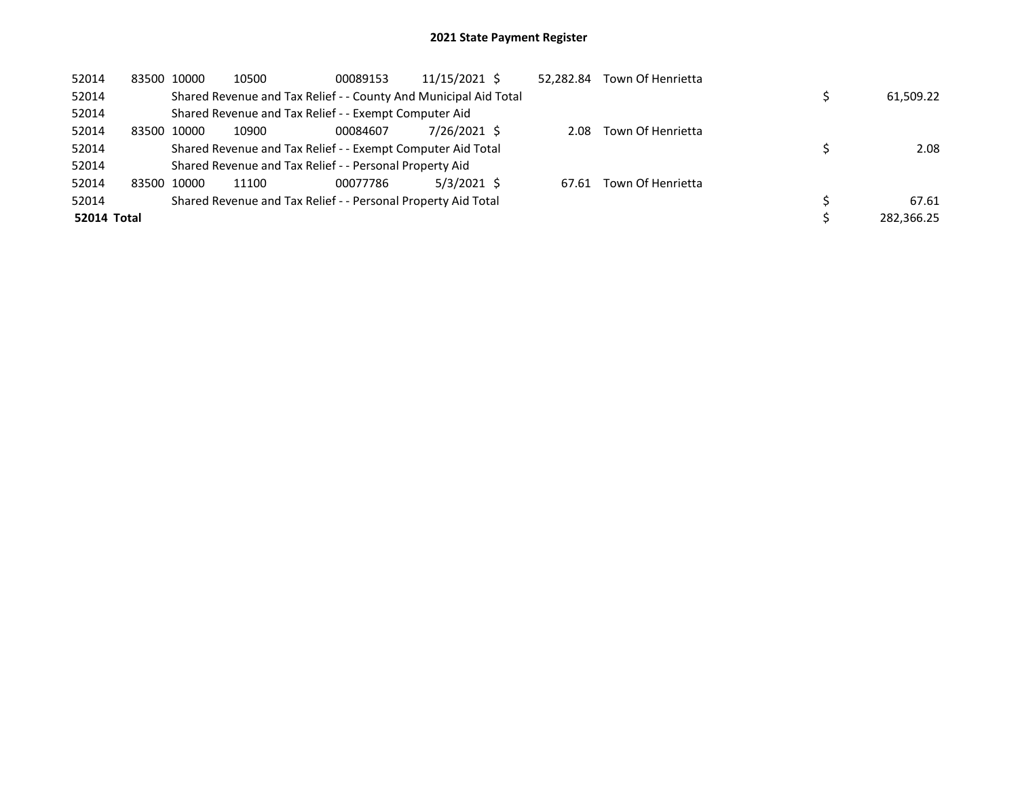| 52014       |       | 83500 10000 | 10500                                                            | 00089153 | 11/15/2021 \$ | 52,282.84 | Town Of Henrietta |            |
|-------------|-------|-------------|------------------------------------------------------------------|----------|---------------|-----------|-------------------|------------|
| 52014       |       |             | Shared Revenue and Tax Relief - - County And Municipal Aid Total |          |               |           |                   | 61,509.22  |
| 52014       |       |             | Shared Revenue and Tax Relief - - Exempt Computer Aid            |          |               |           |                   |            |
| 52014       | 83500 | 10000       | 10900                                                            | 00084607 | 7/26/2021 \$  | 2.08      | Town Of Henrietta |            |
| 52014       |       |             | Shared Revenue and Tax Relief - - Exempt Computer Aid Total      |          |               |           |                   | 2.08       |
| 52014       |       |             | Shared Revenue and Tax Relief - - Personal Property Aid          |          |               |           |                   |            |
| 52014       |       | 83500 10000 | 11100                                                            | 00077786 | $5/3/2021$ \$ | 67.61     | Town Of Henrietta |            |
| 52014       |       |             | Shared Revenue and Tax Relief - - Personal Property Aid Total    |          |               |           |                   | 67.61      |
| 52014 Total |       |             |                                                                  |          |               |           |                   | 282.366.25 |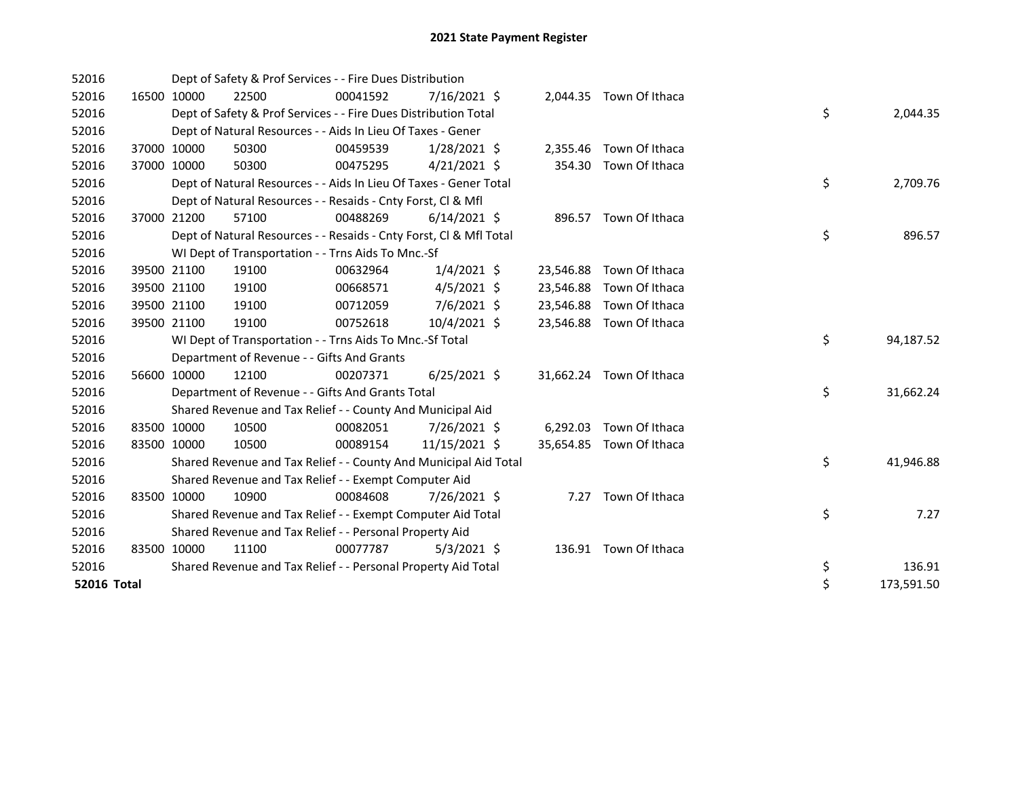| 52016       |             | Dept of Safety & Prof Services - - Fire Dues Distribution          |          |                |           |                          |    |            |
|-------------|-------------|--------------------------------------------------------------------|----------|----------------|-----------|--------------------------|----|------------|
| 52016       | 16500 10000 | 22500                                                              | 00041592 | $7/16/2021$ \$ |           | 2,044.35 Town Of Ithaca  |    |            |
| 52016       |             | Dept of Safety & Prof Services - - Fire Dues Distribution Total    |          |                |           |                          | \$ | 2,044.35   |
| 52016       |             | Dept of Natural Resources - - Aids In Lieu Of Taxes - Gener        |          |                |           |                          |    |            |
| 52016       | 37000 10000 | 50300                                                              | 00459539 | $1/28/2021$ \$ | 2,355.46  | Town Of Ithaca           |    |            |
| 52016       | 37000 10000 | 50300                                                              | 00475295 | $4/21/2021$ \$ | 354.30    | Town Of Ithaca           |    |            |
| 52016       |             | Dept of Natural Resources - - Aids In Lieu Of Taxes - Gener Total  |          |                |           |                          | \$ | 2,709.76   |
| 52016       |             | Dept of Natural Resources - - Resaids - Cnty Forst, Cl & Mfl       |          |                |           |                          |    |            |
| 52016       | 37000 21200 | 57100                                                              | 00488269 | $6/14/2021$ \$ |           | 896.57 Town Of Ithaca    |    |            |
| 52016       |             | Dept of Natural Resources - - Resaids - Cnty Forst, Cl & Mfl Total |          |                |           |                          | \$ | 896.57     |
| 52016       |             | WI Dept of Transportation - - Trns Aids To Mnc.-Sf                 |          |                |           |                          |    |            |
| 52016       | 39500 21100 | 19100                                                              | 00632964 | $1/4/2021$ \$  | 23,546.88 | Town Of Ithaca           |    |            |
| 52016       | 39500 21100 | 19100                                                              | 00668571 | $4/5/2021$ \$  | 23,546.88 | Town Of Ithaca           |    |            |
| 52016       | 39500 21100 | 19100                                                              | 00712059 | 7/6/2021 \$    | 23,546.88 | Town Of Ithaca           |    |            |
| 52016       | 39500 21100 | 19100                                                              | 00752618 | 10/4/2021 \$   | 23,546.88 | Town Of Ithaca           |    |            |
| 52016       |             | WI Dept of Transportation - - Trns Aids To Mnc.-Sf Total           |          |                |           |                          | \$ | 94,187.52  |
| 52016       |             | Department of Revenue - - Gifts And Grants                         |          |                |           |                          |    |            |
| 52016       | 56600 10000 | 12100                                                              | 00207371 | $6/25/2021$ \$ |           | 31,662.24 Town Of Ithaca |    |            |
| 52016       |             | Department of Revenue - - Gifts And Grants Total                   |          |                |           |                          | \$ | 31,662.24  |
| 52016       |             | Shared Revenue and Tax Relief - - County And Municipal Aid         |          |                |           |                          |    |            |
| 52016       | 83500 10000 | 10500                                                              | 00082051 | 7/26/2021 \$   | 6,292.03  | Town Of Ithaca           |    |            |
| 52016       | 83500 10000 | 10500                                                              | 00089154 | 11/15/2021 \$  |           | 35,654.85 Town Of Ithaca |    |            |
| 52016       |             | Shared Revenue and Tax Relief - - County And Municipal Aid Total   |          |                |           |                          | \$ | 41,946.88  |
| 52016       |             | Shared Revenue and Tax Relief - - Exempt Computer Aid              |          |                |           |                          |    |            |
| 52016       | 83500 10000 | 10900                                                              | 00084608 | 7/26/2021 \$   | 7.27      | Town Of Ithaca           |    |            |
| 52016       |             | Shared Revenue and Tax Relief - - Exempt Computer Aid Total        |          |                |           |                          | \$ | 7.27       |
| 52016       |             | Shared Revenue and Tax Relief - - Personal Property Aid            |          |                |           |                          |    |            |
| 52016       | 83500 10000 | 11100                                                              | 00077787 | $5/3/2021$ \$  |           | 136.91 Town Of Ithaca    |    |            |
| 52016       |             | Shared Revenue and Tax Relief - - Personal Property Aid Total      |          |                |           |                          | \$ | 136.91     |
| 52016 Total |             |                                                                    |          |                |           |                          | \$ | 173,591.50 |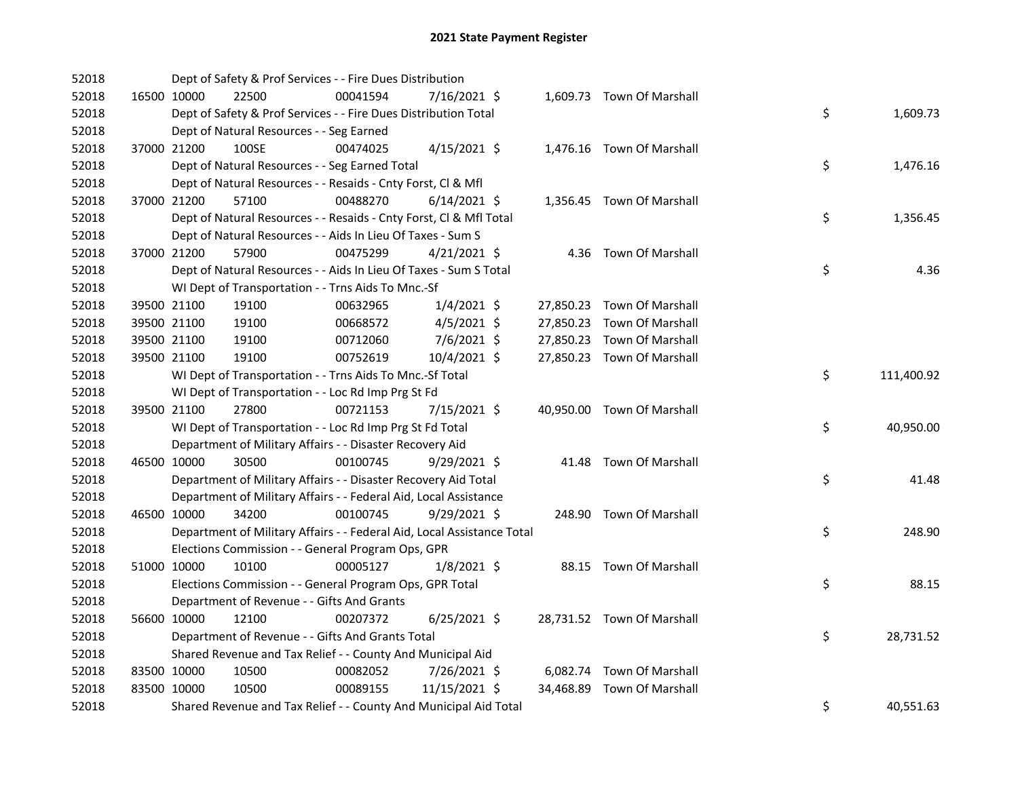| 52018 |             |             | Dept of Safety & Prof Services - - Fire Dues Distribution              |          |                |  |                            |    |            |
|-------|-------------|-------------|------------------------------------------------------------------------|----------|----------------|--|----------------------------|----|------------|
| 52018 |             | 16500 10000 | 22500                                                                  | 00041594 | 7/16/2021 \$   |  | 1,609.73 Town Of Marshall  |    |            |
| 52018 |             |             | Dept of Safety & Prof Services - - Fire Dues Distribution Total        |          |                |  |                            | \$ | 1,609.73   |
| 52018 |             |             | Dept of Natural Resources - - Seg Earned                               |          |                |  |                            |    |            |
| 52018 |             | 37000 21200 | 100SE                                                                  | 00474025 | $4/15/2021$ \$ |  | 1,476.16 Town Of Marshall  |    |            |
| 52018 |             |             | Dept of Natural Resources - - Seg Earned Total                         |          |                |  |                            | \$ | 1,476.16   |
| 52018 |             |             | Dept of Natural Resources - - Resaids - Cnty Forst, Cl & Mfl           |          |                |  |                            |    |            |
| 52018 | 37000 21200 |             | 57100                                                                  | 00488270 | $6/14/2021$ \$ |  | 1,356.45 Town Of Marshall  |    |            |
| 52018 |             |             | Dept of Natural Resources - - Resaids - Cnty Forst, Cl & Mfl Total     |          |                |  |                            | \$ | 1,356.45   |
| 52018 |             |             | Dept of Natural Resources - - Aids In Lieu Of Taxes - Sum S            |          |                |  |                            |    |            |
| 52018 |             | 37000 21200 | 57900                                                                  | 00475299 | $4/21/2021$ \$ |  | 4.36 Town Of Marshall      |    |            |
| 52018 |             |             | Dept of Natural Resources - - Aids In Lieu Of Taxes - Sum S Total      |          |                |  |                            | \$ | 4.36       |
| 52018 |             |             | WI Dept of Transportation - - Trns Aids To Mnc.-Sf                     |          |                |  |                            |    |            |
| 52018 |             | 39500 21100 | 19100                                                                  | 00632965 | $1/4/2021$ \$  |  | 27,850.23 Town Of Marshall |    |            |
| 52018 |             | 39500 21100 | 19100                                                                  | 00668572 | $4/5/2021$ \$  |  | 27,850.23 Town Of Marshall |    |            |
| 52018 |             | 39500 21100 | 19100                                                                  | 00712060 | $7/6/2021$ \$  |  | 27,850.23 Town Of Marshall |    |            |
| 52018 |             | 39500 21100 | 19100                                                                  | 00752619 | 10/4/2021 \$   |  | 27,850.23 Town Of Marshall |    |            |
| 52018 |             |             | WI Dept of Transportation - - Trns Aids To Mnc.-Sf Total               |          |                |  |                            | \$ | 111,400.92 |
| 52018 |             |             | WI Dept of Transportation - - Loc Rd Imp Prg St Fd                     |          |                |  |                            |    |            |
| 52018 |             | 39500 21100 | 27800                                                                  | 00721153 | 7/15/2021 \$   |  | 40,950.00 Town Of Marshall |    |            |
| 52018 |             |             | WI Dept of Transportation - - Loc Rd Imp Prg St Fd Total               |          |                |  |                            | \$ | 40,950.00  |
| 52018 |             |             | Department of Military Affairs - - Disaster Recovery Aid               |          |                |  |                            |    |            |
| 52018 |             | 46500 10000 | 30500                                                                  | 00100745 | 9/29/2021 \$   |  | 41.48 Town Of Marshall     |    |            |
| 52018 |             |             | Department of Military Affairs - - Disaster Recovery Aid Total         |          |                |  |                            | \$ | 41.48      |
| 52018 |             |             | Department of Military Affairs - - Federal Aid, Local Assistance       |          |                |  |                            |    |            |
| 52018 |             | 46500 10000 | 34200                                                                  | 00100745 | $9/29/2021$ \$ |  | 248.90 Town Of Marshall    |    |            |
| 52018 |             |             | Department of Military Affairs - - Federal Aid, Local Assistance Total |          |                |  |                            | \$ | 248.90     |
| 52018 |             |             | Elections Commission - - General Program Ops, GPR                      |          |                |  |                            |    |            |
| 52018 |             | 51000 10000 | 10100                                                                  | 00005127 | $1/8/2021$ \$  |  | 88.15 Town Of Marshall     |    |            |
| 52018 |             |             | Elections Commission - - General Program Ops, GPR Total                |          |                |  |                            | \$ | 88.15      |
| 52018 |             |             | Department of Revenue - - Gifts And Grants                             |          |                |  |                            |    |            |
| 52018 |             | 56600 10000 | 12100                                                                  | 00207372 | $6/25/2021$ \$ |  | 28,731.52 Town Of Marshall |    |            |
| 52018 |             |             | Department of Revenue - - Gifts And Grants Total                       |          |                |  |                            | \$ | 28,731.52  |
| 52018 |             |             | Shared Revenue and Tax Relief - - County And Municipal Aid             |          |                |  |                            |    |            |
| 52018 |             | 83500 10000 | 10500                                                                  | 00082052 | 7/26/2021 \$   |  | 6,082.74 Town Of Marshall  |    |            |
| 52018 | 83500 10000 |             | 10500                                                                  | 00089155 | 11/15/2021 \$  |  | 34,468.89 Town Of Marshall |    |            |
| 52018 |             |             | Shared Revenue and Tax Relief - - County And Municipal Aid Total       |          |                |  |                            | \$ | 40,551.63  |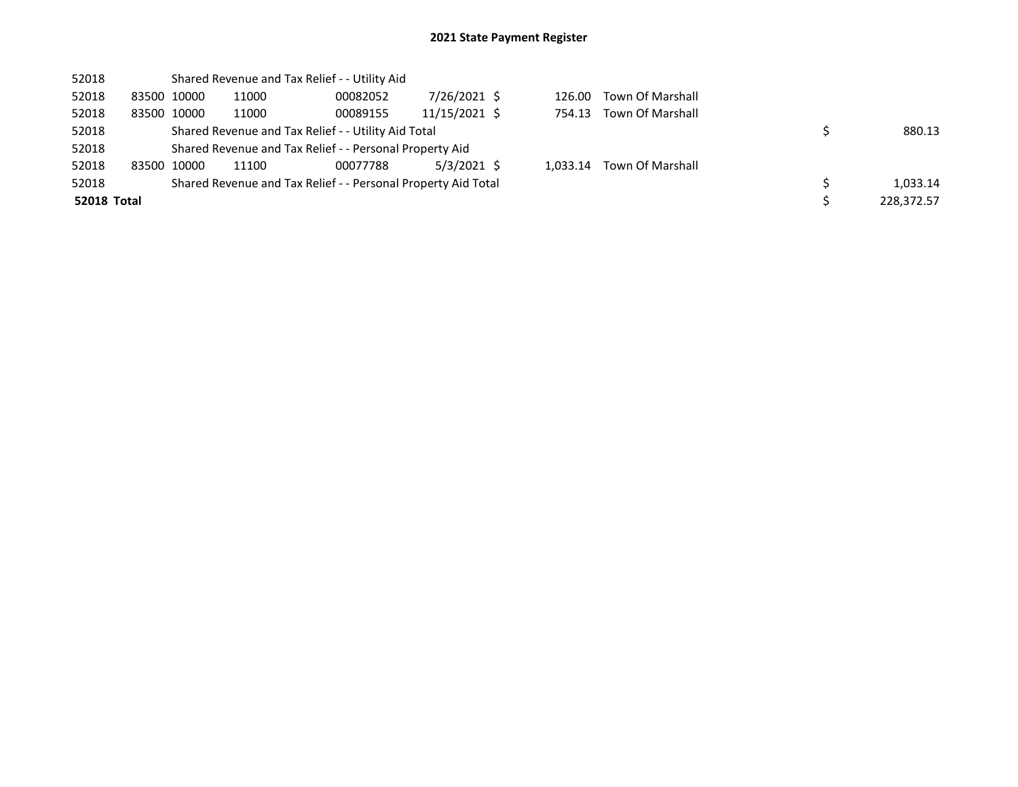| 52018              |       |             | Shared Revenue and Tax Relief - - Utility Aid       |                                                               |               |        |          |                  |  |            |  |  |  |
|--------------------|-------|-------------|-----------------------------------------------------|---------------------------------------------------------------|---------------|--------|----------|------------------|--|------------|--|--|--|
| 52018              |       | 83500 10000 | 11000                                               | 00082052                                                      | 7/26/2021 \$  |        | 126.00   | Town Of Marshall |  |            |  |  |  |
| 52018              |       | 83500 10000 | 11000                                               | 00089155                                                      | 11/15/2021 \$ |        | 754.13   | Town Of Marshall |  |            |  |  |  |
| 52018              |       |             | Shared Revenue and Tax Relief - - Utility Aid Total |                                                               |               | 880.13 |          |                  |  |            |  |  |  |
| 52018              |       |             |                                                     | Shared Revenue and Tax Relief - - Personal Property Aid       |               |        |          |                  |  |            |  |  |  |
| 52018              | 83500 | 10000       | 11100                                               | 00077788                                                      | 5/3/2021 \$   |        | 1.033.14 | Town Of Marshall |  |            |  |  |  |
| 52018              |       |             |                                                     | Shared Revenue and Tax Relief - - Personal Property Aid Total |               |        |          |                  |  | 1,033.14   |  |  |  |
| <b>52018 Total</b> |       |             |                                                     |                                                               |               |        |          |                  |  | 228.372.57 |  |  |  |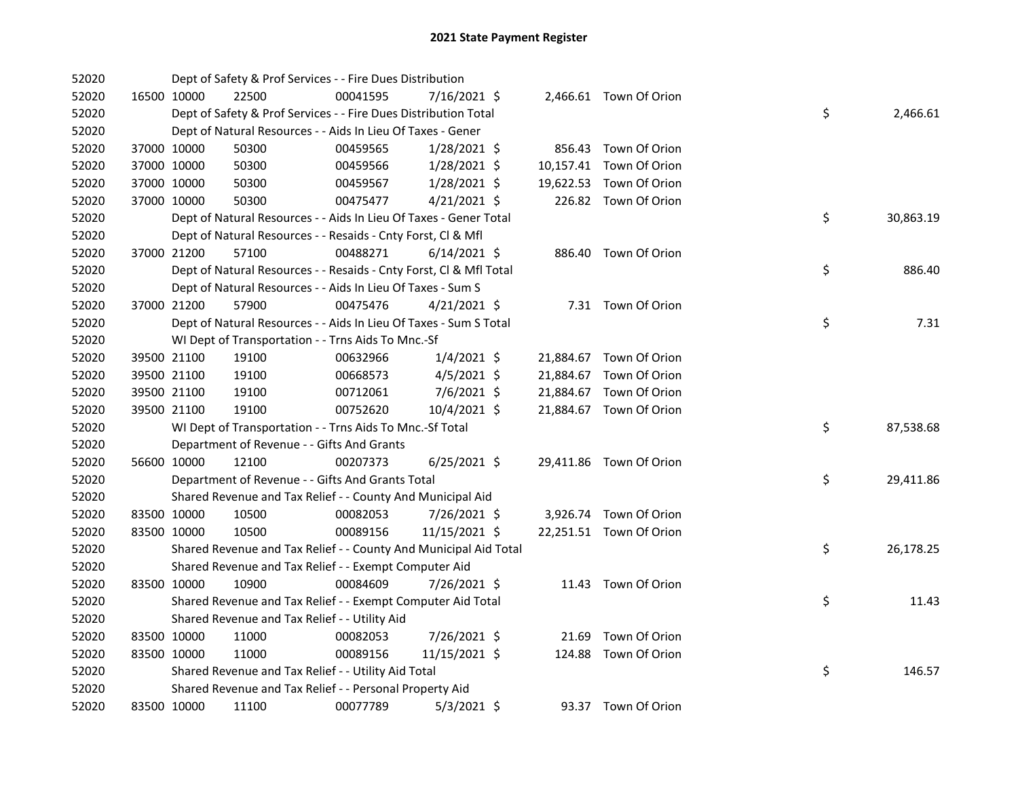| 52020 |             | Dept of Safety & Prof Services - - Fire Dues Distribution          |          |                |  |                         |    |           |
|-------|-------------|--------------------------------------------------------------------|----------|----------------|--|-------------------------|----|-----------|
| 52020 | 16500 10000 | 22500                                                              | 00041595 | 7/16/2021 \$   |  | 2,466.61 Town Of Orion  |    |           |
| 52020 |             | Dept of Safety & Prof Services - - Fire Dues Distribution Total    |          |                |  |                         | \$ | 2,466.61  |
| 52020 |             | Dept of Natural Resources - - Aids In Lieu Of Taxes - Gener        |          |                |  |                         |    |           |
| 52020 | 37000 10000 | 50300                                                              | 00459565 | 1/28/2021 \$   |  | 856.43 Town Of Orion    |    |           |
| 52020 | 37000 10000 | 50300                                                              | 00459566 | 1/28/2021 \$   |  | 10,157.41 Town Of Orion |    |           |
| 52020 | 37000 10000 | 50300                                                              | 00459567 | 1/28/2021 \$   |  | 19,622.53 Town Of Orion |    |           |
| 52020 | 37000 10000 | 50300                                                              | 00475477 | $4/21/2021$ \$ |  | 226.82 Town Of Orion    |    |           |
| 52020 |             | Dept of Natural Resources - - Aids In Lieu Of Taxes - Gener Total  |          |                |  |                         | \$ | 30,863.19 |
| 52020 |             | Dept of Natural Resources - - Resaids - Cnty Forst, Cl & Mfl       |          |                |  |                         |    |           |
| 52020 | 37000 21200 | 57100                                                              | 00488271 | $6/14/2021$ \$ |  | 886.40 Town Of Orion    |    |           |
| 52020 |             | Dept of Natural Resources - - Resaids - Cnty Forst, Cl & Mfl Total |          |                |  |                         | \$ | 886.40    |
| 52020 |             | Dept of Natural Resources - - Aids In Lieu Of Taxes - Sum S        |          |                |  |                         |    |           |
| 52020 | 37000 21200 | 57900                                                              | 00475476 | 4/21/2021 \$   |  | 7.31 Town Of Orion      |    |           |
| 52020 |             | Dept of Natural Resources - - Aids In Lieu Of Taxes - Sum S Total  |          |                |  |                         | \$ | 7.31      |
| 52020 |             | WI Dept of Transportation - - Trns Aids To Mnc.-Sf                 |          |                |  |                         |    |           |
| 52020 | 39500 21100 | 19100                                                              | 00632966 | $1/4/2021$ \$  |  | 21,884.67 Town Of Orion |    |           |
| 52020 | 39500 21100 | 19100                                                              | 00668573 | $4/5/2021$ \$  |  | 21,884.67 Town Of Orion |    |           |
| 52020 | 39500 21100 | 19100                                                              | 00712061 | 7/6/2021 \$    |  | 21,884.67 Town Of Orion |    |           |
| 52020 | 39500 21100 | 19100                                                              | 00752620 | 10/4/2021 \$   |  | 21,884.67 Town Of Orion |    |           |
| 52020 |             | WI Dept of Transportation - - Trns Aids To Mnc.-Sf Total           |          |                |  |                         | \$ | 87,538.68 |
| 52020 |             | Department of Revenue - - Gifts And Grants                         |          |                |  |                         |    |           |
| 52020 | 56600 10000 | 12100                                                              | 00207373 | $6/25/2021$ \$ |  | 29,411.86 Town Of Orion |    |           |
| 52020 |             | Department of Revenue - - Gifts And Grants Total                   |          |                |  |                         | \$ | 29,411.86 |
| 52020 |             | Shared Revenue and Tax Relief - - County And Municipal Aid         |          |                |  |                         |    |           |
| 52020 | 83500 10000 | 10500                                                              | 00082053 | 7/26/2021 \$   |  | 3,926.74 Town Of Orion  |    |           |
| 52020 | 83500 10000 | 10500                                                              | 00089156 | 11/15/2021 \$  |  | 22,251.51 Town Of Orion |    |           |
| 52020 |             | Shared Revenue and Tax Relief - - County And Municipal Aid Total   |          |                |  |                         | \$ | 26,178.25 |
| 52020 |             | Shared Revenue and Tax Relief - - Exempt Computer Aid              |          |                |  |                         |    |           |
| 52020 | 83500 10000 | 10900                                                              | 00084609 | 7/26/2021 \$   |  | 11.43 Town Of Orion     |    |           |
| 52020 |             | Shared Revenue and Tax Relief - - Exempt Computer Aid Total        |          |                |  |                         | \$ | 11.43     |
| 52020 |             | Shared Revenue and Tax Relief - - Utility Aid                      |          |                |  |                         |    |           |
| 52020 | 83500 10000 | 11000                                                              | 00082053 | 7/26/2021 \$   |  | 21.69 Town Of Orion     |    |           |
| 52020 | 83500 10000 | 11000                                                              | 00089156 | 11/15/2021 \$  |  | 124.88 Town Of Orion    |    |           |
| 52020 |             | Shared Revenue and Tax Relief - - Utility Aid Total                |          |                |  |                         | \$ | 146.57    |
| 52020 |             | Shared Revenue and Tax Relief - - Personal Property Aid            |          |                |  |                         |    |           |
| 52020 | 83500 10000 | 11100                                                              | 00077789 | $5/3/2021$ \$  |  | 93.37 Town Of Orion     |    |           |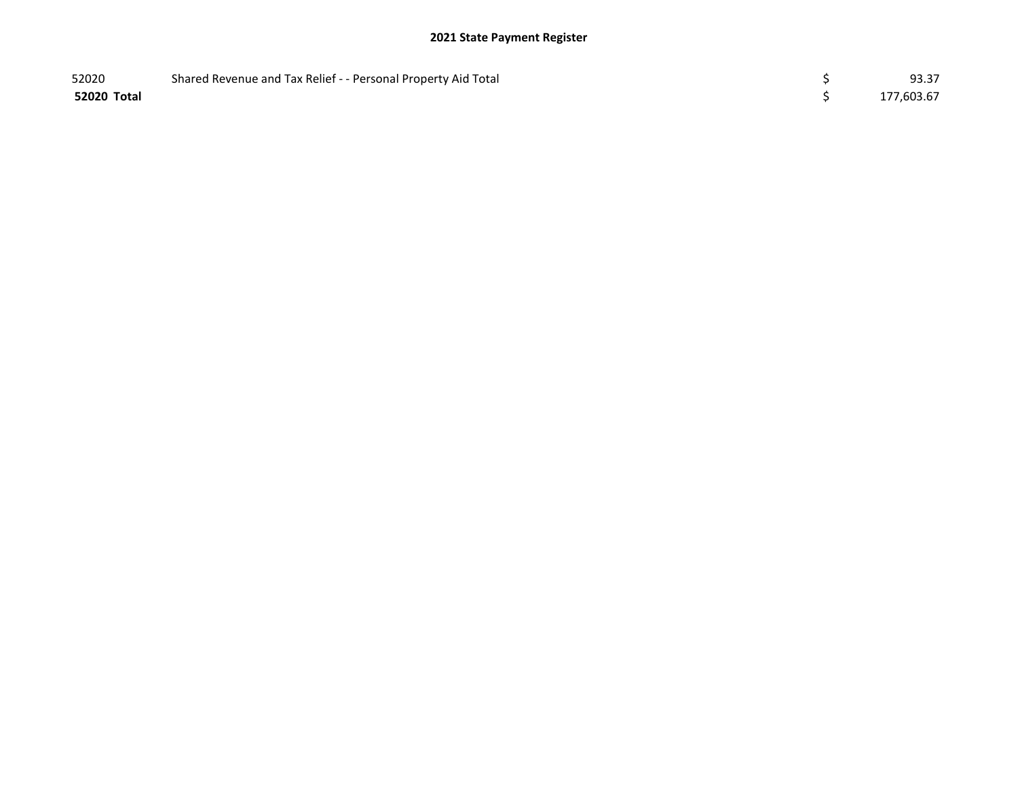| 52020       | Shared Revenue and Tax Relief - - Personal Property Aid Total | 93.37      |
|-------------|---------------------------------------------------------------|------------|
| 52020 Total |                                                               | 177,603.67 |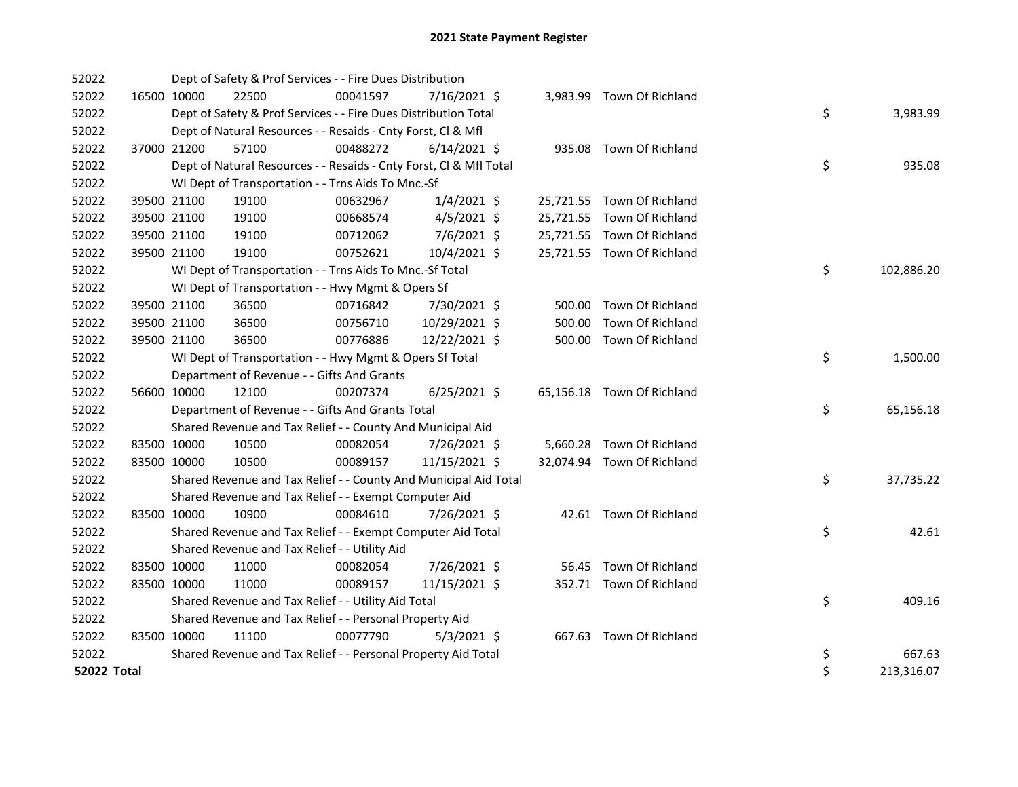| 52022              |             | Dept of Safety & Prof Services - - Fire Dues Distribution          |          |                |        |                            |    |            |
|--------------------|-------------|--------------------------------------------------------------------|----------|----------------|--------|----------------------------|----|------------|
| 52022              | 16500 10000 | 22500                                                              | 00041597 | 7/16/2021 \$   |        | 3,983.99 Town Of Richland  |    |            |
| 52022              |             | Dept of Safety & Prof Services - - Fire Dues Distribution Total    |          |                |        |                            | \$ | 3,983.99   |
| 52022              |             | Dept of Natural Resources - - Resaids - Cnty Forst, Cl & Mfl       |          |                |        |                            |    |            |
| 52022              | 37000 21200 | 57100                                                              | 00488272 | $6/14/2021$ \$ |        | 935.08 Town Of Richland    |    |            |
| 52022              |             | Dept of Natural Resources - - Resaids - Cnty Forst, CI & Mfl Total |          |                |        |                            | \$ | 935.08     |
| 52022              |             | WI Dept of Transportation - - Trns Aids To Mnc.-Sf                 |          |                |        |                            |    |            |
| 52022              | 39500 21100 | 19100                                                              | 00632967 | $1/4/2021$ \$  |        | 25,721.55 Town Of Richland |    |            |
| 52022              | 39500 21100 | 19100                                                              | 00668574 | $4/5/2021$ \$  |        | 25,721.55 Town Of Richland |    |            |
| 52022              | 39500 21100 | 19100                                                              | 00712062 | $7/6/2021$ \$  |        | 25,721.55 Town Of Richland |    |            |
| 52022              | 39500 21100 | 19100                                                              | 00752621 | 10/4/2021 \$   |        | 25,721.55 Town Of Richland |    |            |
| 52022              |             | WI Dept of Transportation - - Trns Aids To Mnc.-Sf Total           |          |                |        |                            | \$ | 102,886.20 |
| 52022              |             | WI Dept of Transportation - - Hwy Mgmt & Opers Sf                  |          |                |        |                            |    |            |
| 52022              | 39500 21100 | 36500                                                              | 00716842 | 7/30/2021 \$   |        | 500.00 Town Of Richland    |    |            |
| 52022              | 39500 21100 | 36500                                                              | 00756710 | 10/29/2021 \$  | 500.00 | Town Of Richland           |    |            |
| 52022              | 39500 21100 | 36500                                                              | 00776886 | 12/22/2021 \$  |        | 500.00 Town Of Richland    |    |            |
| 52022              |             | WI Dept of Transportation - - Hwy Mgmt & Opers Sf Total            |          |                |        |                            | \$ | 1,500.00   |
| 52022              |             | Department of Revenue - - Gifts And Grants                         |          |                |        |                            |    |            |
| 52022              | 56600 10000 | 12100                                                              | 00207374 | $6/25/2021$ \$ |        | 65,156.18 Town Of Richland |    |            |
| 52022              |             | Department of Revenue - - Gifts And Grants Total                   |          |                |        |                            | \$ | 65,156.18  |
| 52022              |             | Shared Revenue and Tax Relief - - County And Municipal Aid         |          |                |        |                            |    |            |
| 52022              | 83500 10000 | 10500                                                              | 00082054 | 7/26/2021 \$   |        | 5,660.28 Town Of Richland  |    |            |
| 52022              | 83500 10000 | 10500                                                              | 00089157 | 11/15/2021 \$  |        | 32,074.94 Town Of Richland |    |            |
| 52022              |             | Shared Revenue and Tax Relief - - County And Municipal Aid Total   |          |                |        |                            | \$ | 37,735.22  |
| 52022              |             | Shared Revenue and Tax Relief - - Exempt Computer Aid              |          |                |        |                            |    |            |
| 52022              | 83500 10000 | 10900                                                              | 00084610 | 7/26/2021 \$   |        | 42.61 Town Of Richland     |    |            |
| 52022              |             | Shared Revenue and Tax Relief - - Exempt Computer Aid Total        |          |                |        |                            | \$ | 42.61      |
| 52022              |             | Shared Revenue and Tax Relief - - Utility Aid                      |          |                |        |                            |    |            |
| 52022              | 83500 10000 | 11000                                                              | 00082054 | 7/26/2021 \$   |        | 56.45 Town Of Richland     |    |            |
| 52022              | 83500 10000 | 11000                                                              | 00089157 | 11/15/2021 \$  |        | 352.71 Town Of Richland    |    |            |
| 52022              |             | Shared Revenue and Tax Relief - - Utility Aid Total                |          |                |        |                            | \$ | 409.16     |
| 52022              |             | Shared Revenue and Tax Relief - - Personal Property Aid            |          |                |        |                            |    |            |
| 52022              | 83500 10000 | 11100                                                              | 00077790 | $5/3/2021$ \$  |        | 667.63 Town Of Richland    |    |            |
| 52022              |             | Shared Revenue and Tax Relief - - Personal Property Aid Total      |          |                |        |                            | \$ | 667.63     |
| <b>52022 Total</b> |             |                                                                    |          |                |        |                            | \$ | 213,316.07 |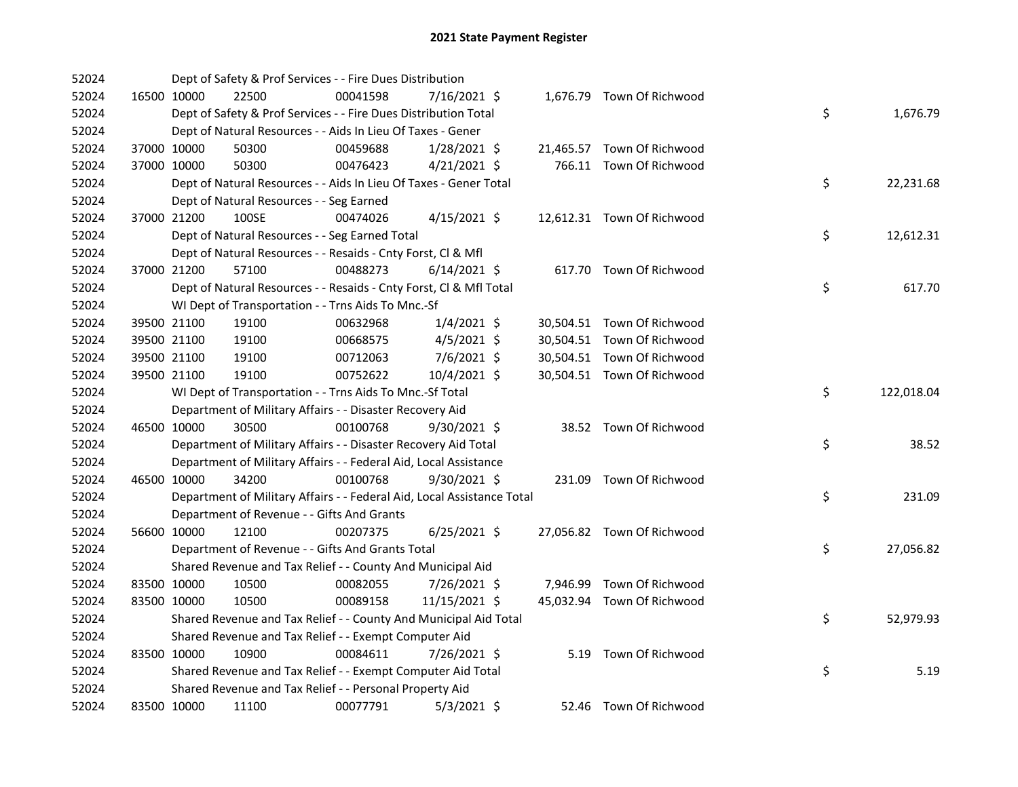| 52024 |             | Dept of Safety & Prof Services - - Fire Dues Distribution              |          |                |  |                            |    |            |
|-------|-------------|------------------------------------------------------------------------|----------|----------------|--|----------------------------|----|------------|
| 52024 | 16500 10000 | 22500                                                                  | 00041598 | 7/16/2021 \$   |  | 1,676.79 Town Of Richwood  |    |            |
| 52024 |             | Dept of Safety & Prof Services - - Fire Dues Distribution Total        |          |                |  |                            | \$ | 1,676.79   |
| 52024 |             | Dept of Natural Resources - - Aids In Lieu Of Taxes - Gener            |          |                |  |                            |    |            |
| 52024 | 37000 10000 | 50300                                                                  | 00459688 | 1/28/2021 \$   |  | 21,465.57 Town Of Richwood |    |            |
| 52024 | 37000 10000 | 50300                                                                  | 00476423 | $4/21/2021$ \$ |  | 766.11 Town Of Richwood    |    |            |
| 52024 |             | Dept of Natural Resources - - Aids In Lieu Of Taxes - Gener Total      |          |                |  |                            | \$ | 22,231.68  |
| 52024 |             | Dept of Natural Resources - - Seg Earned                               |          |                |  |                            |    |            |
| 52024 | 37000 21200 | 100SE                                                                  | 00474026 | $4/15/2021$ \$ |  | 12,612.31 Town Of Richwood |    |            |
| 52024 |             | Dept of Natural Resources - - Seg Earned Total                         |          |                |  |                            | \$ | 12,612.31  |
| 52024 |             | Dept of Natural Resources - - Resaids - Cnty Forst, Cl & Mfl           |          |                |  |                            |    |            |
| 52024 | 37000 21200 | 57100                                                                  | 00488273 | $6/14/2021$ \$ |  | 617.70 Town Of Richwood    |    |            |
| 52024 |             | Dept of Natural Resources - - Resaids - Cnty Forst, Cl & Mfl Total     |          |                |  |                            | \$ | 617.70     |
| 52024 |             | WI Dept of Transportation - - Trns Aids To Mnc.-Sf                     |          |                |  |                            |    |            |
| 52024 | 39500 21100 | 19100                                                                  | 00632968 | $1/4/2021$ \$  |  | 30,504.51 Town Of Richwood |    |            |
| 52024 | 39500 21100 | 19100                                                                  | 00668575 | $4/5/2021$ \$  |  | 30,504.51 Town Of Richwood |    |            |
| 52024 | 39500 21100 | 19100                                                                  | 00712063 | 7/6/2021 \$    |  | 30,504.51 Town Of Richwood |    |            |
| 52024 | 39500 21100 | 19100                                                                  | 00752622 | 10/4/2021 \$   |  | 30,504.51 Town Of Richwood |    |            |
| 52024 |             | WI Dept of Transportation - - Trns Aids To Mnc.-Sf Total               |          |                |  |                            | \$ | 122,018.04 |
| 52024 |             | Department of Military Affairs - - Disaster Recovery Aid               |          |                |  |                            |    |            |
| 52024 | 46500 10000 | 30500                                                                  | 00100768 | 9/30/2021 \$   |  | 38.52 Town Of Richwood     |    |            |
| 52024 |             | Department of Military Affairs - - Disaster Recovery Aid Total         |          |                |  |                            | \$ | 38.52      |
| 52024 |             | Department of Military Affairs - - Federal Aid, Local Assistance       |          |                |  |                            |    |            |
| 52024 | 46500 10000 | 34200                                                                  | 00100768 | 9/30/2021 \$   |  | 231.09 Town Of Richwood    |    |            |
| 52024 |             | Department of Military Affairs - - Federal Aid, Local Assistance Total |          |                |  |                            | \$ | 231.09     |
| 52024 |             | Department of Revenue - - Gifts And Grants                             |          |                |  |                            |    |            |
| 52024 | 56600 10000 | 12100                                                                  | 00207375 | $6/25/2021$ \$ |  | 27,056.82 Town Of Richwood |    |            |
| 52024 |             | Department of Revenue - - Gifts And Grants Total                       |          |                |  |                            | \$ | 27,056.82  |
| 52024 |             | Shared Revenue and Tax Relief - - County And Municipal Aid             |          |                |  |                            |    |            |
| 52024 | 83500 10000 | 10500                                                                  | 00082055 | 7/26/2021 \$   |  | 7,946.99 Town Of Richwood  |    |            |
| 52024 | 83500 10000 | 10500                                                                  | 00089158 | 11/15/2021 \$  |  | 45,032.94 Town Of Richwood |    |            |
| 52024 |             | Shared Revenue and Tax Relief - - County And Municipal Aid Total       |          |                |  |                            | \$ | 52,979.93  |
| 52024 |             | Shared Revenue and Tax Relief - - Exempt Computer Aid                  |          |                |  |                            |    |            |
| 52024 | 83500 10000 | 10900                                                                  | 00084611 | 7/26/2021 \$   |  | 5.19 Town Of Richwood      |    |            |
| 52024 |             | Shared Revenue and Tax Relief - - Exempt Computer Aid Total            |          |                |  |                            | \$ | 5.19       |
| 52024 |             | Shared Revenue and Tax Relief - - Personal Property Aid                |          |                |  |                            |    |            |
| 52024 | 83500 10000 | 11100                                                                  | 00077791 | $5/3/2021$ \$  |  | 52.46 Town Of Richwood     |    |            |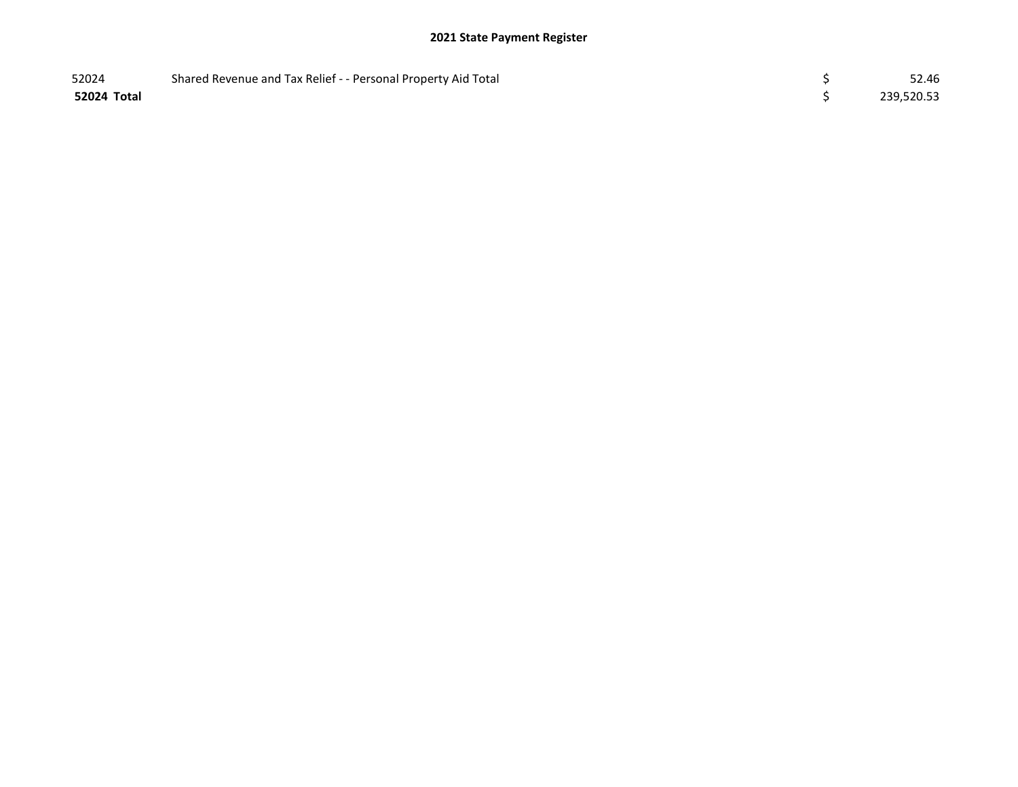| 52024       | Shared Revenue and Tax Relief - - Personal Property Aid Total | 52.46      |
|-------------|---------------------------------------------------------------|------------|
| 52024 Total |                                                               | 239,520.53 |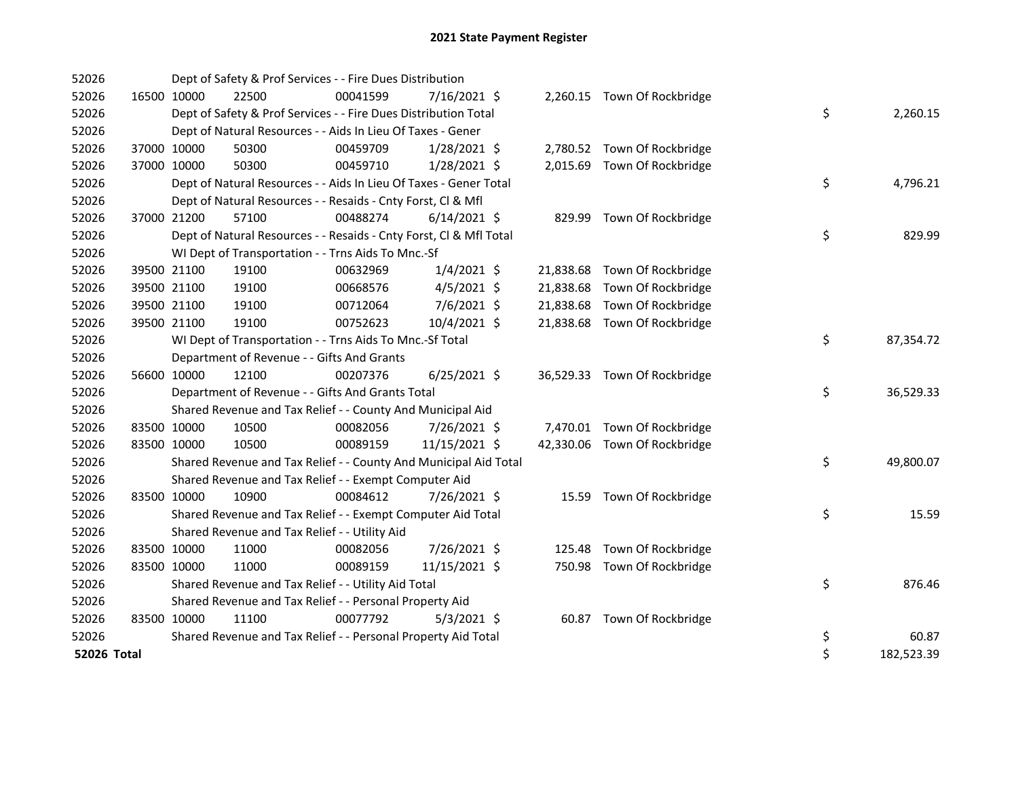| 52026       |             |             | Dept of Safety & Prof Services - - Fire Dues Distribution          |          |                |  |                              |    |            |
|-------------|-------------|-------------|--------------------------------------------------------------------|----------|----------------|--|------------------------------|----|------------|
| 52026       | 16500 10000 |             | 22500                                                              | 00041599 | $7/16/2021$ \$ |  | 2,260.15 Town Of Rockbridge  |    |            |
| 52026       |             |             | Dept of Safety & Prof Services - - Fire Dues Distribution Total    |          |                |  |                              | \$ | 2,260.15   |
| 52026       |             |             | Dept of Natural Resources - - Aids In Lieu Of Taxes - Gener        |          |                |  |                              |    |            |
| 52026       | 37000 10000 |             | 50300                                                              | 00459709 | $1/28/2021$ \$ |  | 2,780.52 Town Of Rockbridge  |    |            |
| 52026       | 37000 10000 |             | 50300                                                              | 00459710 | $1/28/2021$ \$ |  | 2,015.69 Town Of Rockbridge  |    |            |
| 52026       |             |             | Dept of Natural Resources - - Aids In Lieu Of Taxes - Gener Total  |          |                |  |                              | \$ | 4,796.21   |
| 52026       |             |             | Dept of Natural Resources - - Resaids - Cnty Forst, Cl & Mfl       |          |                |  |                              |    |            |
| 52026       | 37000 21200 |             | 57100                                                              | 00488274 | $6/14/2021$ \$ |  | 829.99 Town Of Rockbridge    |    |            |
| 52026       |             |             | Dept of Natural Resources - - Resaids - Cnty Forst, Cl & Mfl Total |          |                |  |                              | \$ | 829.99     |
| 52026       |             |             | WI Dept of Transportation - - Trns Aids To Mnc.-Sf                 |          |                |  |                              |    |            |
| 52026       | 39500 21100 |             | 19100                                                              | 00632969 | $1/4/2021$ \$  |  | 21,838.68 Town Of Rockbridge |    |            |
| 52026       | 39500 21100 |             | 19100                                                              | 00668576 | $4/5/2021$ \$  |  | 21,838.68 Town Of Rockbridge |    |            |
| 52026       | 39500 21100 |             | 19100                                                              | 00712064 | 7/6/2021 \$    |  | 21,838.68 Town Of Rockbridge |    |            |
| 52026       | 39500 21100 |             | 19100                                                              | 00752623 | 10/4/2021 \$   |  | 21,838.68 Town Of Rockbridge |    |            |
| 52026       |             |             | WI Dept of Transportation - - Trns Aids To Mnc.-Sf Total           |          |                |  |                              | \$ | 87,354.72  |
| 52026       |             |             | Department of Revenue - - Gifts And Grants                         |          |                |  |                              |    |            |
| 52026       |             | 56600 10000 | 12100                                                              | 00207376 | $6/25/2021$ \$ |  | 36,529.33 Town Of Rockbridge |    |            |
| 52026       |             |             | Department of Revenue - - Gifts And Grants Total                   |          |                |  |                              | \$ | 36,529.33  |
| 52026       |             |             | Shared Revenue and Tax Relief - - County And Municipal Aid         |          |                |  |                              |    |            |
| 52026       | 83500 10000 |             | 10500                                                              | 00082056 | 7/26/2021 \$   |  | 7,470.01 Town Of Rockbridge  |    |            |
| 52026       | 83500 10000 |             | 10500                                                              | 00089159 | 11/15/2021 \$  |  | 42,330.06 Town Of Rockbridge |    |            |
| 52026       |             |             | Shared Revenue and Tax Relief - - County And Municipal Aid Total   |          |                |  |                              | \$ | 49,800.07  |
| 52026       |             |             | Shared Revenue and Tax Relief - - Exempt Computer Aid              |          |                |  |                              |    |            |
| 52026       | 83500 10000 |             | 10900                                                              | 00084612 | $7/26/2021$ \$ |  | 15.59 Town Of Rockbridge     |    |            |
| 52026       |             |             | Shared Revenue and Tax Relief - - Exempt Computer Aid Total        |          |                |  |                              | \$ | 15.59      |
| 52026       |             |             | Shared Revenue and Tax Relief - - Utility Aid                      |          |                |  |                              |    |            |
| 52026       | 83500 10000 |             | 11000                                                              | 00082056 | 7/26/2021 \$   |  | 125.48 Town Of Rockbridge    |    |            |
| 52026       | 83500 10000 |             | 11000                                                              | 00089159 | 11/15/2021 \$  |  | 750.98 Town Of Rockbridge    |    |            |
| 52026       |             |             | Shared Revenue and Tax Relief - - Utility Aid Total                |          |                |  |                              | \$ | 876.46     |
| 52026       |             |             | Shared Revenue and Tax Relief - - Personal Property Aid            |          |                |  |                              |    |            |
| 52026       | 83500 10000 |             | 11100                                                              | 00077792 | $5/3/2021$ \$  |  | 60.87 Town Of Rockbridge     |    |            |
| 52026       |             |             | Shared Revenue and Tax Relief - - Personal Property Aid Total      |          |                |  |                              | \$ | 60.87      |
| 52026 Total |             |             |                                                                    |          |                |  |                              | \$ | 182,523.39 |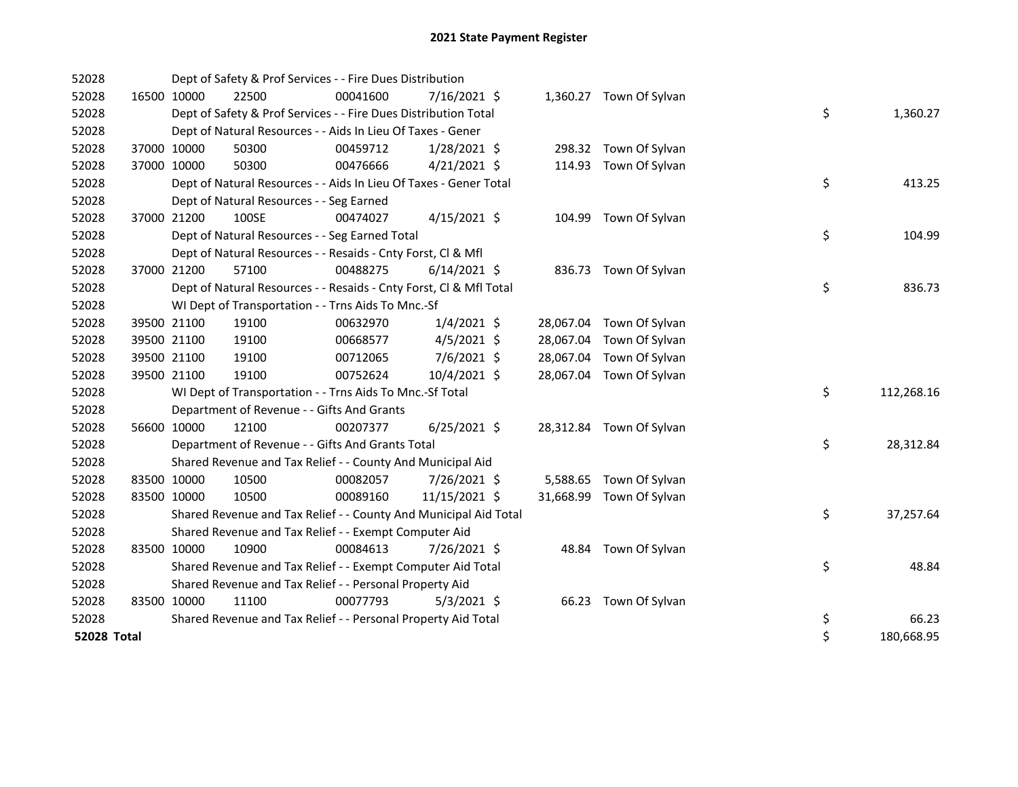| 52028       |             | Dept of Safety & Prof Services - - Fire Dues Distribution          |          |                |       |                          |    |            |
|-------------|-------------|--------------------------------------------------------------------|----------|----------------|-------|--------------------------|----|------------|
| 52028       | 16500 10000 | 22500                                                              | 00041600 | 7/16/2021 \$   |       | 1,360.27 Town Of Sylvan  |    |            |
| 52028       |             | Dept of Safety & Prof Services - - Fire Dues Distribution Total    |          |                |       |                          | \$ | 1,360.27   |
| 52028       |             | Dept of Natural Resources - - Aids In Lieu Of Taxes - Gener        |          |                |       |                          |    |            |
| 52028       | 37000 10000 | 50300                                                              | 00459712 | $1/28/2021$ \$ |       | 298.32 Town Of Sylvan    |    |            |
| 52028       | 37000 10000 | 50300                                                              | 00476666 | $4/21/2021$ \$ |       | 114.93 Town Of Sylvan    |    |            |
| 52028       |             | Dept of Natural Resources - - Aids In Lieu Of Taxes - Gener Total  |          |                |       |                          | \$ | 413.25     |
| 52028       |             | Dept of Natural Resources - - Seg Earned                           |          |                |       |                          |    |            |
| 52028       | 37000 21200 | 100SE                                                              | 00474027 | $4/15/2021$ \$ |       | 104.99 Town Of Sylvan    |    |            |
| 52028       |             | Dept of Natural Resources - - Seg Earned Total                     |          |                |       |                          | \$ | 104.99     |
| 52028       |             | Dept of Natural Resources - - Resaids - Cnty Forst, Cl & Mfl       |          |                |       |                          |    |            |
| 52028       | 37000 21200 | 57100                                                              | 00488275 | $6/14/2021$ \$ |       | 836.73 Town Of Sylvan    |    |            |
| 52028       |             | Dept of Natural Resources - - Resaids - Cnty Forst, Cl & Mfl Total |          |                |       |                          | \$ | 836.73     |
| 52028       |             | WI Dept of Transportation - - Trns Aids To Mnc.-Sf                 |          |                |       |                          |    |            |
| 52028       | 39500 21100 | 19100                                                              | 00632970 | $1/4/2021$ \$  |       | 28,067.04 Town Of Sylvan |    |            |
| 52028       | 39500 21100 | 19100                                                              | 00668577 | $4/5/2021$ \$  |       | 28,067.04 Town Of Sylvan |    |            |
| 52028       | 39500 21100 | 19100                                                              | 00712065 | 7/6/2021 \$    |       | 28,067.04 Town Of Sylvan |    |            |
| 52028       | 39500 21100 | 19100                                                              | 00752624 | 10/4/2021 \$   |       | 28,067.04 Town Of Sylvan |    |            |
| 52028       |             | WI Dept of Transportation - - Trns Aids To Mnc.-Sf Total           |          |                |       |                          | \$ | 112,268.16 |
| 52028       |             | Department of Revenue - - Gifts And Grants                         |          |                |       |                          |    |            |
| 52028       | 56600 10000 | 12100                                                              | 00207377 | $6/25/2021$ \$ |       | 28,312.84 Town Of Sylvan |    |            |
| 52028       |             | Department of Revenue - - Gifts And Grants Total                   |          |                |       |                          | \$ | 28,312.84  |
| 52028       |             | Shared Revenue and Tax Relief - - County And Municipal Aid         |          |                |       |                          |    |            |
| 52028       | 83500 10000 | 10500                                                              | 00082057 | 7/26/2021 \$   |       | 5,588.65 Town Of Sylvan  |    |            |
| 52028       | 83500 10000 | 10500                                                              | 00089160 | 11/15/2021 \$  |       | 31,668.99 Town Of Sylvan |    |            |
| 52028       |             | Shared Revenue and Tax Relief - - County And Municipal Aid Total   |          |                |       |                          | \$ | 37,257.64  |
| 52028       |             | Shared Revenue and Tax Relief - - Exempt Computer Aid              |          |                |       |                          |    |            |
| 52028       | 83500 10000 | 10900                                                              | 00084613 | 7/26/2021 \$   | 48.84 | Town Of Sylvan           |    |            |
| 52028       |             | Shared Revenue and Tax Relief - - Exempt Computer Aid Total        |          |                |       |                          | \$ | 48.84      |
| 52028       |             | Shared Revenue and Tax Relief - - Personal Property Aid            |          |                |       |                          |    |            |
| 52028       | 83500 10000 | 11100                                                              | 00077793 | $5/3/2021$ \$  |       | 66.23 Town Of Sylvan     |    |            |
| 52028       |             | Shared Revenue and Tax Relief - - Personal Property Aid Total      |          |                |       |                          | \$ | 66.23      |
| 52028 Total |             |                                                                    |          |                |       |                          | \$ | 180,668.95 |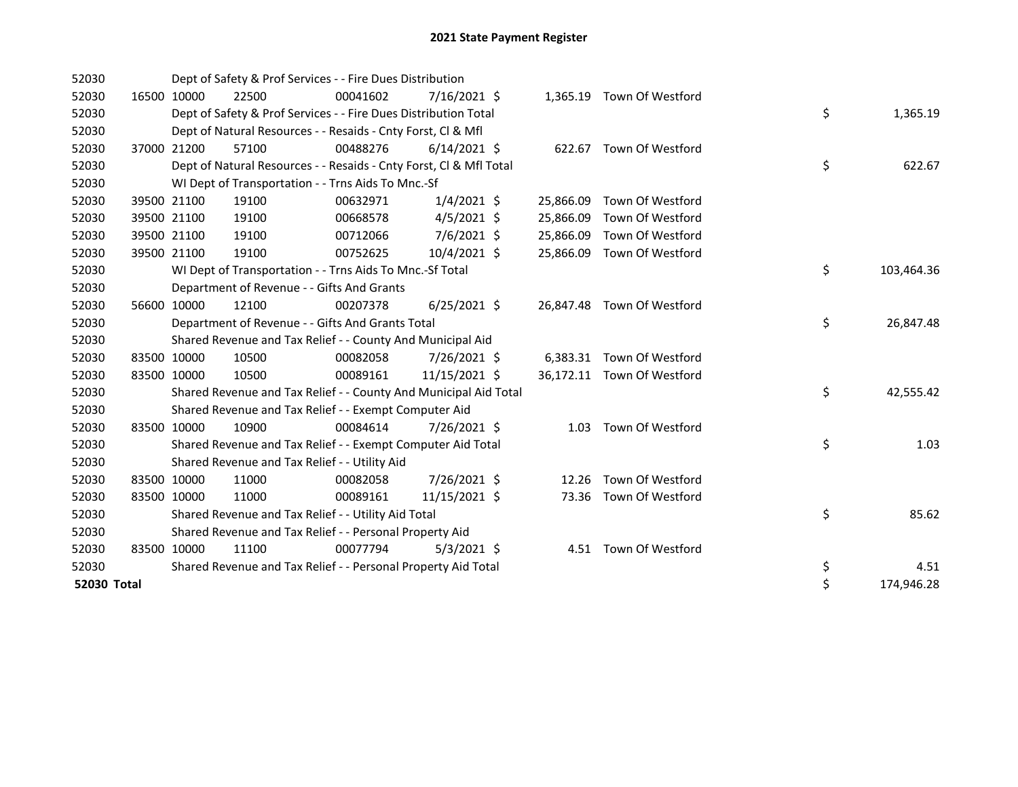| 52030       |             | Dept of Safety & Prof Services - - Fire Dues Distribution          |          |                |           |                            |    |            |
|-------------|-------------|--------------------------------------------------------------------|----------|----------------|-----------|----------------------------|----|------------|
| 52030       | 16500 10000 | 22500                                                              | 00041602 | $7/16/2021$ \$ |           | 1,365.19 Town Of Westford  |    |            |
| 52030       |             | Dept of Safety & Prof Services - - Fire Dues Distribution Total    |          |                |           |                            | \$ | 1,365.19   |
| 52030       |             | Dept of Natural Resources - - Resaids - Cnty Forst, Cl & Mfl       |          |                |           |                            |    |            |
| 52030       | 37000 21200 | 57100                                                              | 00488276 | $6/14/2021$ \$ |           | 622.67 Town Of Westford    |    |            |
| 52030       |             | Dept of Natural Resources - - Resaids - Cnty Forst, Cl & Mfl Total |          |                |           |                            | \$ | 622.67     |
| 52030       |             | WI Dept of Transportation - - Trns Aids To Mnc.-Sf                 |          |                |           |                            |    |            |
| 52030       | 39500 21100 | 19100                                                              | 00632971 | $1/4/2021$ \$  | 25,866.09 | Town Of Westford           |    |            |
| 52030       | 39500 21100 | 19100                                                              | 00668578 | $4/5/2021$ \$  | 25,866.09 | Town Of Westford           |    |            |
| 52030       | 39500 21100 | 19100                                                              | 00712066 | 7/6/2021 \$    | 25,866.09 | Town Of Westford           |    |            |
| 52030       | 39500 21100 | 19100                                                              | 00752625 | $10/4/2021$ \$ | 25,866.09 | Town Of Westford           |    |            |
| 52030       |             | WI Dept of Transportation - - Trns Aids To Mnc.-Sf Total           |          |                |           |                            | \$ | 103,464.36 |
| 52030       |             | Department of Revenue - - Gifts And Grants                         |          |                |           |                            |    |            |
| 52030       | 56600 10000 | 12100                                                              | 00207378 | $6/25/2021$ \$ |           | 26,847.48 Town Of Westford |    |            |
| 52030       |             | Department of Revenue - - Gifts And Grants Total                   |          |                |           |                            | \$ | 26,847.48  |
| 52030       |             | Shared Revenue and Tax Relief - - County And Municipal Aid         |          |                |           |                            |    |            |
| 52030       | 83500 10000 | 10500                                                              | 00082058 | 7/26/2021 \$   |           | 6,383.31 Town Of Westford  |    |            |
| 52030       | 83500 10000 | 10500                                                              | 00089161 | 11/15/2021 \$  |           | 36,172.11 Town Of Westford |    |            |
| 52030       |             | Shared Revenue and Tax Relief - - County And Municipal Aid Total   |          |                |           |                            | \$ | 42,555.42  |
| 52030       |             | Shared Revenue and Tax Relief - - Exempt Computer Aid              |          |                |           |                            |    |            |
| 52030       | 83500 10000 | 10900                                                              | 00084614 | 7/26/2021 \$   |           | 1.03 Town Of Westford      |    |            |
| 52030       |             | Shared Revenue and Tax Relief - - Exempt Computer Aid Total        |          |                |           |                            | \$ | 1.03       |
| 52030       |             | Shared Revenue and Tax Relief - - Utility Aid                      |          |                |           |                            |    |            |
| 52030       | 83500 10000 | 11000                                                              | 00082058 | 7/26/2021 \$   | 12.26     | Town Of Westford           |    |            |
| 52030       | 83500 10000 | 11000                                                              | 00089161 | 11/15/2021 \$  |           | 73.36 Town Of Westford     |    |            |
| 52030       |             | Shared Revenue and Tax Relief - - Utility Aid Total                |          |                |           |                            | \$ | 85.62      |
| 52030       |             | Shared Revenue and Tax Relief - - Personal Property Aid            |          |                |           |                            |    |            |
| 52030       | 83500 10000 | 11100                                                              | 00077794 | $5/3/2021$ \$  |           | 4.51 Town Of Westford      |    |            |
| 52030       |             | Shared Revenue and Tax Relief - - Personal Property Aid Total      |          |                |           |                            | \$ | 4.51       |
| 52030 Total |             |                                                                    |          |                |           |                            | \$ | 174,946.28 |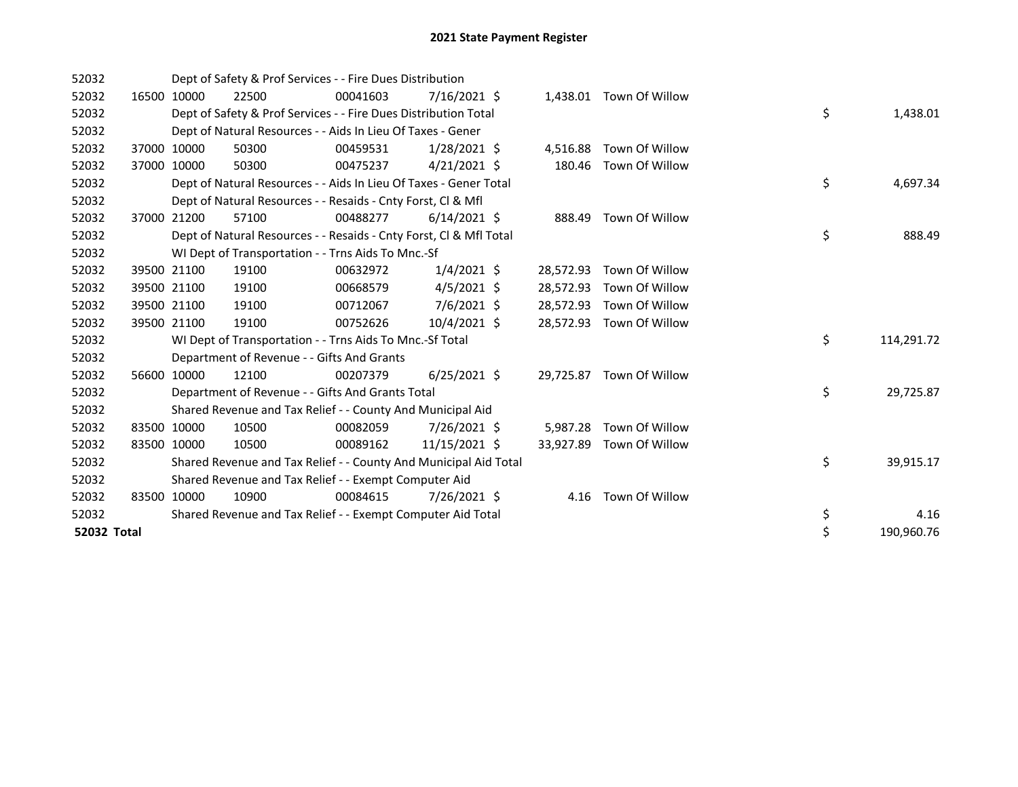| 52032       |             | Dept of Safety & Prof Services - - Fire Dues Distribution          |          |                |           |                          |    |            |
|-------------|-------------|--------------------------------------------------------------------|----------|----------------|-----------|--------------------------|----|------------|
| 52032       | 16500 10000 | 22500                                                              | 00041603 | $7/16/2021$ \$ |           | 1,438.01 Town Of Willow  |    |            |
| 52032       |             | Dept of Safety & Prof Services - - Fire Dues Distribution Total    |          |                |           |                          | \$ | 1,438.01   |
| 52032       |             | Dept of Natural Resources - - Aids In Lieu Of Taxes - Gener        |          |                |           |                          |    |            |
| 52032       | 37000 10000 | 50300                                                              | 00459531 | $1/28/2021$ \$ | 4,516.88  | Town Of Willow           |    |            |
| 52032       | 37000 10000 | 50300                                                              | 00475237 | $4/21/2021$ \$ | 180.46    | Town Of Willow           |    |            |
| 52032       |             | Dept of Natural Resources - - Aids In Lieu Of Taxes - Gener Total  |          |                |           |                          | \$ | 4,697.34   |
| 52032       |             | Dept of Natural Resources - - Resaids - Cnty Forst, CI & Mfl       |          |                |           |                          |    |            |
| 52032       | 37000 21200 | 57100                                                              | 00488277 | $6/14/2021$ \$ |           | 888.49 Town Of Willow    |    |            |
| 52032       |             | Dept of Natural Resources - - Resaids - Cnty Forst, Cl & Mfl Total |          |                |           |                          | \$ | 888.49     |
| 52032       |             | WI Dept of Transportation - - Trns Aids To Mnc.-Sf                 |          |                |           |                          |    |            |
| 52032       | 39500 21100 | 19100                                                              | 00632972 | $1/4/2021$ \$  | 28,572.93 | Town Of Willow           |    |            |
| 52032       | 39500 21100 | 19100                                                              | 00668579 | $4/5/2021$ \$  | 28,572.93 | Town Of Willow           |    |            |
| 52032       | 39500 21100 | 19100                                                              | 00712067 | 7/6/2021 \$    | 28,572.93 | Town Of Willow           |    |            |
| 52032       | 39500 21100 | 19100                                                              | 00752626 | 10/4/2021 \$   | 28,572.93 | Town Of Willow           |    |            |
| 52032       |             | WI Dept of Transportation - - Trns Aids To Mnc.-Sf Total           |          |                |           |                          | \$ | 114,291.72 |
| 52032       |             | Department of Revenue - - Gifts And Grants                         |          |                |           |                          |    |            |
| 52032       | 56600 10000 | 12100                                                              | 00207379 | $6/25/2021$ \$ |           | 29,725.87 Town Of Willow |    |            |
| 52032       |             | Department of Revenue - - Gifts And Grants Total                   |          |                |           |                          | \$ | 29,725.87  |
| 52032       |             | Shared Revenue and Tax Relief - - County And Municipal Aid         |          |                |           |                          |    |            |
| 52032       | 83500 10000 | 10500                                                              | 00082059 | 7/26/2021 \$   | 5,987.28  | Town Of Willow           |    |            |
| 52032       | 83500 10000 | 10500                                                              | 00089162 | 11/15/2021 \$  | 33,927.89 | Town Of Willow           |    |            |
| 52032       |             | Shared Revenue and Tax Relief - - County And Municipal Aid Total   |          |                |           |                          | \$ | 39,915.17  |
| 52032       |             | Shared Revenue and Tax Relief - - Exempt Computer Aid              |          |                |           |                          |    |            |
| 52032       | 83500 10000 | 10900                                                              | 00084615 | 7/26/2021 \$   | 4.16      | Town Of Willow           |    |            |
| 52032       |             | Shared Revenue and Tax Relief - - Exempt Computer Aid Total        |          |                |           |                          | \$ | 4.16       |
| 52032 Total |             |                                                                    |          |                |           |                          | \$ | 190,960.76 |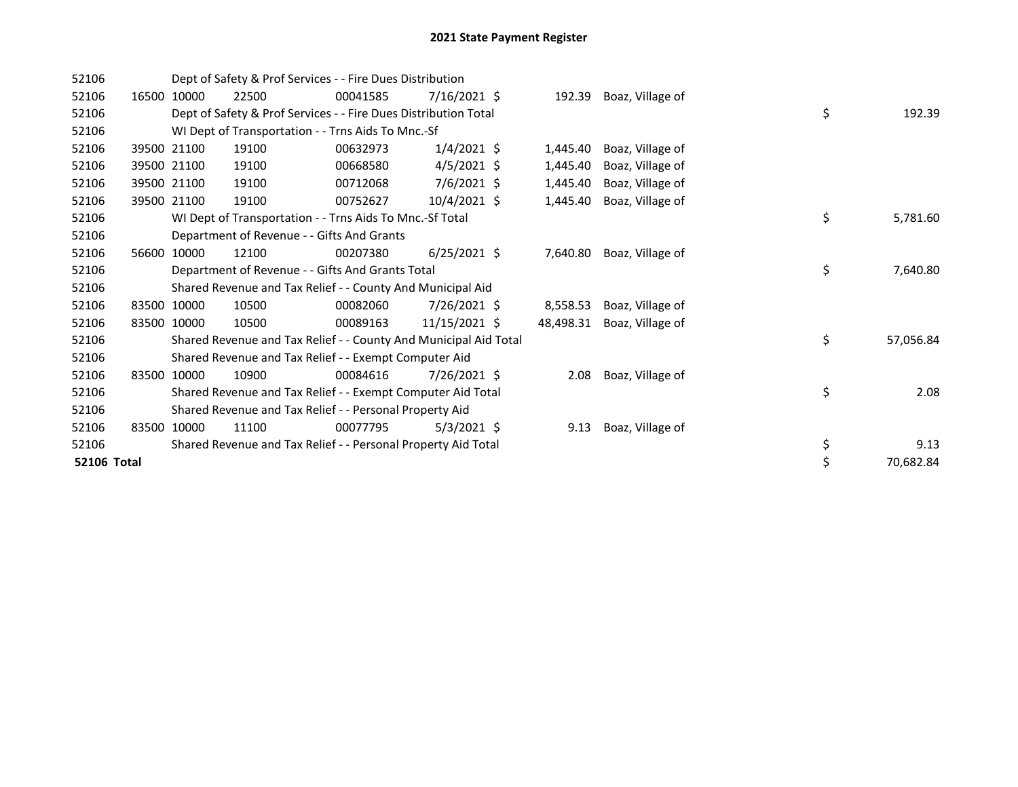| 52106       |       |             | Dept of Safety & Prof Services - - Fire Dues Distribution        |          |                |           |                  |    |           |
|-------------|-------|-------------|------------------------------------------------------------------|----------|----------------|-----------|------------------|----|-----------|
| 52106       | 16500 | 10000       | 22500                                                            | 00041585 | 7/16/2021 \$   | 192.39    | Boaz, Village of |    |           |
| 52106       |       |             | Dept of Safety & Prof Services - - Fire Dues Distribution Total  |          |                |           |                  | \$ | 192.39    |
| 52106       |       |             | WI Dept of Transportation - - Trns Aids To Mnc.-Sf               |          |                |           |                  |    |           |
| 52106       | 39500 | 21100       | 19100                                                            | 00632973 | $1/4/2021$ \$  | 1,445.40  | Boaz, Village of |    |           |
| 52106       | 39500 | 21100       | 19100                                                            | 00668580 | $4/5/2021$ \$  | 1,445.40  | Boaz, Village of |    |           |
| 52106       |       | 39500 21100 | 19100                                                            | 00712068 | $7/6/2021$ \$  | 1,445.40  | Boaz, Village of |    |           |
| 52106       | 39500 | 21100       | 19100                                                            | 00752627 | $10/4/2021$ \$ | 1,445.40  | Boaz, Village of |    |           |
| 52106       |       |             | WI Dept of Transportation - - Trns Aids To Mnc.-Sf Total         |          |                |           |                  | \$ | 5,781.60  |
| 52106       |       |             | Department of Revenue - - Gifts And Grants                       |          |                |           |                  |    |           |
| 52106       | 56600 | 10000       | 12100                                                            | 00207380 | $6/25/2021$ \$ | 7,640.80  | Boaz, Village of |    |           |
| 52106       |       |             | Department of Revenue - - Gifts And Grants Total                 |          |                |           |                  | \$ | 7,640.80  |
| 52106       |       |             | Shared Revenue and Tax Relief - - County And Municipal Aid       |          |                |           |                  |    |           |
| 52106       | 83500 | 10000       | 10500                                                            | 00082060 | $7/26/2021$ \$ | 8,558.53  | Boaz, Village of |    |           |
| 52106       |       | 83500 10000 | 10500                                                            | 00089163 | 11/15/2021 \$  | 48,498.31 | Boaz, Village of |    |           |
| 52106       |       |             | Shared Revenue and Tax Relief - - County And Municipal Aid Total |          |                |           |                  | \$ | 57,056.84 |
| 52106       |       |             | Shared Revenue and Tax Relief - - Exempt Computer Aid            |          |                |           |                  |    |           |
| 52106       | 83500 | 10000       | 10900                                                            | 00084616 | $7/26/2021$ \$ | 2.08      | Boaz, Village of |    |           |
| 52106       |       |             | Shared Revenue and Tax Relief - - Exempt Computer Aid Total      |          |                |           |                  | \$ | 2.08      |
| 52106       |       |             | Shared Revenue and Tax Relief - - Personal Property Aid          |          |                |           |                  |    |           |
| 52106       | 83500 | 10000       | 11100                                                            | 00077795 | $5/3/2021$ \$  | 9.13      | Boaz, Village of |    |           |
| 52106       |       |             | Shared Revenue and Tax Relief - - Personal Property Aid Total    |          |                |           |                  | \$ | 9.13      |
| 52106 Total |       |             |                                                                  |          |                |           |                  | \$ | 70,682.84 |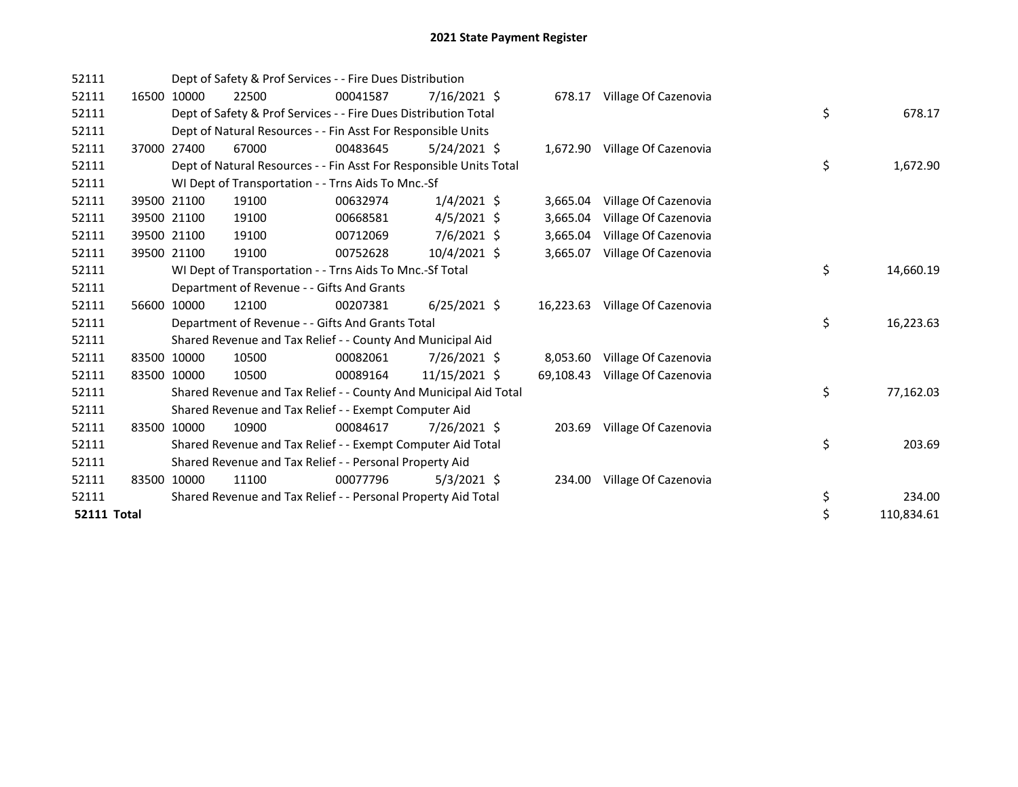| 52111              |       |             | Dept of Safety & Prof Services - - Fire Dues Distribution          |          |                |           |                               |    |            |
|--------------------|-------|-------------|--------------------------------------------------------------------|----------|----------------|-----------|-------------------------------|----|------------|
| 52111              |       | 16500 10000 | 22500                                                              | 00041587 | $7/16/2021$ \$ | 678.17    | Village Of Cazenovia          |    |            |
| 52111              |       |             | Dept of Safety & Prof Services - - Fire Dues Distribution Total    |          |                |           |                               | \$ | 678.17     |
| 52111              |       |             | Dept of Natural Resources - - Fin Asst For Responsible Units       |          |                |           |                               |    |            |
| 52111              |       | 37000 27400 | 67000                                                              | 00483645 | $5/24/2021$ \$ |           | 1,672.90 Village Of Cazenovia |    |            |
| 52111              |       |             | Dept of Natural Resources - - Fin Asst For Responsible Units Total |          |                |           |                               | \$ | 1,672.90   |
| 52111              |       |             | WI Dept of Transportation - - Trns Aids To Mnc.-Sf                 |          |                |           |                               |    |            |
| 52111              |       | 39500 21100 | 19100                                                              | 00632974 | $1/4/2021$ \$  | 3,665.04  | Village Of Cazenovia          |    |            |
| 52111              |       | 39500 21100 | 19100                                                              | 00668581 | $4/5/2021$ \$  | 3,665.04  | Village Of Cazenovia          |    |            |
| 52111              |       | 39500 21100 | 19100                                                              | 00712069 | 7/6/2021 \$    | 3,665.04  | Village Of Cazenovia          |    |            |
| 52111              |       | 39500 21100 | 19100                                                              | 00752628 | 10/4/2021 \$   | 3,665.07  | Village Of Cazenovia          |    |            |
| 52111              |       |             | WI Dept of Transportation - - Trns Aids To Mnc.-Sf Total           |          |                |           |                               | \$ | 14,660.19  |
| 52111              |       |             | Department of Revenue - - Gifts And Grants                         |          |                |           |                               |    |            |
| 52111              |       | 56600 10000 | 12100                                                              | 00207381 | $6/25/2021$ \$ | 16,223.63 | Village Of Cazenovia          |    |            |
| 52111              |       |             | Department of Revenue - - Gifts And Grants Total                   |          |                |           |                               | \$ | 16,223.63  |
| 52111              |       |             | Shared Revenue and Tax Relief - - County And Municipal Aid         |          |                |           |                               |    |            |
| 52111              | 83500 | 10000       | 10500                                                              | 00082061 | 7/26/2021 \$   | 8,053.60  | Village Of Cazenovia          |    |            |
| 52111              |       | 83500 10000 | 10500                                                              | 00089164 | 11/15/2021 \$  | 69,108.43 | Village Of Cazenovia          |    |            |
| 52111              |       |             | Shared Revenue and Tax Relief - - County And Municipal Aid Total   |          |                |           |                               | \$ | 77,162.03  |
| 52111              |       |             | Shared Revenue and Tax Relief - - Exempt Computer Aid              |          |                |           |                               |    |            |
| 52111              |       | 83500 10000 | 10900                                                              | 00084617 | 7/26/2021 \$   | 203.69    | Village Of Cazenovia          |    |            |
| 52111              |       |             | Shared Revenue and Tax Relief - - Exempt Computer Aid Total        |          |                |           |                               | \$ | 203.69     |
| 52111              |       |             | Shared Revenue and Tax Relief - - Personal Property Aid            |          |                |           |                               |    |            |
| 52111              |       | 83500 10000 | 11100                                                              | 00077796 | $5/3/2021$ \$  | 234.00    | Village Of Cazenovia          |    |            |
| 52111              |       |             | Shared Revenue and Tax Relief - - Personal Property Aid Total      |          |                |           |                               | \$ | 234.00     |
| <b>52111 Total</b> |       |             |                                                                    |          |                |           |                               | \$ | 110,834.61 |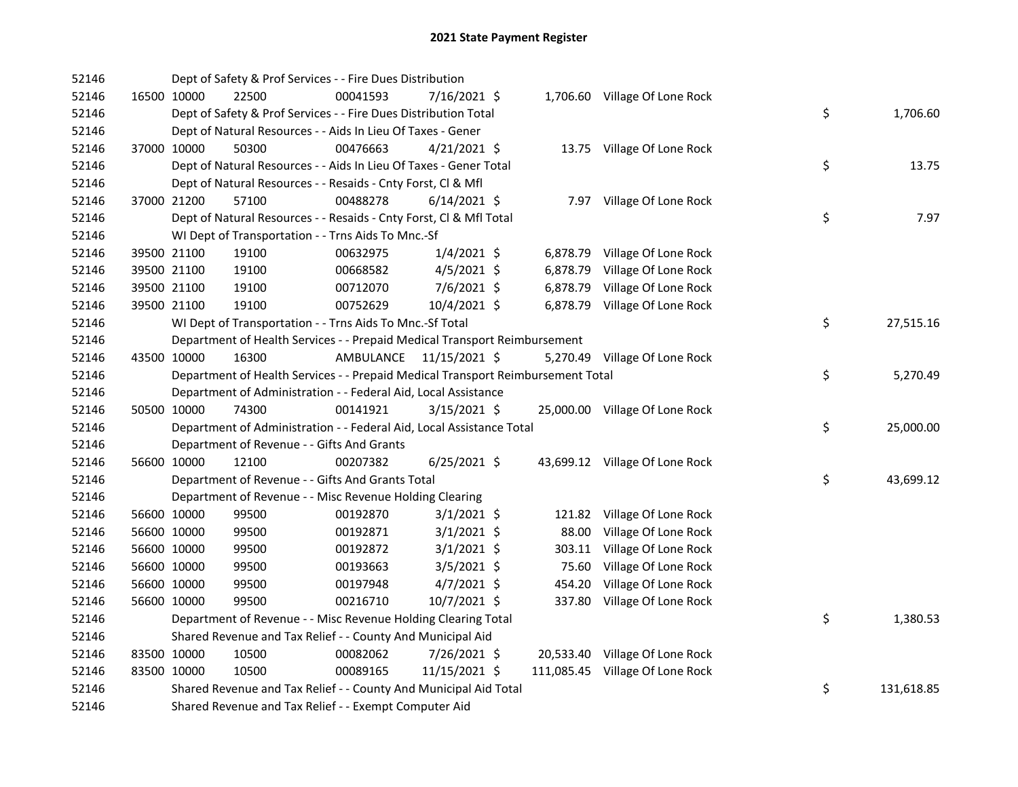| 52146 |             | Dept of Safety & Prof Services - - Fire Dues Distribution                       |           |                |          |                                 |    |            |
|-------|-------------|---------------------------------------------------------------------------------|-----------|----------------|----------|---------------------------------|----|------------|
| 52146 | 16500 10000 | 22500                                                                           | 00041593  | 7/16/2021 \$   |          | 1,706.60 Village Of Lone Rock   |    |            |
| 52146 |             | Dept of Safety & Prof Services - - Fire Dues Distribution Total                 |           |                |          |                                 | \$ | 1,706.60   |
| 52146 |             | Dept of Natural Resources - - Aids In Lieu Of Taxes - Gener                     |           |                |          |                                 |    |            |
| 52146 | 37000 10000 | 50300                                                                           | 00476663  | $4/21/2021$ \$ |          | 13.75 Village Of Lone Rock      |    |            |
| 52146 |             | Dept of Natural Resources - - Aids In Lieu Of Taxes - Gener Total               |           |                |          |                                 | \$ | 13.75      |
| 52146 |             | Dept of Natural Resources - - Resaids - Cnty Forst, Cl & Mfl                    |           |                |          |                                 |    |            |
| 52146 | 37000 21200 | 57100                                                                           | 00488278  | $6/14/2021$ \$ |          | 7.97 Village Of Lone Rock       |    |            |
| 52146 |             | Dept of Natural Resources - - Resaids - Cnty Forst, CI & Mfl Total              |           |                |          |                                 | \$ | 7.97       |
| 52146 |             | WI Dept of Transportation - - Trns Aids To Mnc.-Sf                              |           |                |          |                                 |    |            |
| 52146 | 39500 21100 | 19100                                                                           | 00632975  | $1/4/2021$ \$  |          | 6,878.79 Village Of Lone Rock   |    |            |
| 52146 | 39500 21100 | 19100                                                                           | 00668582  | $4/5/2021$ \$  | 6,878.79 | Village Of Lone Rock            |    |            |
| 52146 | 39500 21100 | 19100                                                                           | 00712070  | $7/6/2021$ \$  |          | 6,878.79 Village Of Lone Rock   |    |            |
| 52146 | 39500 21100 | 19100                                                                           | 00752629  | 10/4/2021 \$   |          | 6,878.79 Village Of Lone Rock   |    |            |
| 52146 |             | WI Dept of Transportation - - Trns Aids To Mnc.-Sf Total                        |           |                |          |                                 | \$ | 27,515.16  |
| 52146 |             | Department of Health Services - - Prepaid Medical Transport Reimbursement       |           |                |          |                                 |    |            |
| 52146 | 43500 10000 | 16300                                                                           | AMBULANCE | 11/15/2021 \$  |          | 5,270.49 Village Of Lone Rock   |    |            |
| 52146 |             | Department of Health Services - - Prepaid Medical Transport Reimbursement Total |           |                |          |                                 | \$ | 5,270.49   |
| 52146 |             | Department of Administration - - Federal Aid, Local Assistance                  |           |                |          |                                 |    |            |
| 52146 | 50500 10000 | 74300                                                                           | 00141921  | $3/15/2021$ \$ |          | 25,000.00 Village Of Lone Rock  |    |            |
| 52146 |             | Department of Administration - - Federal Aid, Local Assistance Total            |           |                |          |                                 | \$ | 25,000.00  |
| 52146 |             | Department of Revenue - - Gifts And Grants                                      |           |                |          |                                 |    |            |
| 52146 | 56600 10000 | 12100                                                                           | 00207382  | $6/25/2021$ \$ |          | 43,699.12 Village Of Lone Rock  |    |            |
| 52146 |             | Department of Revenue - - Gifts And Grants Total                                |           |                |          |                                 | \$ | 43,699.12  |
| 52146 |             | Department of Revenue - - Misc Revenue Holding Clearing                         |           |                |          |                                 |    |            |
| 52146 | 56600 10000 | 99500                                                                           | 00192870  | $3/1/2021$ \$  |          | 121.82 Village Of Lone Rock     |    |            |
| 52146 | 56600 10000 | 99500                                                                           | 00192871  | $3/1/2021$ \$  | 88.00    | Village Of Lone Rock            |    |            |
| 52146 | 56600 10000 | 99500                                                                           | 00192872  | $3/1/2021$ \$  | 303.11   | Village Of Lone Rock            |    |            |
| 52146 | 56600 10000 | 99500                                                                           | 00193663  | $3/5/2021$ \$  | 75.60    | Village Of Lone Rock            |    |            |
| 52146 | 56600 10000 | 99500                                                                           | 00197948  | $4/7/2021$ \$  | 454.20   | Village Of Lone Rock            |    |            |
| 52146 | 56600 10000 | 99500                                                                           | 00216710  | 10/7/2021 \$   |          | 337.80 Village Of Lone Rock     |    |            |
| 52146 |             | Department of Revenue - - Misc Revenue Holding Clearing Total                   |           |                |          |                                 | \$ | 1,380.53   |
| 52146 |             | Shared Revenue and Tax Relief - - County And Municipal Aid                      |           |                |          |                                 |    |            |
| 52146 | 83500 10000 | 10500                                                                           | 00082062  | 7/26/2021 \$   |          | 20,533.40 Village Of Lone Rock  |    |            |
| 52146 | 83500 10000 | 10500                                                                           | 00089165  | 11/15/2021 \$  |          | 111,085.45 Village Of Lone Rock |    |            |
| 52146 |             | Shared Revenue and Tax Relief - - County And Municipal Aid Total                |           |                |          |                                 | \$ | 131,618.85 |
| 52146 |             | Shared Revenue and Tax Relief - - Exempt Computer Aid                           |           |                |          |                                 |    |            |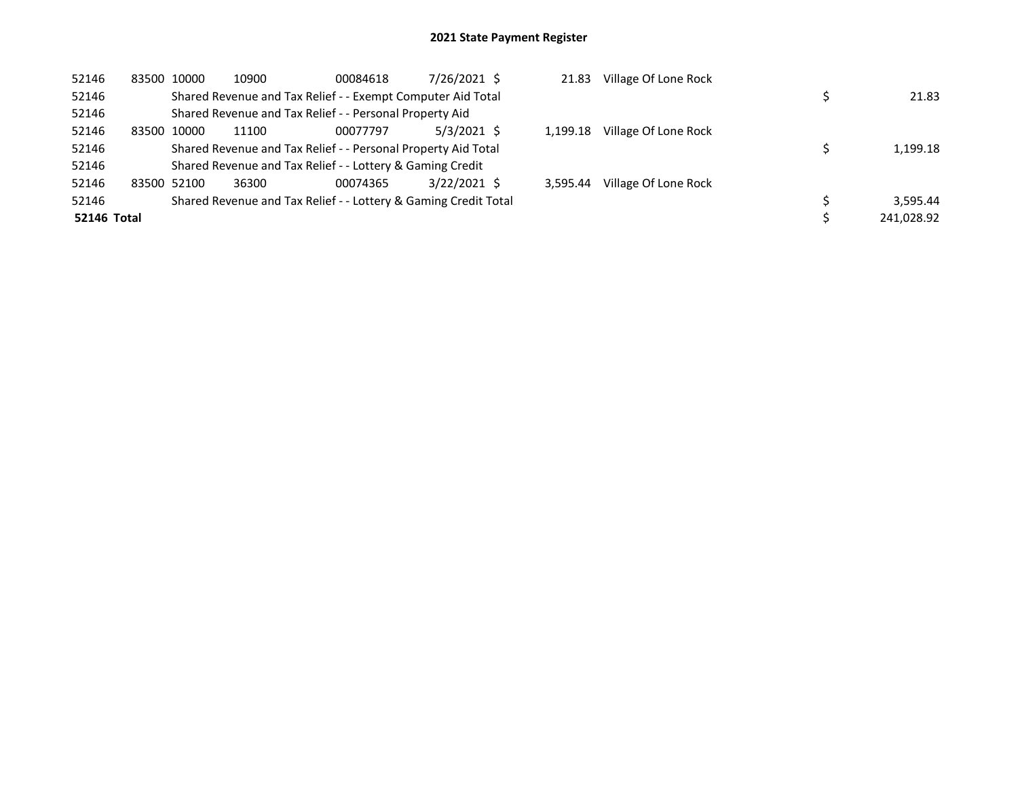| 52146              | 83500 | 10000       | 10900 | 00084618                                                        | 7/26/2021 \$   | 21.83    | Village Of Lone Rock |            |
|--------------------|-------|-------------|-------|-----------------------------------------------------------------|----------------|----------|----------------------|------------|
| 52146              |       |             |       | Shared Revenue and Tax Relief - - Exempt Computer Aid Total     |                |          |                      | 21.83      |
| 52146              |       |             |       | Shared Revenue and Tax Relief - - Personal Property Aid         |                |          |                      |            |
| 52146              | 83500 | 10000       | 11100 | 00077797                                                        | $5/3/2021$ \$  | 1.199.18 | Village Of Lone Rock |            |
| 52146              |       |             |       | Shared Revenue and Tax Relief - - Personal Property Aid Total   |                |          |                      | 1,199.18   |
| 52146              |       |             |       | Shared Revenue and Tax Relief - - Lottery & Gaming Credit       |                |          |                      |            |
| 52146              |       | 83500 52100 | 36300 | 00074365                                                        | $3/22/2021$ \$ | 3.595.44 | Village Of Lone Rock |            |
| 52146              |       |             |       | Shared Revenue and Tax Relief - - Lottery & Gaming Credit Total |                |          |                      | 3.595.44   |
| <b>52146 Total</b> |       |             |       |                                                                 |                |          |                      | 241,028.92 |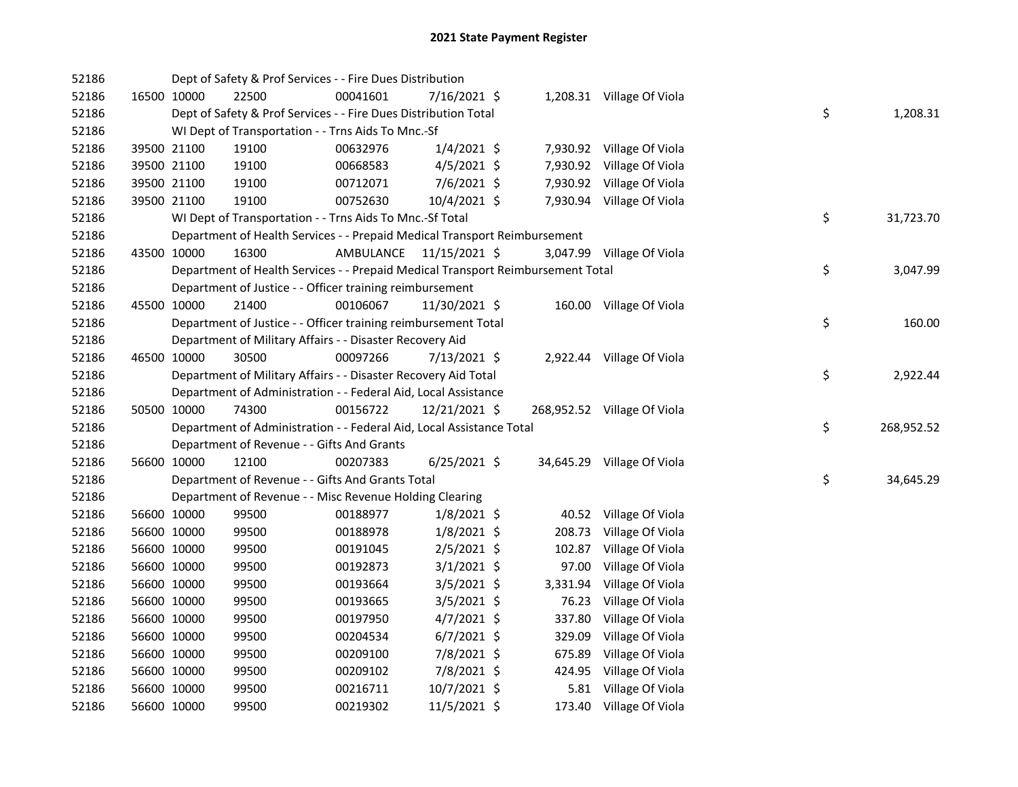| 52186 |             |             | Dept of Safety & Prof Services - - Fire Dues Distribution                       |           |                |          |                             |    |            |
|-------|-------------|-------------|---------------------------------------------------------------------------------|-----------|----------------|----------|-----------------------------|----|------------|
| 52186 | 16500 10000 |             | 22500                                                                           | 00041601  | 7/16/2021 \$   |          | 1,208.31 Village Of Viola   |    |            |
| 52186 |             |             | Dept of Safety & Prof Services - - Fire Dues Distribution Total                 |           |                |          |                             | \$ | 1,208.31   |
| 52186 |             |             | WI Dept of Transportation - - Trns Aids To Mnc.-Sf                              |           |                |          |                             |    |            |
| 52186 | 39500 21100 |             | 19100                                                                           | 00632976  | $1/4/2021$ \$  |          | 7,930.92 Village Of Viola   |    |            |
| 52186 | 39500 21100 |             | 19100                                                                           | 00668583  | $4/5/2021$ \$  |          | 7,930.92 Village Of Viola   |    |            |
| 52186 | 39500 21100 |             | 19100                                                                           | 00712071  | 7/6/2021 \$    |          | 7,930.92 Village Of Viola   |    |            |
| 52186 | 39500 21100 |             | 19100                                                                           | 00752630  | 10/4/2021 \$   |          | 7,930.94 Village Of Viola   |    |            |
| 52186 |             |             | WI Dept of Transportation - - Trns Aids To Mnc.-Sf Total                        |           |                |          |                             | \$ | 31,723.70  |
| 52186 |             |             | Department of Health Services - - Prepaid Medical Transport Reimbursement       |           |                |          |                             |    |            |
| 52186 |             | 43500 10000 | 16300                                                                           | AMBULANCE | 11/15/2021 \$  |          | 3,047.99 Village Of Viola   |    |            |
| 52186 |             |             | Department of Health Services - - Prepaid Medical Transport Reimbursement Total |           |                |          |                             | \$ | 3,047.99   |
| 52186 |             |             | Department of Justice - - Officer training reimbursement                        |           |                |          |                             |    |            |
| 52186 | 45500 10000 |             | 21400                                                                           | 00106067  | 11/30/2021 \$  |          | 160.00 Village Of Viola     |    |            |
| 52186 |             |             | Department of Justice - - Officer training reimbursement Total                  |           |                |          |                             | \$ | 160.00     |
| 52186 |             |             | Department of Military Affairs - - Disaster Recovery Aid                        |           |                |          |                             |    |            |
| 52186 | 46500 10000 |             | 30500                                                                           | 00097266  | $7/13/2021$ \$ |          | 2,922.44 Village Of Viola   |    |            |
| 52186 |             |             | Department of Military Affairs - - Disaster Recovery Aid Total                  |           |                |          |                             | \$ | 2,922.44   |
| 52186 |             |             | Department of Administration - - Federal Aid, Local Assistance                  |           |                |          |                             |    |            |
| 52186 |             | 50500 10000 | 74300                                                                           | 00156722  | 12/21/2021 \$  |          | 268,952.52 Village Of Viola |    |            |
| 52186 |             |             | Department of Administration - - Federal Aid, Local Assistance Total            |           |                |          |                             | \$ | 268,952.52 |
| 52186 |             |             | Department of Revenue - - Gifts And Grants                                      |           |                |          |                             |    |            |
| 52186 |             | 56600 10000 | 12100                                                                           | 00207383  | $6/25/2021$ \$ |          | 34,645.29 Village Of Viola  |    |            |
| 52186 |             |             | Department of Revenue - - Gifts And Grants Total                                |           |                |          |                             | \$ | 34,645.29  |
| 52186 |             |             | Department of Revenue - - Misc Revenue Holding Clearing                         |           |                |          |                             |    |            |
| 52186 | 56600 10000 |             | 99500                                                                           | 00188977  | $1/8/2021$ \$  |          | 40.52 Village Of Viola      |    |            |
| 52186 | 56600 10000 |             | 99500                                                                           | 00188978  | $1/8/2021$ \$  | 208.73   | Village Of Viola            |    |            |
| 52186 | 56600 10000 |             | 99500                                                                           | 00191045  | $2/5/2021$ \$  |          | 102.87 Village Of Viola     |    |            |
| 52186 |             | 56600 10000 | 99500                                                                           | 00192873  | $3/1/2021$ \$  | 97.00    | Village Of Viola            |    |            |
| 52186 | 56600 10000 |             | 99500                                                                           | 00193664  | $3/5/2021$ \$  | 3,331.94 | Village Of Viola            |    |            |
| 52186 | 56600 10000 |             | 99500                                                                           | 00193665  | 3/5/2021 \$    | 76.23    | Village Of Viola            |    |            |
| 52186 |             | 56600 10000 | 99500                                                                           | 00197950  | $4/7/2021$ \$  |          | 337.80 Village Of Viola     |    |            |
| 52186 | 56600 10000 |             | 99500                                                                           | 00204534  | $6/7/2021$ \$  |          | 329.09 Village Of Viola     |    |            |
| 52186 | 56600 10000 |             | 99500                                                                           | 00209100  | 7/8/2021 \$    |          | 675.89 Village Of Viola     |    |            |
| 52186 | 56600 10000 |             | 99500                                                                           | 00209102  | 7/8/2021 \$    |          | 424.95 Village Of Viola     |    |            |
|       |             |             |                                                                                 |           |                |          |                             |    |            |
| 52186 | 56600 10000 |             | 99500                                                                           | 00216711  | 10/7/2021 \$   |          | 5.81 Village Of Viola       |    |            |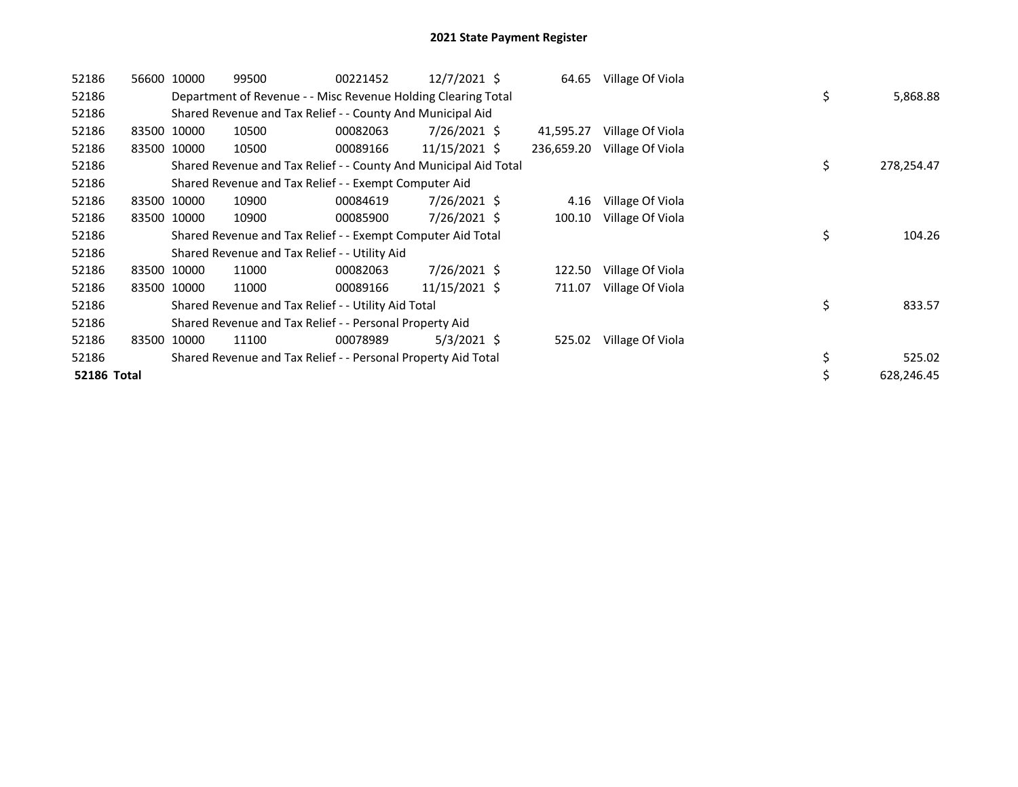| 52186              |       | 56600 10000 | 99500                                                            | 00221452 | $12/7/2021$ \$ | 64.65      | Village Of Viola |    |            |
|--------------------|-------|-------------|------------------------------------------------------------------|----------|----------------|------------|------------------|----|------------|
| 52186              |       |             | Department of Revenue - - Misc Revenue Holding Clearing Total    |          |                |            |                  | \$ | 5,868.88   |
| 52186              |       |             | Shared Revenue and Tax Relief - - County And Municipal Aid       |          |                |            |                  |    |            |
| 52186              |       | 83500 10000 | 10500                                                            | 00082063 | $7/26/2021$ \$ | 41,595.27  | Village Of Viola |    |            |
| 52186              |       | 83500 10000 | 10500                                                            | 00089166 | 11/15/2021 \$  | 236,659.20 | Village Of Viola |    |            |
| 52186              |       |             | Shared Revenue and Tax Relief - - County And Municipal Aid Total |          |                |            |                  | \$ | 278,254.47 |
| 52186              |       |             | Shared Revenue and Tax Relief - - Exempt Computer Aid            |          |                |            |                  |    |            |
| 52186              |       | 83500 10000 | 10900                                                            | 00084619 | 7/26/2021 \$   | 4.16       | Village Of Viola |    |            |
| 52186              |       | 83500 10000 | 10900                                                            | 00085900 | 7/26/2021 \$   | 100.10     | Village Of Viola |    |            |
| 52186              |       |             | Shared Revenue and Tax Relief - - Exempt Computer Aid Total      |          |                |            |                  | \$ | 104.26     |
| 52186              |       |             | Shared Revenue and Tax Relief - - Utility Aid                    |          |                |            |                  |    |            |
| 52186              |       | 83500 10000 | 11000                                                            | 00082063 | $7/26/2021$ \$ | 122.50     | Village Of Viola |    |            |
| 52186              |       | 83500 10000 | 11000                                                            | 00089166 | 11/15/2021 \$  | 711.07     | Village Of Viola |    |            |
| 52186              |       |             | Shared Revenue and Tax Relief - - Utility Aid Total              |          |                |            |                  | \$ | 833.57     |
| 52186              |       |             | Shared Revenue and Tax Relief - - Personal Property Aid          |          |                |            |                  |    |            |
| 52186              | 83500 | 10000       | 11100                                                            | 00078989 | $5/3/2021$ \$  | 525.02     | Village Of Viola |    |            |
| 52186              |       |             | Shared Revenue and Tax Relief - - Personal Property Aid Total    |          |                |            |                  | \$ | 525.02     |
| <b>52186 Total</b> |       |             |                                                                  |          |                |            |                  |    | 628,246.45 |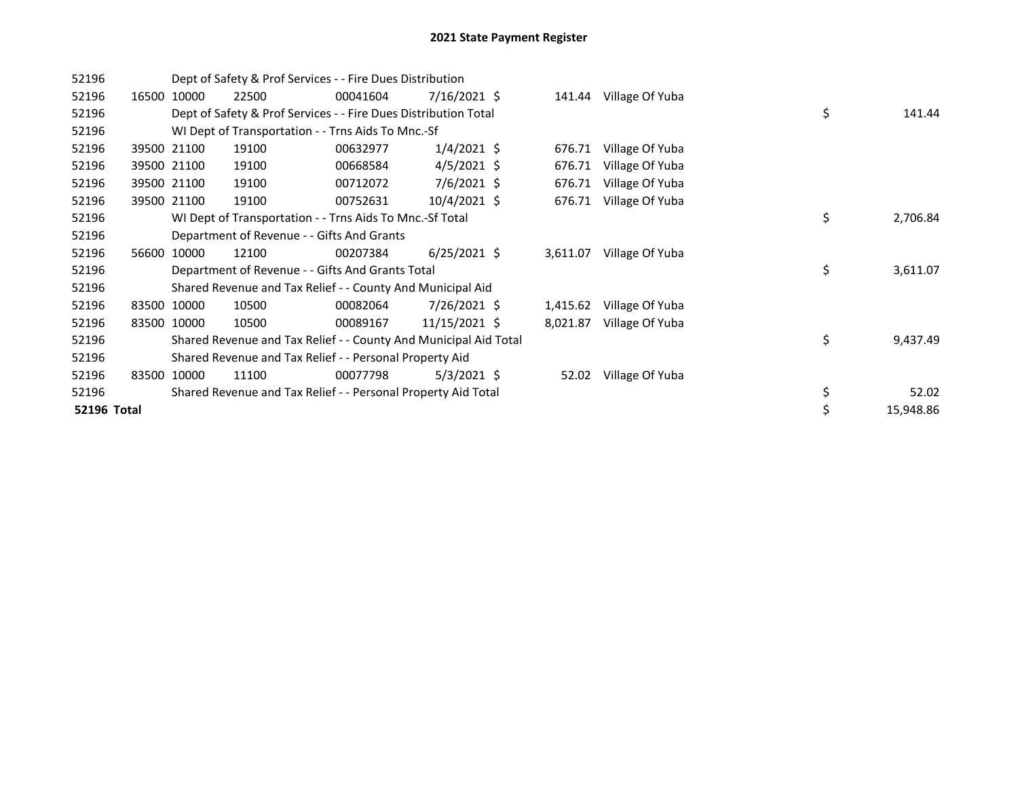| 52196       |       |             | Dept of Safety & Prof Services - - Fire Dues Distribution        |          |                |          |                 |    |           |
|-------------|-------|-------------|------------------------------------------------------------------|----------|----------------|----------|-----------------|----|-----------|
| 52196       |       | 16500 10000 | 22500                                                            | 00041604 | $7/16/2021$ \$ | 141.44   | Village Of Yuba |    |           |
| 52196       |       |             | Dept of Safety & Prof Services - - Fire Dues Distribution Total  |          |                |          |                 | \$ | 141.44    |
| 52196       |       |             | WI Dept of Transportation - - Trns Aids To Mnc.-Sf               |          |                |          |                 |    |           |
| 52196       |       | 39500 21100 | 19100                                                            | 00632977 | $1/4/2021$ \$  | 676.71   | Village Of Yuba |    |           |
| 52196       |       | 39500 21100 | 19100                                                            | 00668584 | $4/5/2021$ \$  | 676.71   | Village Of Yuba |    |           |
| 52196       |       | 39500 21100 | 19100                                                            | 00712072 | $7/6/2021$ \$  | 676.71   | Village Of Yuba |    |           |
| 52196       |       | 39500 21100 | 19100                                                            | 00752631 | 10/4/2021 \$   | 676.71   | Village Of Yuba |    |           |
| 52196       |       |             | WI Dept of Transportation - - Trns Aids To Mnc.-Sf Total         |          |                |          |                 | \$ | 2,706.84  |
| 52196       |       |             | Department of Revenue - - Gifts And Grants                       |          |                |          |                 |    |           |
| 52196       |       | 56600 10000 | 12100                                                            | 00207384 | $6/25/2021$ \$ | 3,611.07 | Village Of Yuba |    |           |
| 52196       |       |             | Department of Revenue - - Gifts And Grants Total                 |          |                |          |                 | \$ | 3,611.07  |
| 52196       |       |             | Shared Revenue and Tax Relief - - County And Municipal Aid       |          |                |          |                 |    |           |
| 52196       | 83500 | 10000       | 10500                                                            | 00082064 | 7/26/2021 \$   | 1,415.62 | Village Of Yuba |    |           |
| 52196       |       | 83500 10000 | 10500                                                            | 00089167 | 11/15/2021 \$  | 8,021.87 | Village Of Yuba |    |           |
| 52196       |       |             | Shared Revenue and Tax Relief - - County And Municipal Aid Total |          |                |          |                 | \$ | 9,437.49  |
| 52196       |       |             | Shared Revenue and Tax Relief - - Personal Property Aid          |          |                |          |                 |    |           |
| 52196       | 83500 | 10000       | 11100                                                            | 00077798 | 5/3/2021 \$    | 52.02    | Village Of Yuba |    |           |
| 52196       |       |             | Shared Revenue and Tax Relief - - Personal Property Aid Total    |          |                |          |                 | \$ | 52.02     |
| 52196 Total |       |             |                                                                  |          |                |          |                 | \$ | 15,948.86 |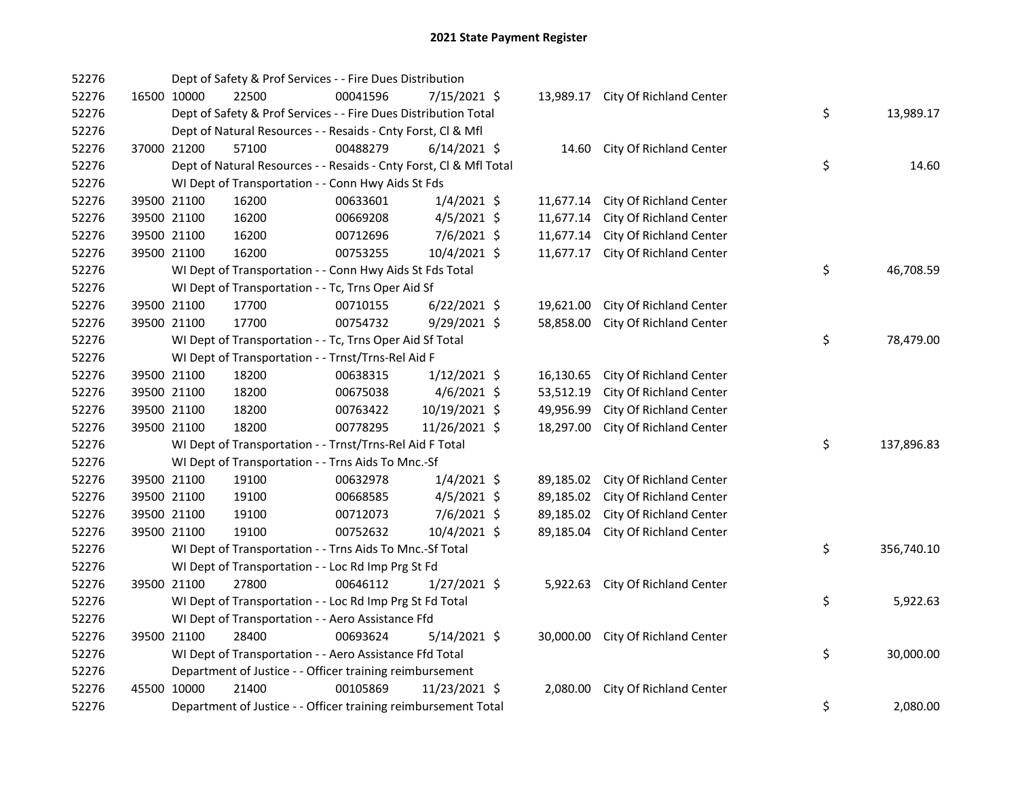| 52276 |             | Dept of Safety & Prof Services - - Fire Dues Distribution          |          |                |           |                                   |    |            |
|-------|-------------|--------------------------------------------------------------------|----------|----------------|-----------|-----------------------------------|----|------------|
| 52276 | 16500 10000 | 22500                                                              | 00041596 | 7/15/2021 \$   |           | 13,989.17 City Of Richland Center |    |            |
| 52276 |             | Dept of Safety & Prof Services - - Fire Dues Distribution Total    |          |                |           |                                   | \$ | 13,989.17  |
| 52276 |             | Dept of Natural Resources - - Resaids - Cnty Forst, Cl & Mfl       |          |                |           |                                   |    |            |
| 52276 | 37000 21200 | 57100                                                              | 00488279 | $6/14/2021$ \$ |           | 14.60 City Of Richland Center     |    |            |
| 52276 |             | Dept of Natural Resources - - Resaids - Cnty Forst, Cl & Mfl Total |          |                |           |                                   | \$ | 14.60      |
| 52276 |             | WI Dept of Transportation - - Conn Hwy Aids St Fds                 |          |                |           |                                   |    |            |
| 52276 | 39500 21100 | 16200                                                              | 00633601 | $1/4/2021$ \$  | 11,677.14 | City Of Richland Center           |    |            |
| 52276 | 39500 21100 | 16200                                                              | 00669208 | $4/5/2021$ \$  | 11,677.14 | City Of Richland Center           |    |            |
| 52276 | 39500 21100 | 16200                                                              | 00712696 | 7/6/2021 \$    | 11,677.14 | City Of Richland Center           |    |            |
| 52276 | 39500 21100 | 16200                                                              | 00753255 | 10/4/2021 \$   | 11,677.17 | City Of Richland Center           |    |            |
| 52276 |             | WI Dept of Transportation - - Conn Hwy Aids St Fds Total           |          |                |           |                                   | \$ | 46,708.59  |
| 52276 |             | WI Dept of Transportation - - Tc, Trns Oper Aid Sf                 |          |                |           |                                   |    |            |
| 52276 | 39500 21100 | 17700                                                              | 00710155 | $6/22/2021$ \$ | 19,621.00 | City Of Richland Center           |    |            |
| 52276 | 39500 21100 | 17700                                                              | 00754732 | 9/29/2021 \$   | 58,858.00 | City Of Richland Center           |    |            |
| 52276 |             | WI Dept of Transportation - - Tc, Trns Oper Aid Sf Total           |          |                |           |                                   | \$ | 78,479.00  |
| 52276 |             | WI Dept of Transportation - - Trnst/Trns-Rel Aid F                 |          |                |           |                                   |    |            |
| 52276 | 39500 21100 | 18200                                                              | 00638315 | $1/12/2021$ \$ | 16,130.65 | City Of Richland Center           |    |            |
| 52276 | 39500 21100 | 18200                                                              | 00675038 | $4/6/2021$ \$  | 53,512.19 | City Of Richland Center           |    |            |
| 52276 | 39500 21100 | 18200                                                              | 00763422 | 10/19/2021 \$  | 49,956.99 | City Of Richland Center           |    |            |
| 52276 | 39500 21100 | 18200                                                              | 00778295 | 11/26/2021 \$  | 18,297.00 | City Of Richland Center           |    |            |
| 52276 |             | WI Dept of Transportation - - Trnst/Trns-Rel Aid F Total           |          |                |           |                                   | \$ | 137,896.83 |
| 52276 |             | WI Dept of Transportation - - Trns Aids To Mnc.-Sf                 |          |                |           |                                   |    |            |
| 52276 | 39500 21100 | 19100                                                              | 00632978 | $1/4/2021$ \$  | 89,185.02 | City Of Richland Center           |    |            |
| 52276 | 39500 21100 | 19100                                                              | 00668585 | $4/5/2021$ \$  | 89,185.02 | City Of Richland Center           |    |            |
| 52276 | 39500 21100 | 19100                                                              | 00712073 | 7/6/2021 \$    | 89,185.02 | City Of Richland Center           |    |            |
| 52276 | 39500 21100 | 19100                                                              | 00752632 | 10/4/2021 \$   | 89,185.04 | City Of Richland Center           |    |            |
| 52276 |             | WI Dept of Transportation - - Trns Aids To Mnc.-Sf Total           |          |                |           |                                   | \$ | 356,740.10 |
| 52276 |             | WI Dept of Transportation - - Loc Rd Imp Prg St Fd                 |          |                |           |                                   |    |            |
| 52276 | 39500 21100 | 27800                                                              | 00646112 | $1/27/2021$ \$ |           | 5,922.63 City Of Richland Center  |    |            |
| 52276 |             | WI Dept of Transportation - - Loc Rd Imp Prg St Fd Total           |          |                |           |                                   | \$ | 5,922.63   |
| 52276 |             | WI Dept of Transportation - - Aero Assistance Ffd                  |          |                |           |                                   |    |            |
| 52276 | 39500 21100 | 28400                                                              | 00693624 | $5/14/2021$ \$ |           | 30,000.00 City Of Richland Center |    |            |
| 52276 |             | WI Dept of Transportation - - Aero Assistance Ffd Total            |          |                |           |                                   | \$ | 30,000.00  |
| 52276 |             | Department of Justice - - Officer training reimbursement           |          |                |           |                                   |    |            |
| 52276 | 45500 10000 | 21400                                                              | 00105869 | 11/23/2021 \$  |           | 2,080.00 City Of Richland Center  |    |            |
| 52276 |             | Department of Justice - - Officer training reimbursement Total     |          |                |           |                                   | \$ | 2,080.00   |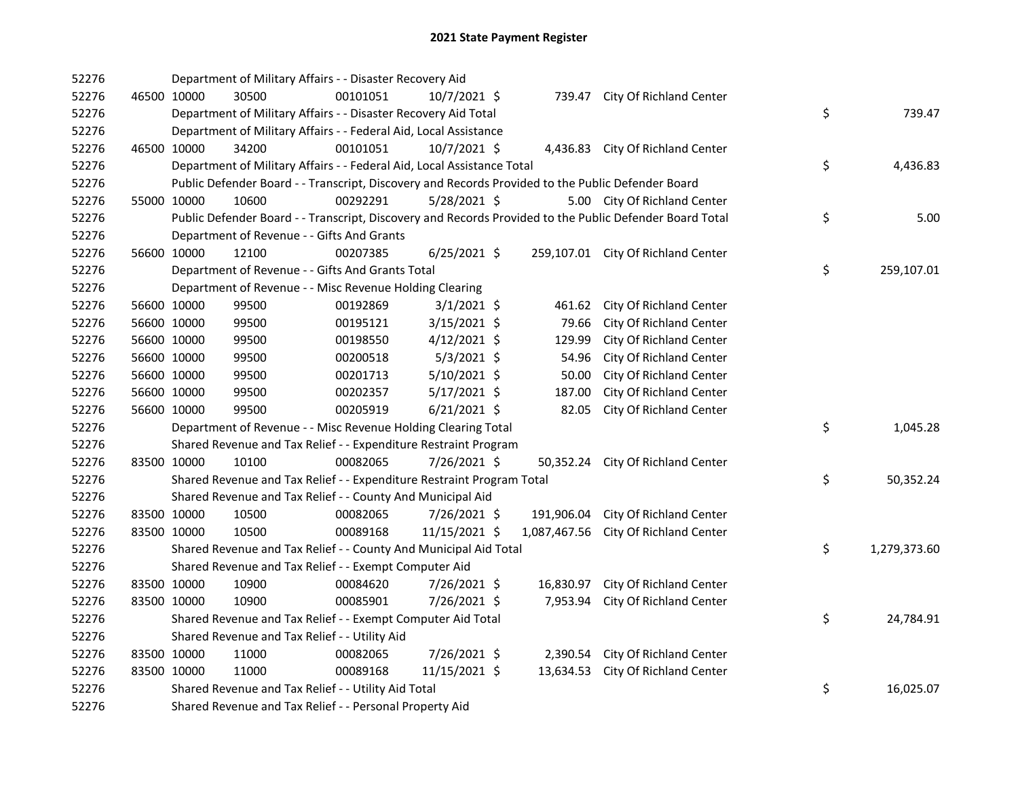| 52276 |             | Department of Military Affairs - - Disaster Recovery Aid                                          |          |                |            |                                                                                                         |    |              |
|-------|-------------|---------------------------------------------------------------------------------------------------|----------|----------------|------------|---------------------------------------------------------------------------------------------------------|----|--------------|
| 52276 | 46500 10000 | 30500                                                                                             | 00101051 | 10/7/2021 \$   |            | 739.47 City Of Richland Center                                                                          |    |              |
| 52276 |             | Department of Military Affairs - - Disaster Recovery Aid Total                                    |          |                |            |                                                                                                         | \$ | 739.47       |
| 52276 |             | Department of Military Affairs - - Federal Aid, Local Assistance                                  |          |                |            |                                                                                                         |    |              |
| 52276 | 46500 10000 | 34200                                                                                             | 00101051 | 10/7/2021 \$   |            | 4,436.83 City Of Richland Center                                                                        |    |              |
| 52276 |             | Department of Military Affairs - - Federal Aid, Local Assistance Total                            |          |                |            |                                                                                                         | \$ | 4,436.83     |
| 52276 |             | Public Defender Board - - Transcript, Discovery and Records Provided to the Public Defender Board |          |                |            |                                                                                                         |    |              |
| 52276 | 55000 10000 | 10600                                                                                             | 00292291 | $5/28/2021$ \$ |            | 5.00 City Of Richland Center                                                                            |    |              |
| 52276 |             |                                                                                                   |          |                |            | Public Defender Board - - Transcript, Discovery and Records Provided to the Public Defender Board Total | \$ | 5.00         |
| 52276 |             | Department of Revenue - - Gifts And Grants                                                        |          |                |            |                                                                                                         |    |              |
| 52276 | 56600 10000 | 12100                                                                                             | 00207385 | $6/25/2021$ \$ |            | 259,107.01 City Of Richland Center                                                                      |    |              |
| 52276 |             | Department of Revenue - - Gifts And Grants Total                                                  |          |                |            |                                                                                                         | \$ | 259,107.01   |
| 52276 |             | Department of Revenue - - Misc Revenue Holding Clearing                                           |          |                |            |                                                                                                         |    |              |
| 52276 | 56600 10000 | 99500                                                                                             | 00192869 | $3/1/2021$ \$  | 461.62     | City Of Richland Center                                                                                 |    |              |
| 52276 | 56600 10000 | 99500                                                                                             | 00195121 | 3/15/2021 \$   | 79.66      | City Of Richland Center                                                                                 |    |              |
| 52276 | 56600 10000 | 99500                                                                                             | 00198550 | 4/12/2021 \$   | 129.99     | City Of Richland Center                                                                                 |    |              |
| 52276 | 56600 10000 | 99500                                                                                             | 00200518 | $5/3/2021$ \$  | 54.96      | City Of Richland Center                                                                                 |    |              |
| 52276 | 56600 10000 | 99500                                                                                             | 00201713 | 5/10/2021 \$   | 50.00      | City Of Richland Center                                                                                 |    |              |
| 52276 | 56600 10000 | 99500                                                                                             | 00202357 | 5/17/2021 \$   | 187.00     | City Of Richland Center                                                                                 |    |              |
| 52276 | 56600 10000 | 99500                                                                                             | 00205919 | $6/21/2021$ \$ | 82.05      | City Of Richland Center                                                                                 |    |              |
| 52276 |             | Department of Revenue - - Misc Revenue Holding Clearing Total                                     |          |                |            |                                                                                                         | \$ | 1,045.28     |
| 52276 |             | Shared Revenue and Tax Relief - - Expenditure Restraint Program                                   |          |                |            |                                                                                                         |    |              |
| 52276 | 83500 10000 | 10100                                                                                             | 00082065 | 7/26/2021 \$   | 50,352.24  | City Of Richland Center                                                                                 |    |              |
| 52276 |             | Shared Revenue and Tax Relief - - Expenditure Restraint Program Total                             |          |                |            |                                                                                                         | \$ | 50,352.24    |
| 52276 |             | Shared Revenue and Tax Relief - - County And Municipal Aid                                        |          |                |            |                                                                                                         |    |              |
| 52276 | 83500 10000 | 10500                                                                                             | 00082065 | $7/26/2021$ \$ | 191,906.04 | City Of Richland Center                                                                                 |    |              |
| 52276 | 83500 10000 | 10500                                                                                             | 00089168 | 11/15/2021 \$  |            | 1,087,467.56 City Of Richland Center                                                                    |    |              |
| 52276 |             | Shared Revenue and Tax Relief - - County And Municipal Aid Total                                  |          |                |            |                                                                                                         | \$ | 1,279,373.60 |
| 52276 |             | Shared Revenue and Tax Relief - - Exempt Computer Aid                                             |          |                |            |                                                                                                         |    |              |
| 52276 | 83500 10000 | 10900                                                                                             | 00084620 | 7/26/2021 \$   | 16,830.97  | City Of Richland Center                                                                                 |    |              |
| 52276 | 83500 10000 | 10900                                                                                             | 00085901 | 7/26/2021 \$   | 7,953.94   | City Of Richland Center                                                                                 |    |              |
| 52276 |             | Shared Revenue and Tax Relief - - Exempt Computer Aid Total                                       |          |                |            |                                                                                                         | \$ | 24,784.91    |
| 52276 |             | Shared Revenue and Tax Relief - - Utility Aid                                                     |          |                |            |                                                                                                         |    |              |
| 52276 | 83500 10000 | 11000                                                                                             | 00082065 | 7/26/2021 \$   |            | 2,390.54 City Of Richland Center                                                                        |    |              |
| 52276 | 83500 10000 | 11000                                                                                             | 00089168 | 11/15/2021 \$  | 13,634.53  | City Of Richland Center                                                                                 |    |              |
| 52276 |             | Shared Revenue and Tax Relief - - Utility Aid Total                                               |          |                |            |                                                                                                         | \$ | 16,025.07    |
| 52276 |             | Shared Revenue and Tax Relief - - Personal Property Aid                                           |          |                |            |                                                                                                         |    |              |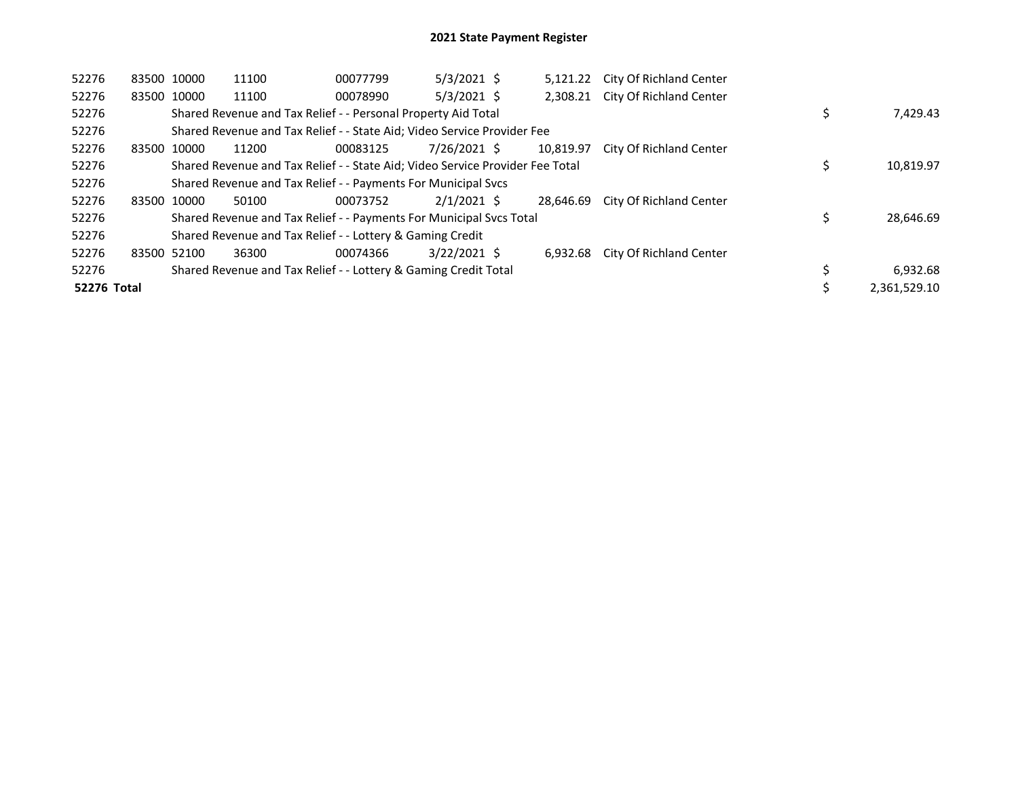| 52276              | 83500 10000 | 11100                                                                         | 00077799 | $5/3/2021$ \$  |           | 5,121.22 City Of Richland Center |              |
|--------------------|-------------|-------------------------------------------------------------------------------|----------|----------------|-----------|----------------------------------|--------------|
| 52276              | 83500 10000 | 11100                                                                         | 00078990 | $5/3/2021$ \$  |           | 2,308.21 City Of Richland Center |              |
| 52276              |             | Shared Revenue and Tax Relief - - Personal Property Aid Total                 |          |                |           |                                  | 7,429.43     |
| 52276              |             | Shared Revenue and Tax Relief - - State Aid; Video Service Provider Fee       |          |                |           |                                  |              |
| 52276              | 83500 10000 | 11200                                                                         | 00083125 | 7/26/2021 \$   | 10.819.97 | City Of Richland Center          |              |
| 52276              |             | Shared Revenue and Tax Relief - - State Aid; Video Service Provider Fee Total |          |                |           |                                  | 10,819.97    |
| 52276              |             | Shared Revenue and Tax Relief - - Payments For Municipal Svcs                 |          |                |           |                                  |              |
| 52276              | 83500 10000 | 50100                                                                         | 00073752 | $2/1/2021$ \$  | 28.646.69 | City Of Richland Center          |              |
| 52276              |             | Shared Revenue and Tax Relief - - Payments For Municipal Svcs Total           |          |                |           |                                  | 28,646.69    |
| 52276              |             | Shared Revenue and Tax Relief - - Lottery & Gaming Credit                     |          |                |           |                                  |              |
| 52276              | 83500 52100 | 36300                                                                         | 00074366 | $3/22/2021$ \$ | 6.932.68  | City Of Richland Center          |              |
| 52276              |             | Shared Revenue and Tax Relief - - Lottery & Gaming Credit Total               |          |                |           |                                  | 6,932.68     |
| <b>52276 Total</b> |             |                                                                               |          |                |           |                                  | 2.361.529.10 |